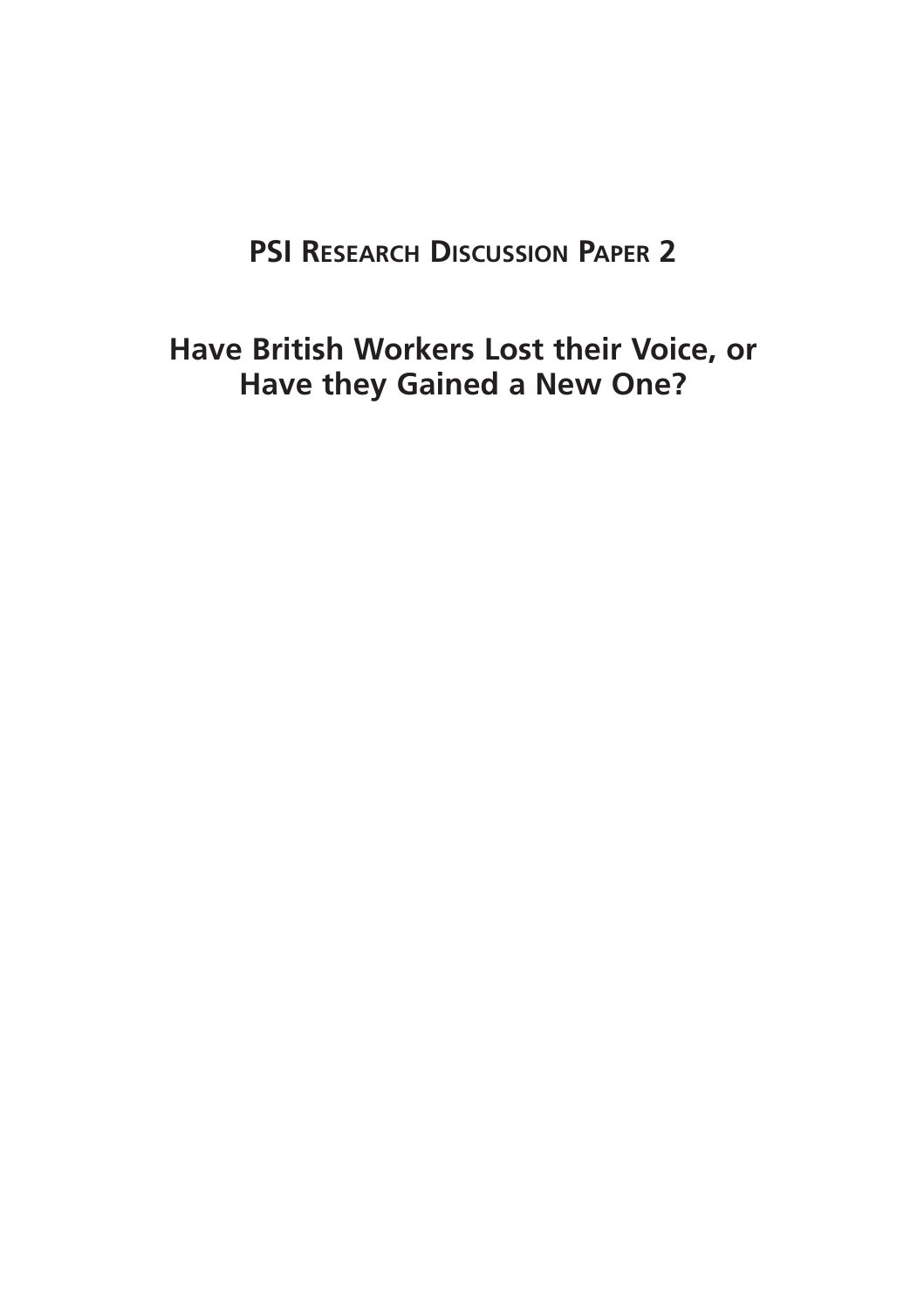# **PSI RESEARCH DISCUSSION PAPER 2**

**Have British Workers Lost their Voice, or Have they Gained a New One?**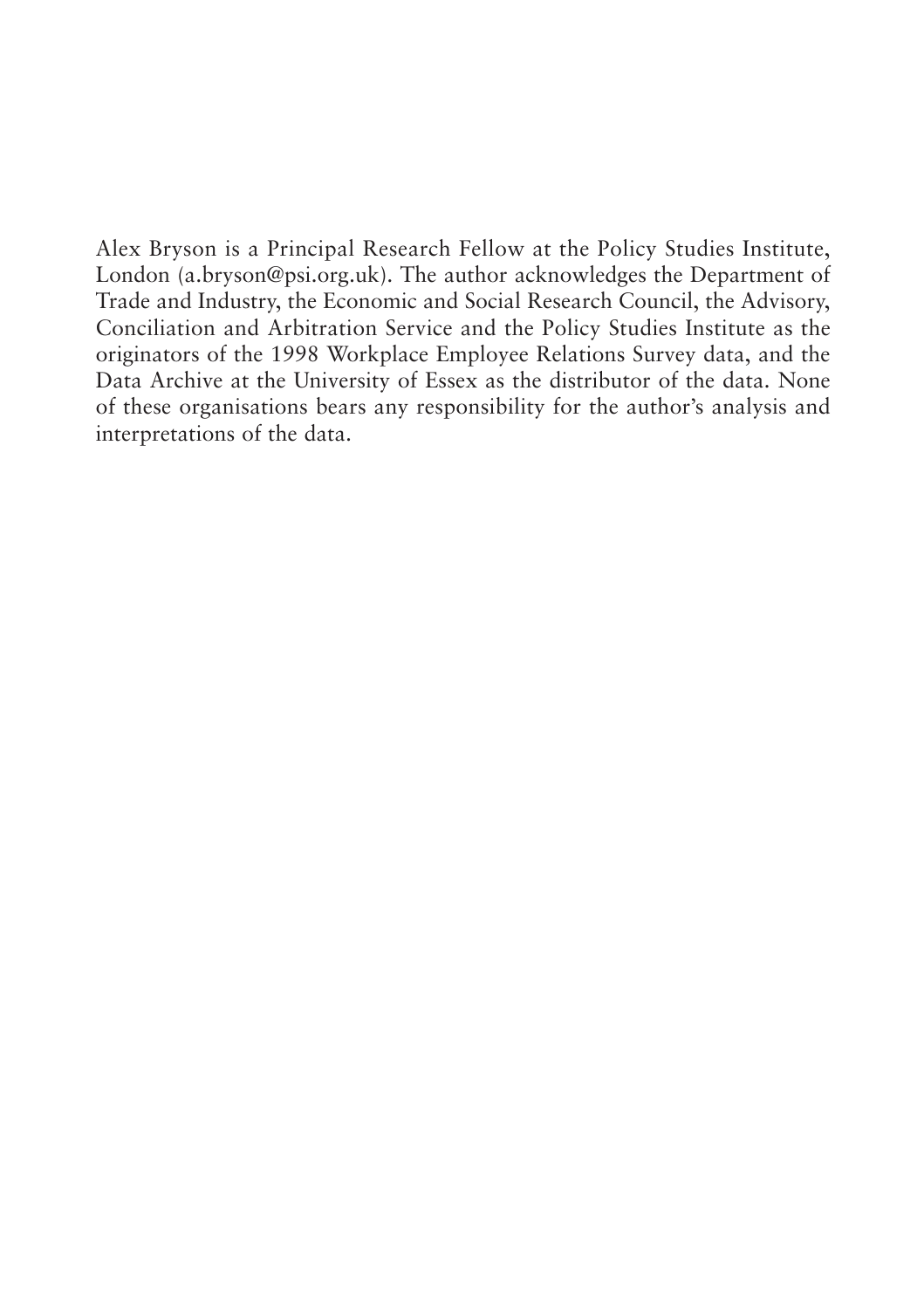Alex Bryson is a Principal Research Fellow at the Policy Studies Institute, London (a.bryson@psi.org.uk). The author acknowledges the Department of Trade and Industry, the Economic and Social Research Council, the Advisory, Conciliation and Arbitration Service and the Policy Studies Institute as the originators of the 1998 Workplace Employee Relations Survey data, and the Data Archive at the University of Essex as the distributor of the data. None of these organisations bears any responsibility for the author's analysis and interpretations of the data.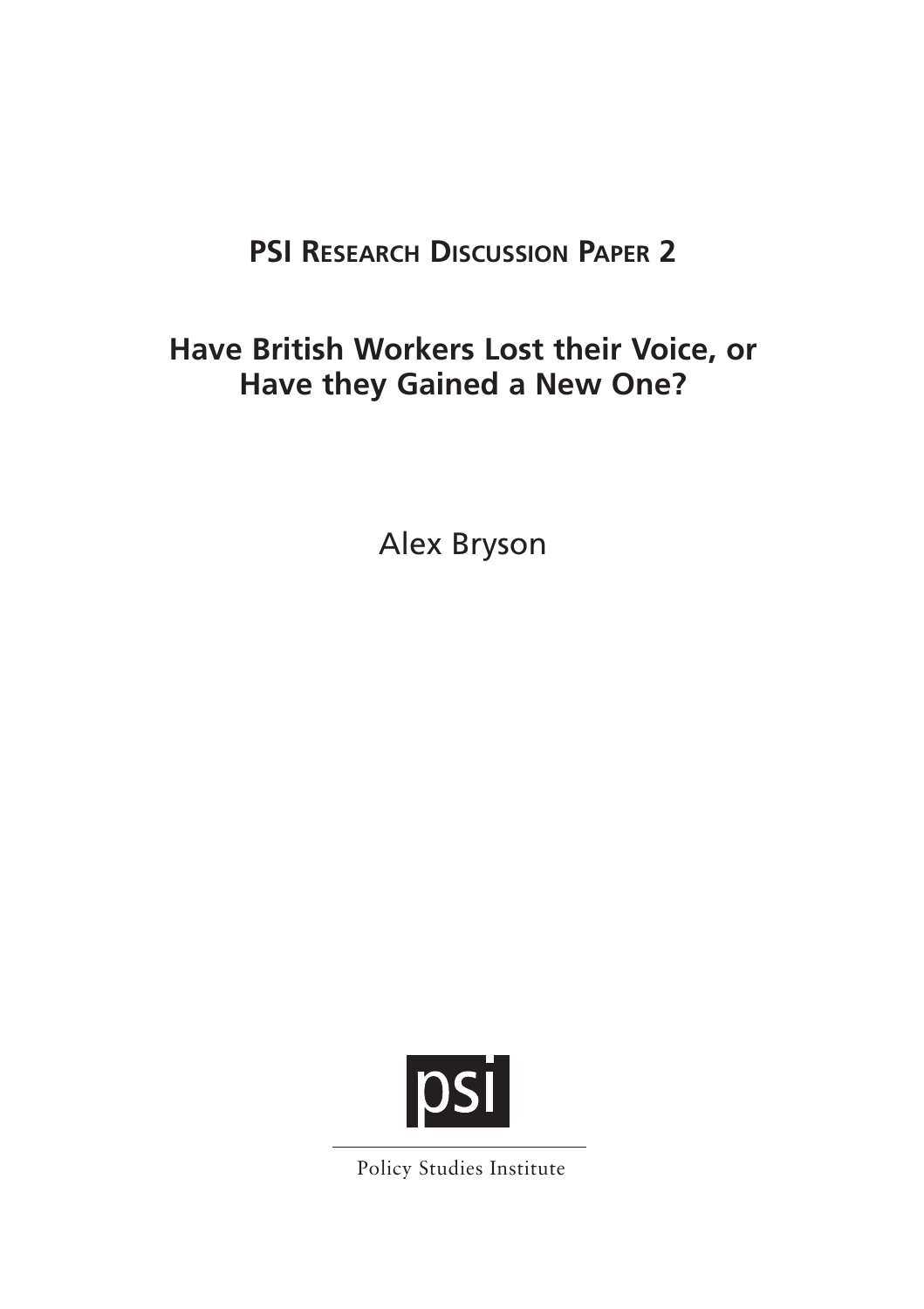# **PSI RESEARCH DISCUSSION PAPER 2**

# **Have British Workers Lost their Voice, or Have they Gained a New One?**

Alex Bryson



Policy Studies Institute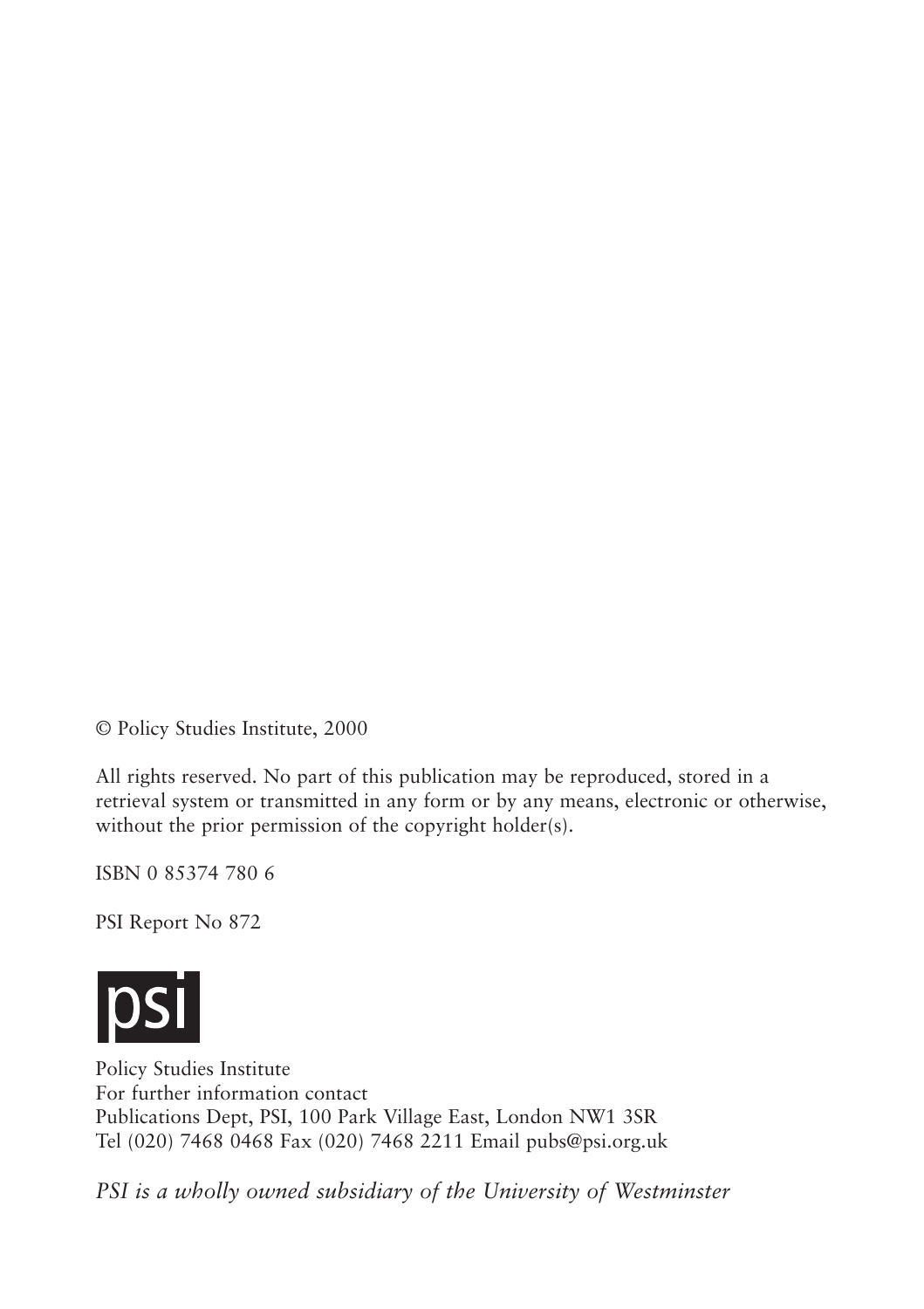© Policy Studies Institute, 2000

All rights reserved. No part of this publication may be reproduced, stored in a retrieval system or transmitted in any form or by any means, electronic or otherwise, without the prior permission of the copyright holder(s).

ISBN 0 85374 780 6

PSI Report No 872



Policy Studies Institute For further information contact Publications Dept, PSI, 100 Park Village East, London NW1 3SR Tel (020) 7468 0468 Fax (020) 7468 2211 Email pubs@psi.org.uk

*PSI is a wholly owned subsidiary of the University of Westminster*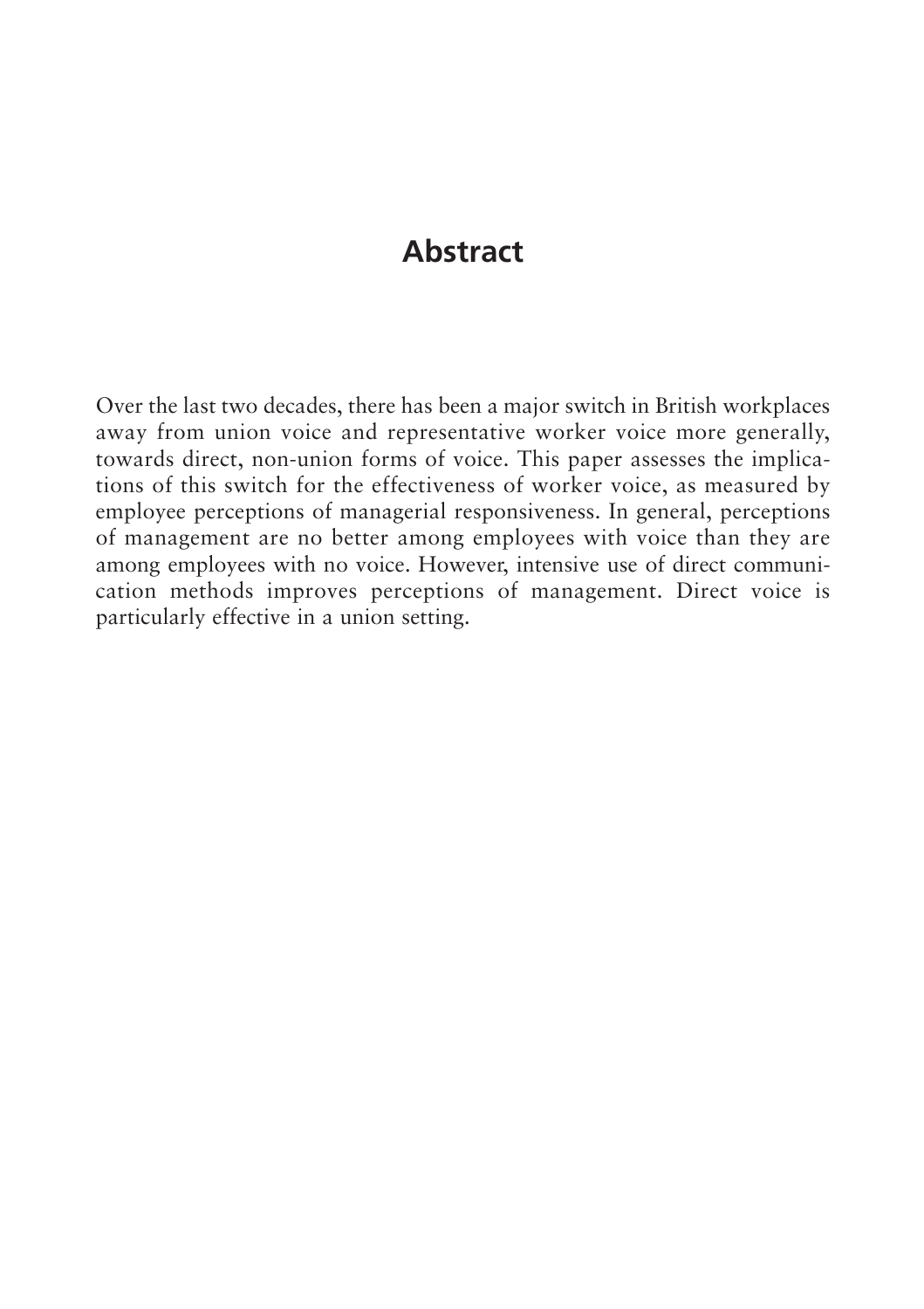# **Abstract**

Over the last two decades, there has been a major switch in British workplaces away from union voice and representative worker voice more generally, towards direct, non-union forms of voice. This paper assesses the implications of this switch for the effectiveness of worker voice, as measured by employee perceptions of managerial responsiveness. In general, perceptions of management are no better among employees with voice than they are among employees with no voice. However, intensive use of direct communication methods improves perceptions of management. Direct voice is particularly effective in a union setting.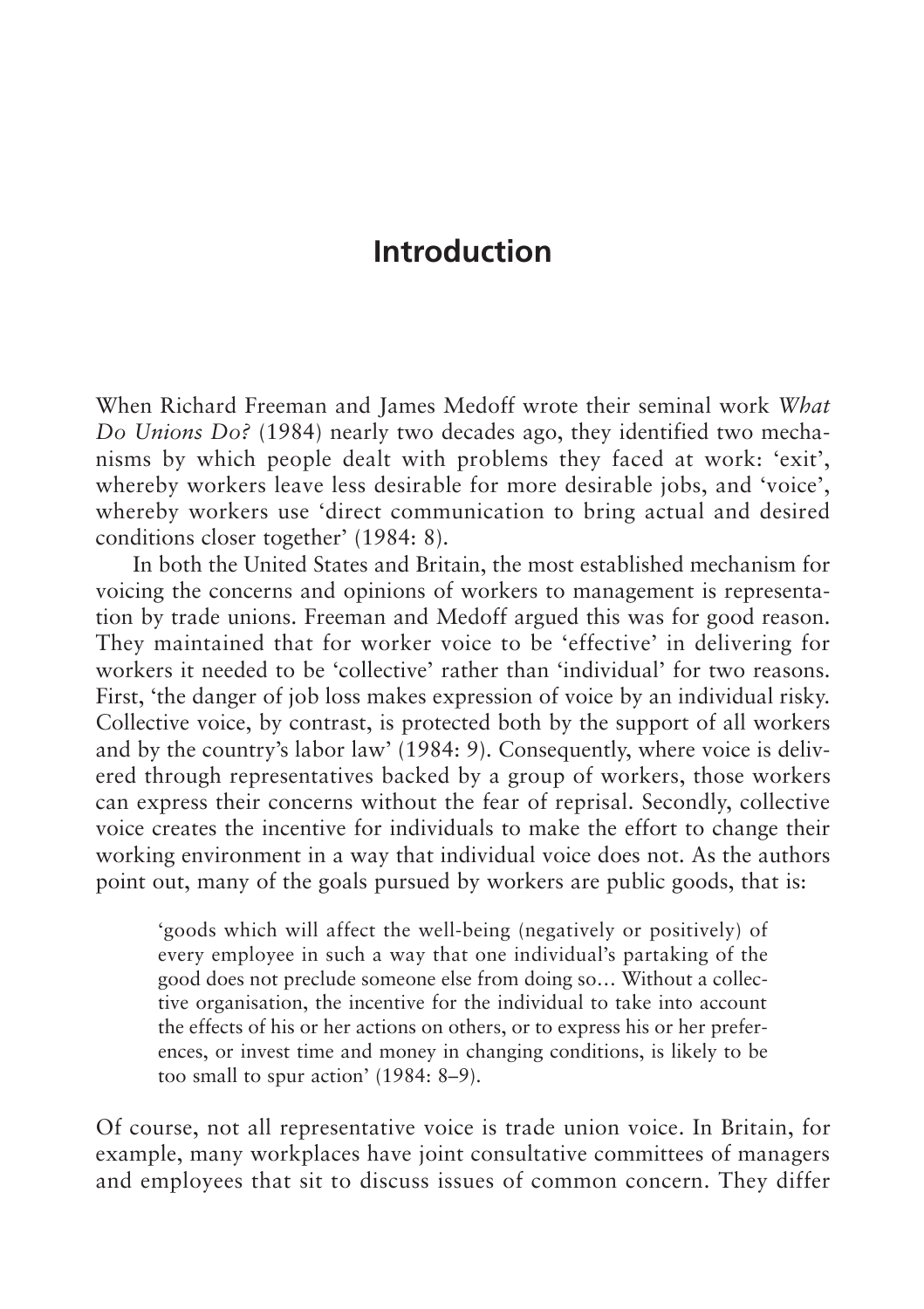# **Introduction**

When Richard Freeman and James Medoff wrote their seminal work *What Do Unions Do?* (1984) nearly two decades ago, they identified two mechanisms by which people dealt with problems they faced at work: 'exit', whereby workers leave less desirable for more desirable jobs, and 'voice', whereby workers use 'direct communication to bring actual and desired conditions closer together' (1984: 8).

In both the United States and Britain, the most established mechanism for voicing the concerns and opinions of workers to management is representation by trade unions. Freeman and Medoff argued this was for good reason. They maintained that for worker voice to be 'effective' in delivering for workers it needed to be 'collective' rather than 'individual' for two reasons. First, 'the danger of job loss makes expression of voice by an individual risky. Collective voice, by contrast, is protected both by the support of all workers and by the country's labor law' (1984: 9). Consequently, where voice is delivered through representatives backed by a group of workers, those workers can express their concerns without the fear of reprisal. Secondly, collective voice creates the incentive for individuals to make the effort to change their working environment in a way that individual voice does not. As the authors point out, many of the goals pursued by workers are public goods, that is:

'goods which will affect the well-being (negatively or positively) of every employee in such a way that one individual's partaking of the good does not preclude someone else from doing so… Without a collective organisation, the incentive for the individual to take into account the effects of his or her actions on others, or to express his or her preferences, or invest time and money in changing conditions, is likely to be too small to spur action' (1984: 8–9).

Of course, not all representative voice is trade union voice. In Britain, for example, many workplaces have joint consultative committees of managers and employees that sit to discuss issues of common concern. They differ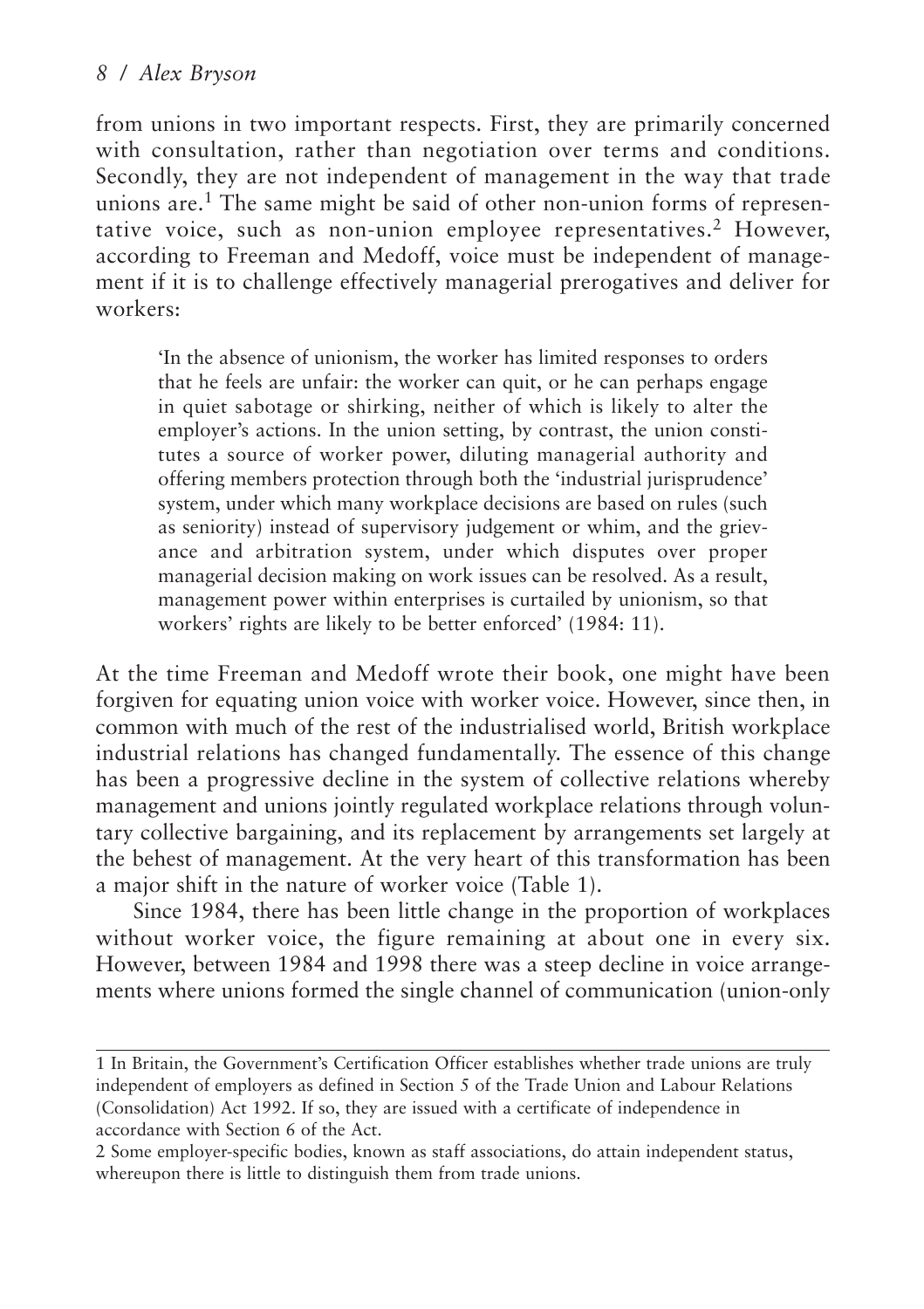from unions in two important respects. First, they are primarily concerned with consultation, rather than negotiation over terms and conditions. Secondly, they are not independent of management in the way that trade unions are.<sup>1</sup> The same might be said of other non-union forms of representative voice, such as non-union employee representatives.<sup>2</sup> However, according to Freeman and Medoff, voice must be independent of management if it is to challenge effectively managerial prerogatives and deliver for workers:

'In the absence of unionism, the worker has limited responses to orders that he feels are unfair: the worker can quit, or he can perhaps engage in quiet sabotage or shirking, neither of which is likely to alter the employer's actions. In the union setting, by contrast, the union constitutes a source of worker power, diluting managerial authority and offering members protection through both the 'industrial jurisprudence' system, under which many workplace decisions are based on rules (such as seniority) instead of supervisory judgement or whim, and the grievance and arbitration system, under which disputes over proper managerial decision making on work issues can be resolved. As a result, management power within enterprises is curtailed by unionism, so that workers' rights are likely to be better enforced' (1984: 11).

At the time Freeman and Medoff wrote their book, one might have been forgiven for equating union voice with worker voice. However, since then, in common with much of the rest of the industrialised world, British workplace industrial relations has changed fundamentally. The essence of this change has been a progressive decline in the system of collective relations whereby management and unions jointly regulated workplace relations through voluntary collective bargaining, and its replacement by arrangements set largely at the behest of management. At the very heart of this transformation has been a major shift in the nature of worker voice (Table 1).

Since 1984, there has been little change in the proportion of workplaces without worker voice, the figure remaining at about one in every six. However, between 1984 and 1998 there was a steep decline in voice arrangements where unions formed the single channel of communication (union-only

<sup>1</sup> In Britain, the Government's Certification Officer establishes whether trade unions are truly independent of employers as defined in Section 5 of the Trade Union and Labour Relations (Consolidation) Act 1992. If so, they are issued with a certificate of independence in accordance with Section 6 of the Act.

<sup>2</sup> Some employer-specific bodies, known as staff associations, do attain independent status, whereupon there is little to distinguish them from trade unions.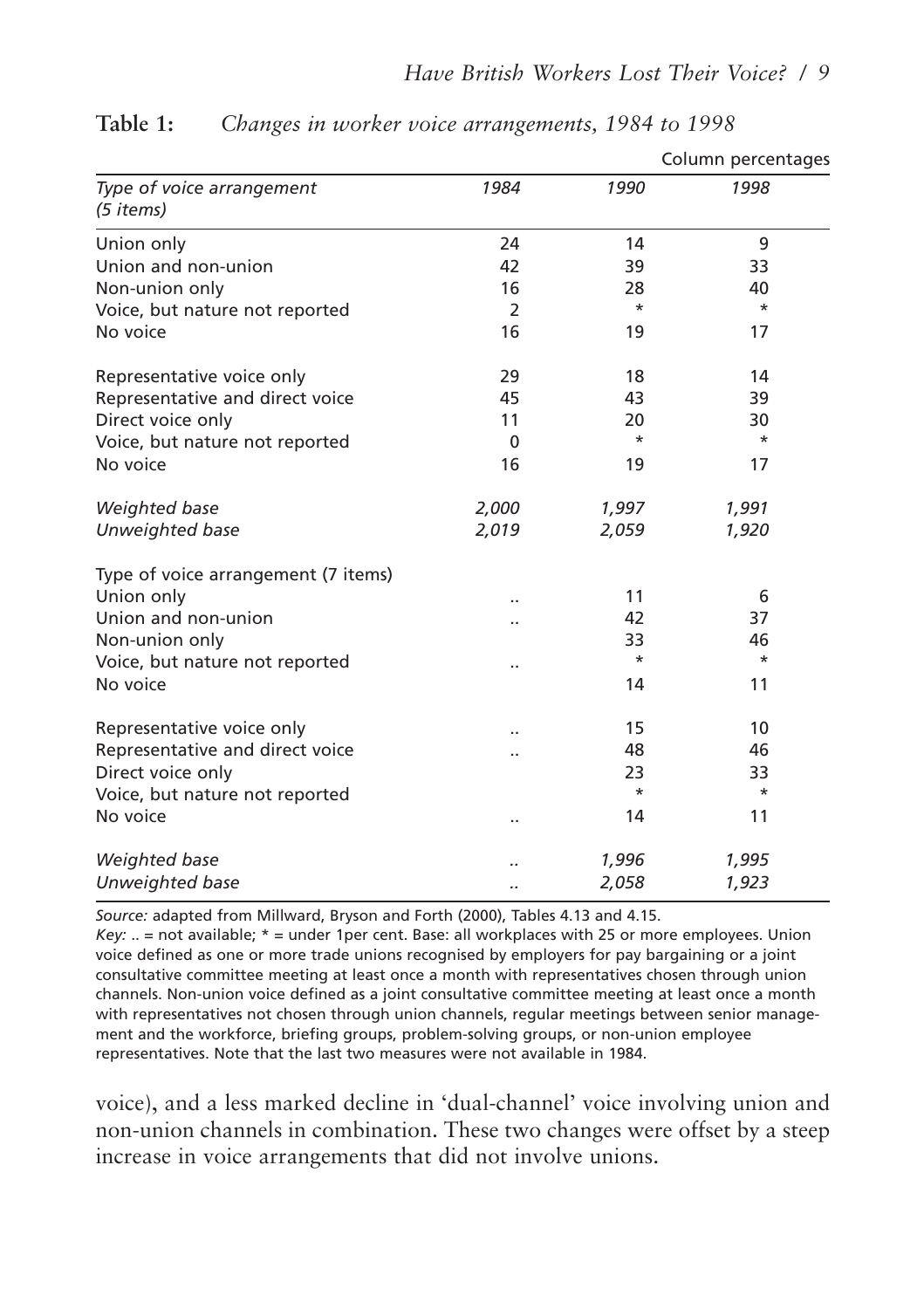|                                        |                      |          | Column percentages |
|----------------------------------------|----------------------|----------|--------------------|
| Type of voice arrangement<br>(5 items) | 1984                 | 1990     | 1998               |
| Union only                             | 24                   | 14       | 9                  |
| Union and non-union                    | 42                   | 39       | 33                 |
| Non-union only                         | 16                   | 28       | 40                 |
| Voice, but nature not reported         | $\overline{2}$       | $\star$  | $\star$            |
| No voice                               | 16                   | 19       | 17                 |
| Representative voice only              | 29                   | 18       | 14                 |
| Representative and direct voice        | 45                   | 43       | 39                 |
| Direct voice only                      | 11                   | 20       | 30                 |
| Voice, but nature not reported         | $\mathbf{0}$         | $^\star$ | *                  |
| No voice                               | 16                   | 19       | 17                 |
| Weighted base                          | 2,000                | 1,997    | 1,991              |
| Unweighted base                        | 2,019                | 2,059    | 1,920              |
| Type of voice arrangement (7 items)    |                      |          |                    |
| Union only                             | $\ddot{\phantom{0}}$ | 11       | 6                  |
| Union and non-union                    |                      | 42       | 37                 |
| Non-union only                         |                      | 33       | 46                 |
| Voice, but nature not reported         | $\cdot$              | $\star$  | $\star$            |
| No voice                               |                      | 14       | 11                 |
| Representative voice only              |                      | 15       | 10                 |
| Representative and direct voice        | $\ddot{\phantom{a}}$ | 48       | 46                 |
| Direct voice only                      |                      | 23       | 33                 |
| Voice, but nature not reported         |                      | $\star$  | $\star$            |
| No voice                               | $\cdot$ .            | 14       | 11                 |
| Weighted base                          |                      | 1,996    | 1,995              |
| Unweighted base                        |                      | 2,058    | 1,923              |

#### **Table 1:** *Changes in worker voice arrangements, 1984 to 1998*

*Source:* adapted from Millward, Bryson and Forth (2000), Tables 4.13 and 4.15.

*Key:* .. = not available; \* = under 1per cent. Base: all workplaces with 25 or more employees. Union voice defined as one or more trade unions recognised by employers for pay bargaining or a joint consultative committee meeting at least once a month with representatives chosen through union channels. Non-union voice defined as a joint consultative committee meeting at least once a month with representatives not chosen through union channels, regular meetings between senior management and the workforce, briefing groups, problem-solving groups, or non-union employee representatives. Note that the last two measures were not available in 1984.

voice), and a less marked decline in 'dual-channel' voice involving union and non-union channels in combination. These two changes were offset by a steep increase in voice arrangements that did not involve unions.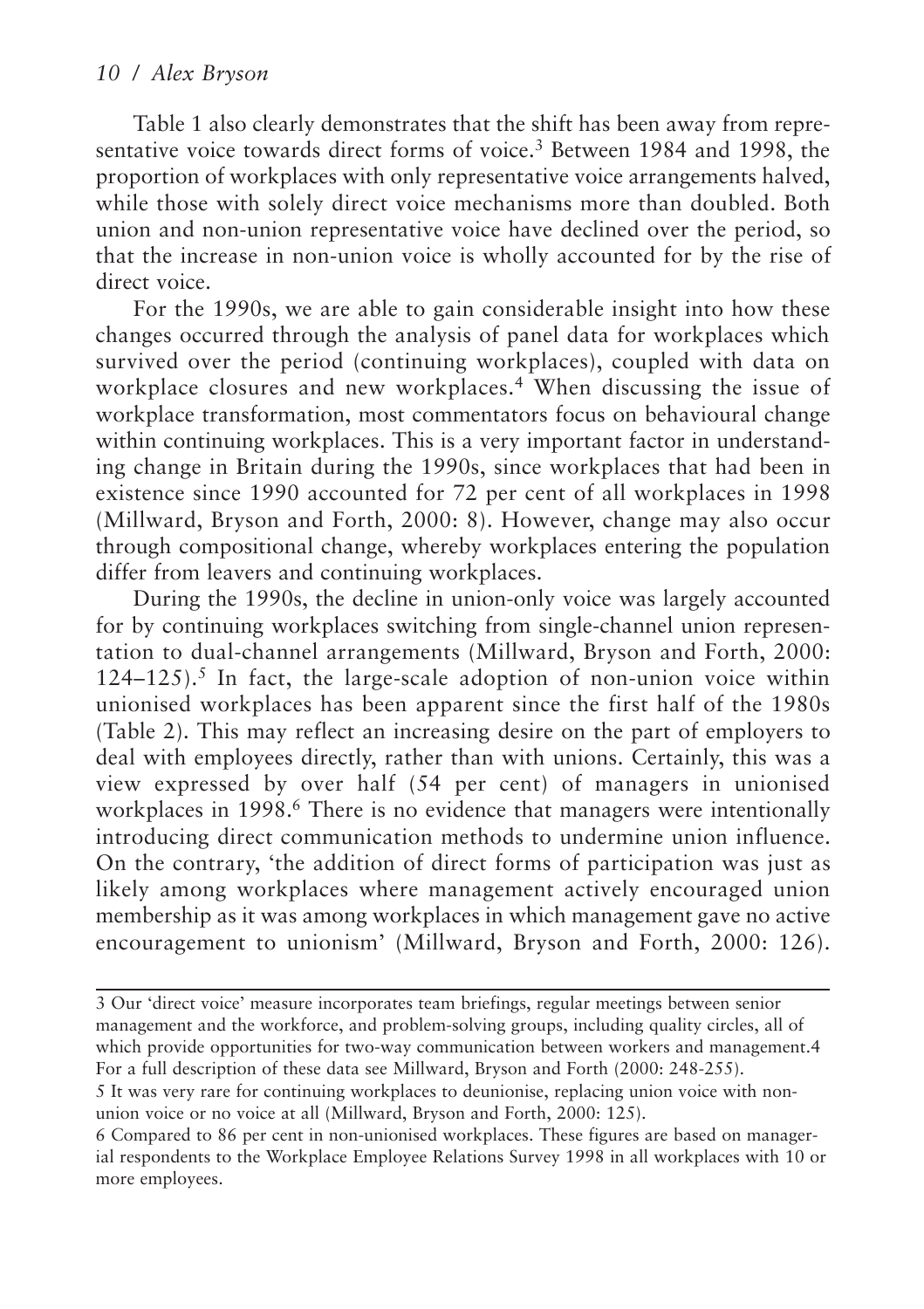Table 1 also clearly demonstrates that the shift has been away from representative voice towards direct forms of voice.<sup>3</sup> Between 1984 and 1998, the proportion of workplaces with only representative voice arrangements halved, while those with solely direct voice mechanisms more than doubled. Both union and non-union representative voice have declined over the period, so that the increase in non-union voice is wholly accounted for by the rise of direct voice.

For the 1990s, we are able to gain considerable insight into how these changes occurred through the analysis of panel data for workplaces which survived over the period (continuing workplaces), coupled with data on workplace closures and new workplaces.<sup>4</sup> When discussing the issue of workplace transformation, most commentators focus on behavioural change within continuing workplaces. This is a very important factor in understanding change in Britain during the 1990s, since workplaces that had been in existence since 1990 accounted for 72 per cent of all workplaces in 1998 (Millward, Bryson and Forth, 2000: 8). However, change may also occur through compositional change, whereby workplaces entering the population differ from leavers and continuing workplaces.

During the 1990s, the decline in union-only voice was largely accounted for by continuing workplaces switching from single-channel union representation to dual-channel arrangements (Millward, Bryson and Forth, 2000:  $124-125$ ).<sup>5</sup> In fact, the large-scale adoption of non-union voice within unionised workplaces has been apparent since the first half of the 1980s (Table 2). This may reflect an increasing desire on the part of employers to deal with employees directly, rather than with unions. Certainly, this was a view expressed by over half (54 per cent) of managers in unionised workplaces in 1998.<sup>6</sup> There is no evidence that managers were intentionally introducing direct communication methods to undermine union influence. On the contrary, 'the addition of direct forms of participation was just as likely among workplaces where management actively encouraged union membership as it was among workplaces in which management gave no active encouragement to unionism' (Millward, Bryson and Forth, 2000: 126).

union voice or no voice at all (Millward, Bryson and Forth, 2000: 125).

<sup>3</sup> Our 'direct voice' measure incorporates team briefings, regular meetings between senior management and the workforce, and problem-solving groups, including quality circles, all of which provide opportunities for two-way communication between workers and management.4 For a full description of these data see Millward, Bryson and Forth (2000: 248-255). 5 It was very rare for continuing workplaces to deunionise, replacing union voice with non-

<sup>6</sup> Compared to 86 per cent in non-unionised workplaces. These figures are based on managerial respondents to the Workplace Employee Relations Survey 1998 in all workplaces with 10 or more employees.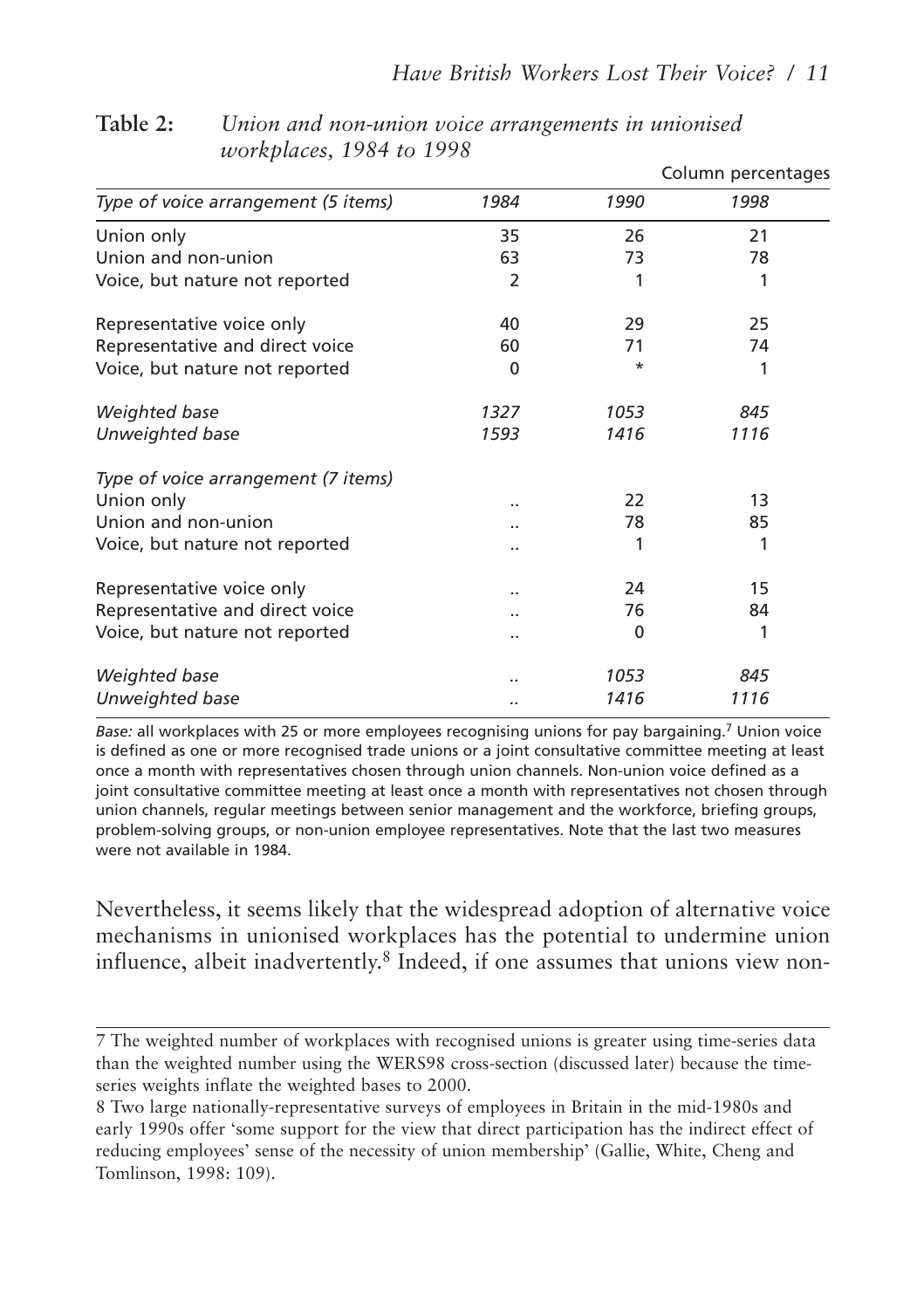|                                     |      |      | Column percentages |
|-------------------------------------|------|------|--------------------|
| Type of voice arrangement (5 items) | 1984 | 1990 | 1998               |
| Union only                          | 35   | 26   | 21                 |
| Union and non-union                 | 63   | 73   | 78                 |
| Voice, but nature not reported      | 2    |      | 1                  |
| Representative voice only           | 40   | 29   | 25                 |
| Representative and direct voice     | 60   | 71   | 74                 |
| Voice, but nature not reported      | 0    | *    | 1                  |
| Weighted base                       | 1327 | 1053 | 845                |
| Unweighted base                     | 1593 | 1416 | 1116               |
| Type of voice arrangement (7 items) |      |      |                    |
| Union only                          |      | 22   | 13                 |
| Union and non-union                 |      | 78   | 85                 |
| Voice, but nature not reported      |      |      | 1                  |
| Representative voice only           |      | 24   | 15                 |
| Representative and direct voice     |      | 76   | 84                 |
| Voice, but nature not reported      |      | 0    | 1                  |
| Weighted base                       |      | 1053 | 845                |
| Unweighted base                     | ٠.   | 1416 | 1116               |

**Table 2:** *Union and non-union voice arrangements in unionised workplaces, 1984 to 1998*

*Base:* all workplaces with 25 or more employees recognising unions for pay bargaining.7 Union voice is defined as one or more recognised trade unions or a joint consultative committee meeting at least once a month with representatives chosen through union channels. Non-union voice defined as a joint consultative committee meeting at least once a month with representatives not chosen through union channels, regular meetings between senior management and the workforce, briefing groups, problem-solving groups, or non-union employee representatives. Note that the last two measures were not available in 1984.

Nevertheless, it seems likely that the widespread adoption of alternative voice mechanisms in unionised workplaces has the potential to undermine union influence, albeit inadvertently.8 Indeed, if one assumes that unions view non-

<sup>7</sup> The weighted number of workplaces with recognised unions is greater using time-series data than the weighted number using the WERS98 cross-section (discussed later) because the timeseries weights inflate the weighted bases to 2000.

<sup>8</sup> Two large nationally-representative surveys of employees in Britain in the mid-1980s and early 1990s offer 'some support for the view that direct participation has the indirect effect of reducing employees' sense of the necessity of union membership' (Gallie, White, Cheng and Tomlinson, 1998: 109).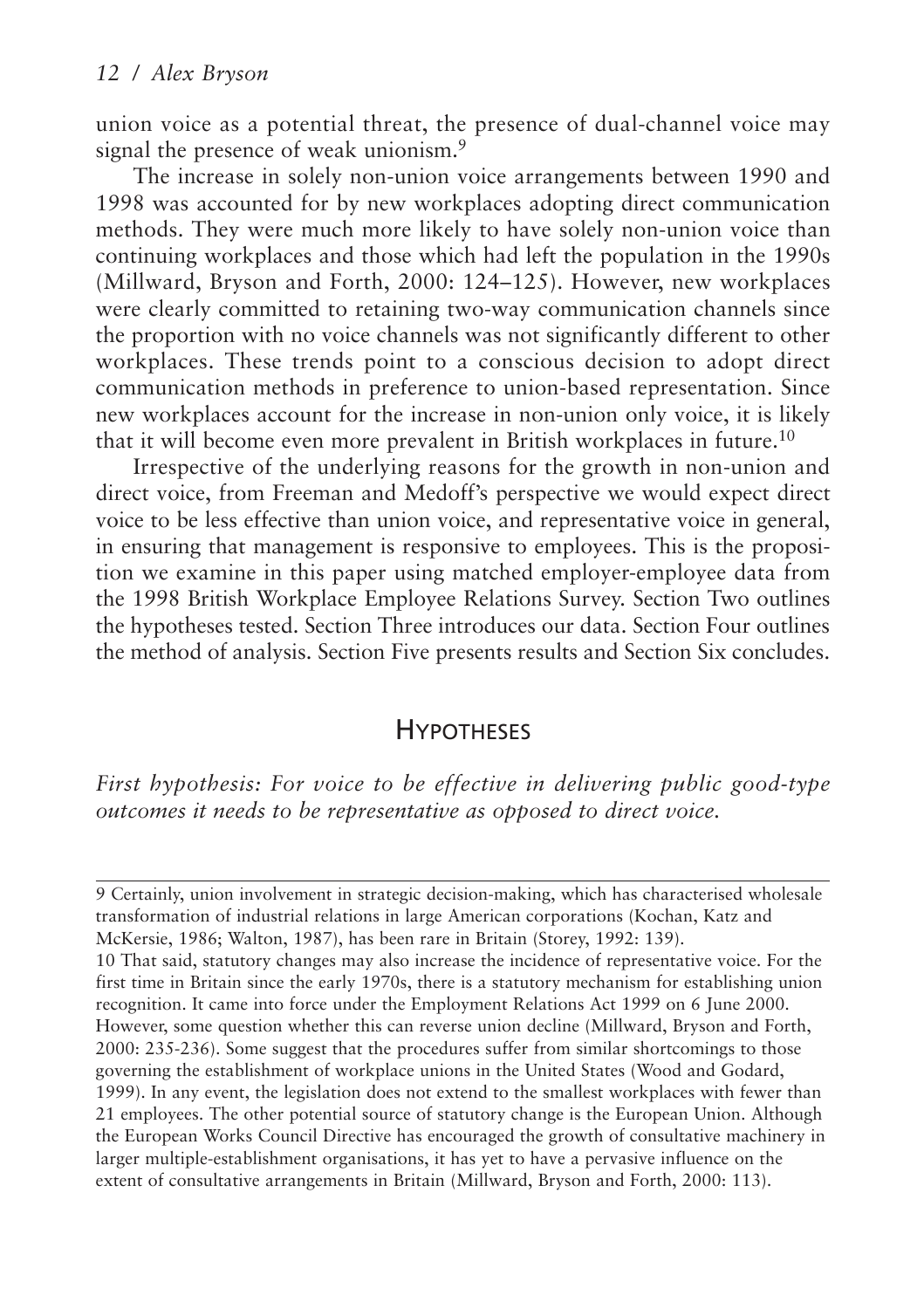union voice as a potential threat, the presence of dual-channel voice may signal the presence of weak unionism.<sup>9</sup>

The increase in solely non-union voice arrangements between 1990 and 1998 was accounted for by new workplaces adopting direct communication methods. They were much more likely to have solely non-union voice than continuing workplaces and those which had left the population in the 1990s (Millward, Bryson and Forth, 2000: 124–125). However, new workplaces were clearly committed to retaining two-way communication channels since the proportion with no voice channels was not significantly different to other workplaces. These trends point to a conscious decision to adopt direct communication methods in preference to union-based representation. Since new workplaces account for the increase in non-union only voice, it is likely that it will become even more prevalent in British workplaces in future.10

Irrespective of the underlying reasons for the growth in non-union and direct voice, from Freeman and Medoff's perspective we would expect direct voice to be less effective than union voice, and representative voice in general, in ensuring that management is responsive to employees. This is the proposition we examine in this paper using matched employer-employee data from the 1998 British Workplace Employee Relations Survey. Section Two outlines the hypotheses tested. Section Three introduces our data. Section Four outlines the method of analysis. Section Five presents results and Section Six concludes.

## **HYPOTHESES**

*First hypothesis: For voice to be effective in delivering public good-type outcomes it needs to be representative as opposed to direct voice.*

<sup>9</sup> Certainly, union involvement in strategic decision-making, which has characterised wholesale transformation of industrial relations in large American corporations (Kochan, Katz and McKersie, 1986; Walton, 1987), has been rare in Britain (Storey, 1992: 139). 10 That said, statutory changes may also increase the incidence of representative voice. For the first time in Britain since the early 1970s, there is a statutory mechanism for establishing union recognition. It came into force under the Employment Relations Act 1999 on 6 June 2000. However, some question whether this can reverse union decline (Millward, Bryson and Forth, 2000: 235-236). Some suggest that the procedures suffer from similar shortcomings to those governing the establishment of workplace unions in the United States (Wood and Godard, 1999). In any event, the legislation does not extend to the smallest workplaces with fewer than 21 employees. The other potential source of statutory change is the European Union. Although the European Works Council Directive has encouraged the growth of consultative machinery in larger multiple-establishment organisations, it has yet to have a pervasive influence on the extent of consultative arrangements in Britain (Millward, Bryson and Forth, 2000: 113).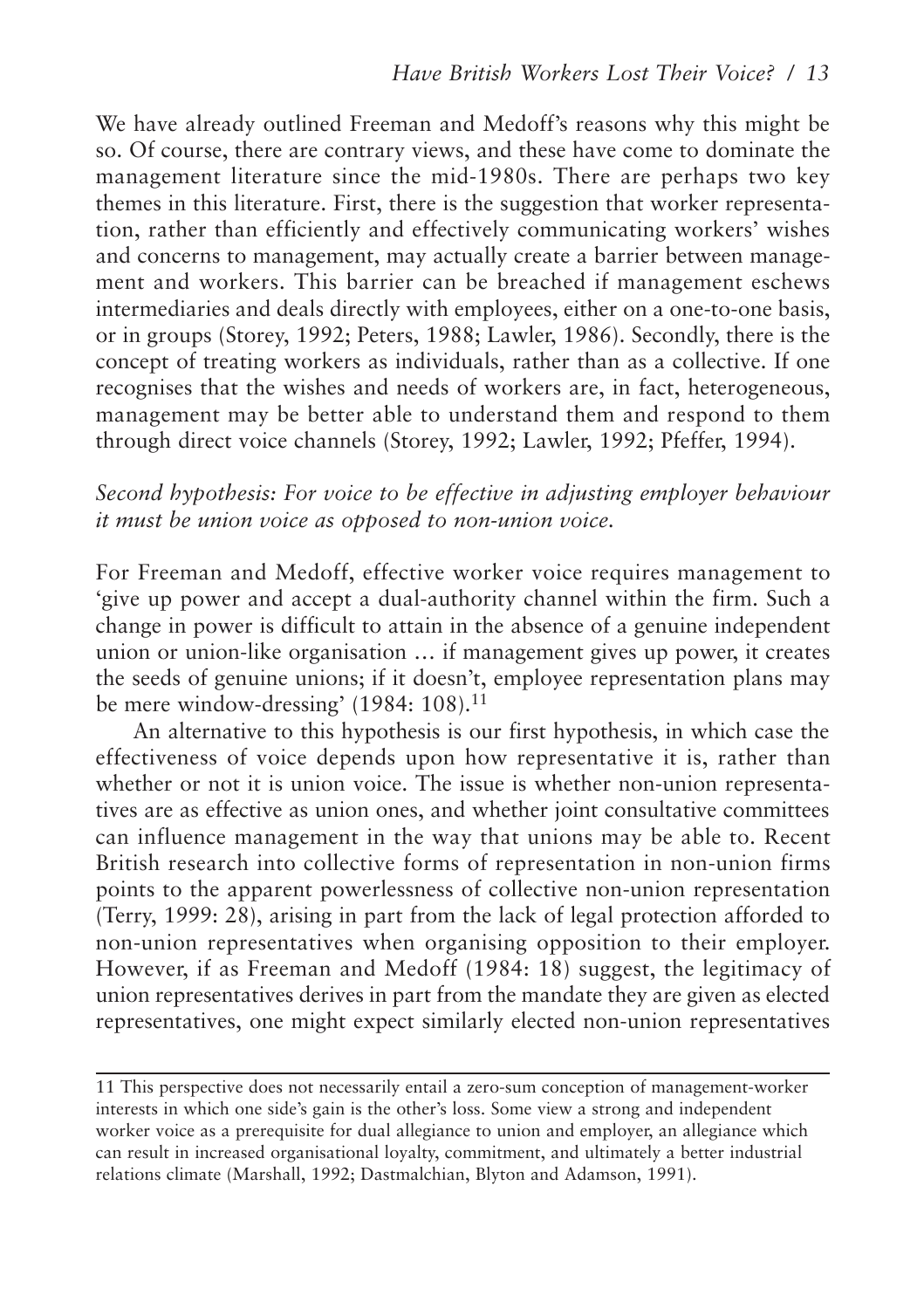We have already outlined Freeman and Medoff's reasons why this might be so. Of course, there are contrary views, and these have come to dominate the management literature since the mid-1980s. There are perhaps two key themes in this literature. First, there is the suggestion that worker representation, rather than efficiently and effectively communicating workers' wishes and concerns to management, may actually create a barrier between management and workers. This barrier can be breached if management eschews intermediaries and deals directly with employees, either on a one-to-one basis, or in groups (Storey, 1992; Peters, 1988; Lawler, 1986). Secondly, there is the concept of treating workers as individuals, rather than as a collective. If one recognises that the wishes and needs of workers are, in fact, heterogeneous, management may be better able to understand them and respond to them through direct voice channels (Storey, 1992; Lawler, 1992; Pfeffer, 1994).

#### *Second hypothesis: For voice to be effective in adjusting employer behaviour it must be union voice as opposed to non-union voice.*

For Freeman and Medoff, effective worker voice requires management to 'give up power and accept a dual-authority channel within the firm. Such a change in power is difficult to attain in the absence of a genuine independent union or union-like organisation … if management gives up power, it creates the seeds of genuine unions; if it doesn't, employee representation plans may be mere window-dressing' (1984: 108).<sup>11</sup>

An alternative to this hypothesis is our first hypothesis, in which case the effectiveness of voice depends upon how representative it is, rather than whether or not it is union voice. The issue is whether non-union representatives are as effective as union ones, and whether joint consultative committees can influence management in the way that unions may be able to. Recent British research into collective forms of representation in non-union firms points to the apparent powerlessness of collective non-union representation (Terry, 1999: 28), arising in part from the lack of legal protection afforded to non-union representatives when organising opposition to their employer. However, if as Freeman and Medoff (1984: 18) suggest, the legitimacy of union representatives derives in part from the mandate they are given as elected representatives, one might expect similarly elected non-union representatives

<sup>11</sup> This perspective does not necessarily entail a zero-sum conception of management-worker interests in which one side's gain is the other's loss. Some view a strong and independent worker voice as a prerequisite for dual allegiance to union and employer, an allegiance which can result in increased organisational loyalty, commitment, and ultimately a better industrial relations climate (Marshall, 1992; Dastmalchian, Blyton and Adamson, 1991).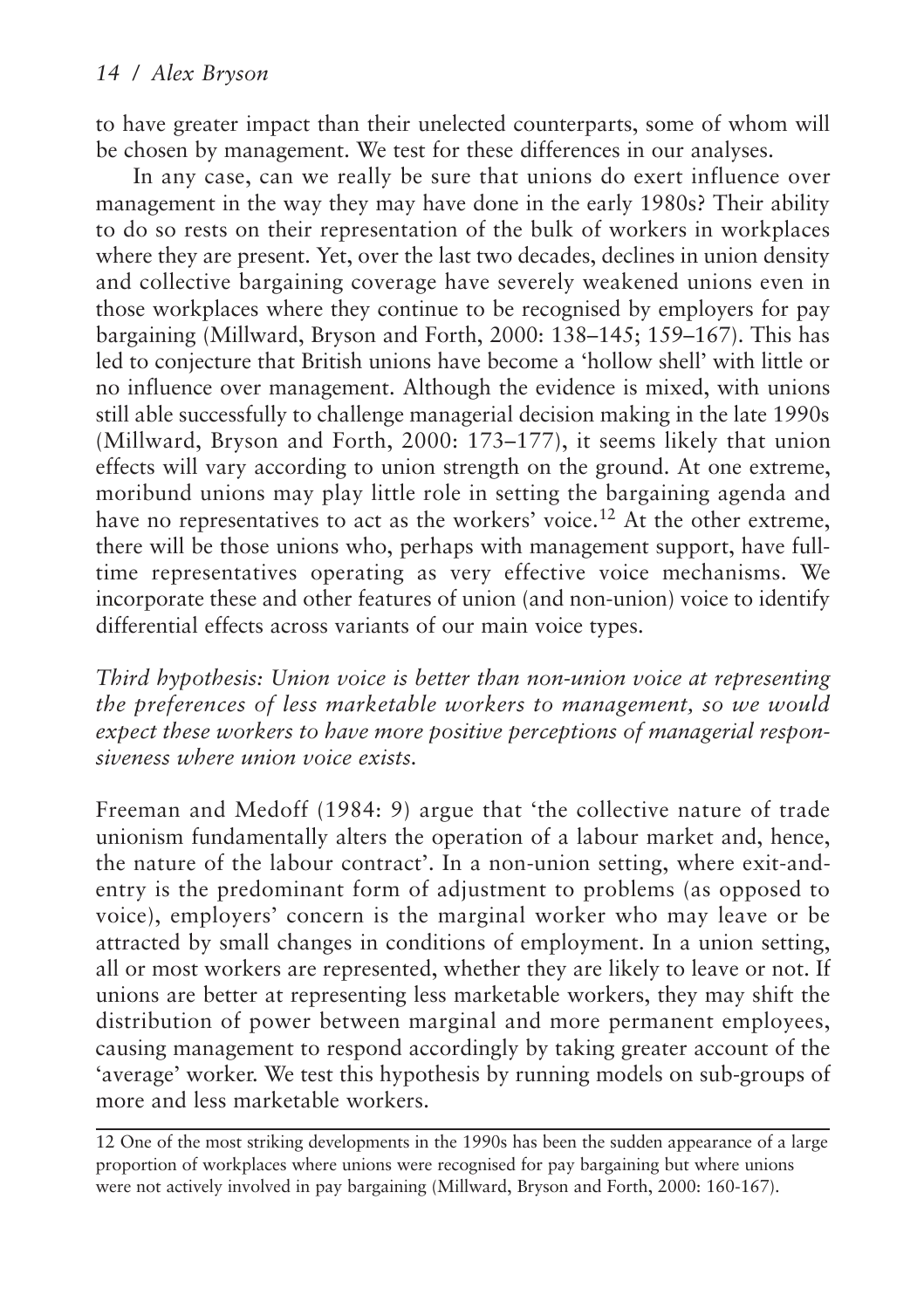to have greater impact than their unelected counterparts, some of whom will be chosen by management. We test for these differences in our analyses.

In any case, can we really be sure that unions do exert influence over management in the way they may have done in the early 1980s? Their ability to do so rests on their representation of the bulk of workers in workplaces where they are present. Yet, over the last two decades, declines in union density and collective bargaining coverage have severely weakened unions even in those workplaces where they continue to be recognised by employers for pay bargaining (Millward, Bryson and Forth, 2000: 138–145; 159–167). This has led to conjecture that British unions have become a 'hollow shell' with little or no influence over management. Although the evidence is mixed, with unions still able successfully to challenge managerial decision making in the late 1990s (Millward, Bryson and Forth, 2000: 173–177), it seems likely that union effects will vary according to union strength on the ground. At one extreme, moribund unions may play little role in setting the bargaining agenda and have no representatives to act as the workers' voice.<sup>12</sup> At the other extreme, there will be those unions who, perhaps with management support, have fulltime representatives operating as very effective voice mechanisms. We incorporate these and other features of union (and non-union) voice to identify differential effects across variants of our main voice types.

*Third hypothesis: Union voice is better than non-union voice at representing the preferences of less marketable workers to management, so we would expect these workers to have more positive perceptions of managerial responsiveness where union voice exists.*

Freeman and Medoff (1984: 9) argue that 'the collective nature of trade unionism fundamentally alters the operation of a labour market and, hence, the nature of the labour contract'. In a non-union setting, where exit-andentry is the predominant form of adjustment to problems (as opposed to voice), employers' concern is the marginal worker who may leave or be attracted by small changes in conditions of employment. In a union setting, all or most workers are represented, whether they are likely to leave or not. If unions are better at representing less marketable workers, they may shift the distribution of power between marginal and more permanent employees, causing management to respond accordingly by taking greater account of the 'average' worker. We test this hypothesis by running models on sub-groups of more and less marketable workers.

<sup>12</sup> One of the most striking developments in the 1990s has been the sudden appearance of a large proportion of workplaces where unions were recognised for pay bargaining but where unions were not actively involved in pay bargaining (Millward, Bryson and Forth, 2000: 160-167).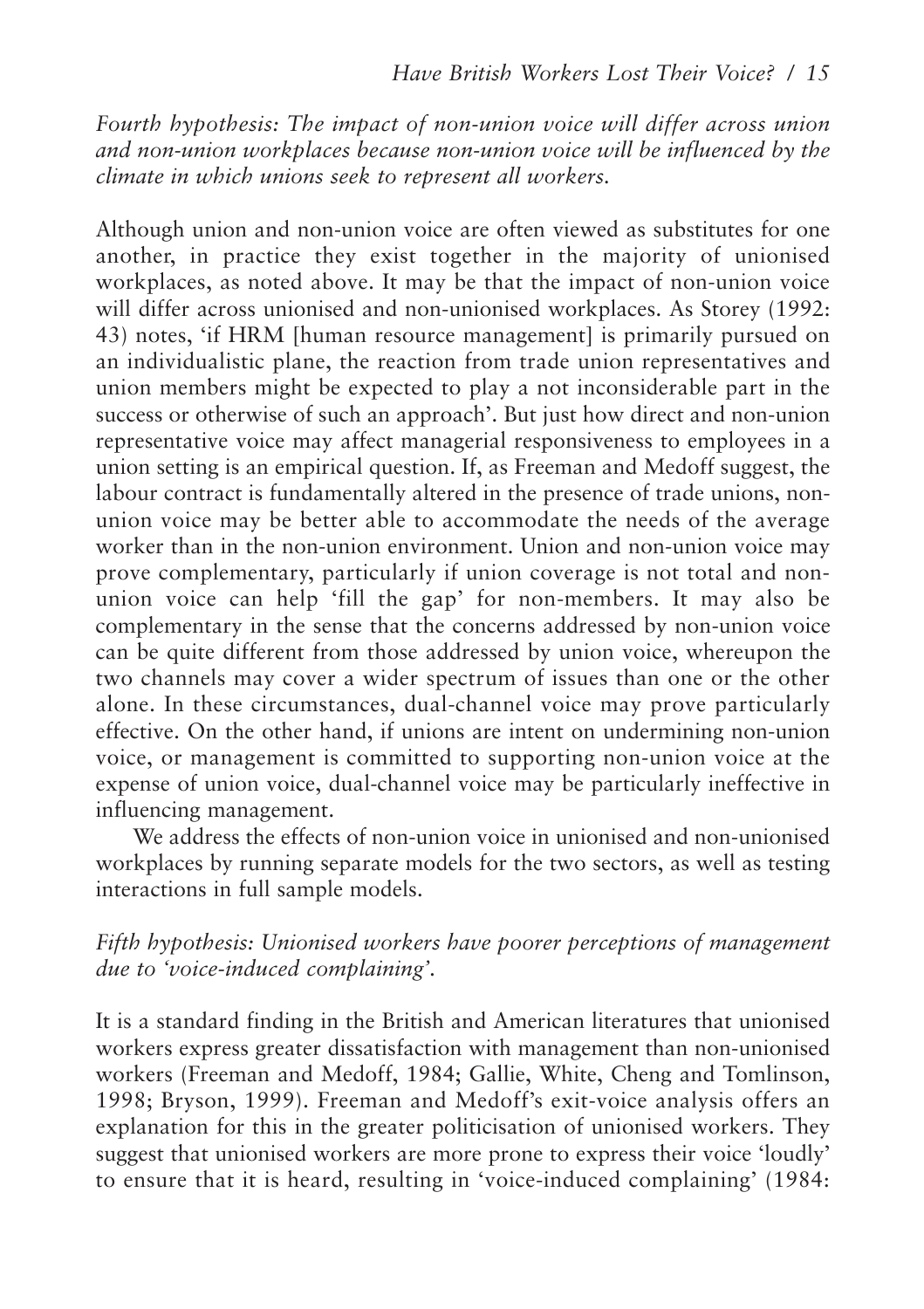*Fourth hypothesis: The impact of non-union voice will differ across union and non-union workplaces because non-union voice will be influenced by the climate in which unions seek to represent all workers.*

Although union and non-union voice are often viewed as substitutes for one another, in practice they exist together in the majority of unionised workplaces, as noted above. It may be that the impact of non-union voice will differ across unionised and non-unionised workplaces. As Storey (1992: 43) notes, 'if HRM [human resource management] is primarily pursued on an individualistic plane, the reaction from trade union representatives and union members might be expected to play a not inconsiderable part in the success or otherwise of such an approach'. But just how direct and non-union representative voice may affect managerial responsiveness to employees in a union setting is an empirical question. If, as Freeman and Medoff suggest, the labour contract is fundamentally altered in the presence of trade unions, nonunion voice may be better able to accommodate the needs of the average worker than in the non-union environment. Union and non-union voice may prove complementary, particularly if union coverage is not total and nonunion voice can help 'fill the gap' for non-members. It may also be complementary in the sense that the concerns addressed by non-union voice can be quite different from those addressed by union voice, whereupon the two channels may cover a wider spectrum of issues than one or the other alone. In these circumstances, dual-channel voice may prove particularly effective. On the other hand, if unions are intent on undermining non-union voice, or management is committed to supporting non-union voice at the expense of union voice, dual-channel voice may be particularly ineffective in influencing management.

We address the effects of non-union voice in unionised and non-unionised workplaces by running separate models for the two sectors, as well as testing interactions in full sample models.

#### *Fifth hypothesis: Unionised workers have poorer perceptions of management due to 'voice-induced complaining'.*

It is a standard finding in the British and American literatures that unionised workers express greater dissatisfaction with management than non-unionised workers (Freeman and Medoff, 1984; Gallie, White, Cheng and Tomlinson, 1998; Bryson, 1999). Freeman and Medoff's exit-voice analysis offers an explanation for this in the greater politicisation of unionised workers. They suggest that unionised workers are more prone to express their voice 'loudly' to ensure that it is heard, resulting in 'voice-induced complaining' (1984: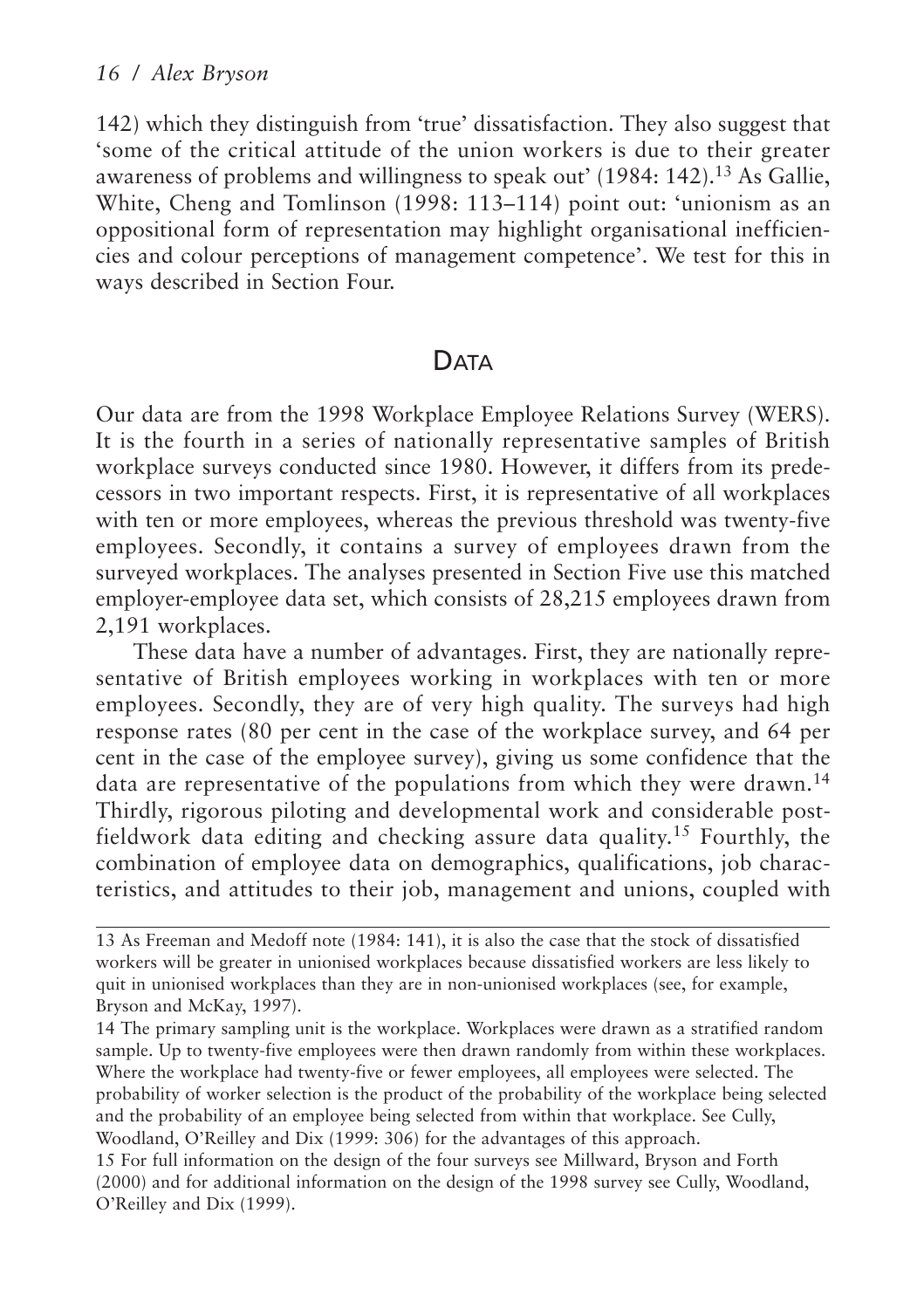142) which they distinguish from 'true' dissatisfaction. They also suggest that 'some of the critical attitude of the union workers is due to their greater awareness of problems and willingness to speak out' (1984: 142).<sup>13</sup> As Gallie, White, Cheng and Tomlinson (1998: 113–114) point out: 'unionism as an oppositional form of representation may highlight organisational inefficiencies and colour perceptions of management competence'. We test for this in ways described in Section Four.

## **DATA**

Our data are from the 1998 Workplace Employee Relations Survey (WERS). It is the fourth in a series of nationally representative samples of British workplace surveys conducted since 1980. However, it differs from its predecessors in two important respects. First, it is representative of all workplaces with ten or more employees, whereas the previous threshold was twenty-five employees. Secondly, it contains a survey of employees drawn from the surveyed workplaces. The analyses presented in Section Five use this matched employer-employee data set, which consists of 28,215 employees drawn from 2,191 workplaces.

These data have a number of advantages. First, they are nationally representative of British employees working in workplaces with ten or more employees. Secondly, they are of very high quality. The surveys had high response rates (80 per cent in the case of the workplace survey, and 64 per cent in the case of the employee survey), giving us some confidence that the data are representative of the populations from which they were drawn.<sup>14</sup> Thirdly, rigorous piloting and developmental work and considerable postfieldwork data editing and checking assure data quality.<sup>15</sup> Fourthly, the combination of employee data on demographics, qualifications, job characteristics, and attitudes to their job, management and unions, coupled with

14 The primary sampling unit is the workplace. Workplaces were drawn as a stratified random sample. Up to twenty-five employees were then drawn randomly from within these workplaces. Where the workplace had twenty-five or fewer employees, all employees were selected. The probability of worker selection is the product of the probability of the workplace being selected and the probability of an employee being selected from within that workplace. See Cully, Woodland, O'Reilley and Dix (1999: 306) for the advantages of this approach.

15 For full information on the design of the four surveys see Millward, Bryson and Forth (2000) and for additional information on the design of the 1998 survey see Cully, Woodland, O'Reilley and Dix (1999).

<sup>13</sup> As Freeman and Medoff note (1984: 141), it is also the case that the stock of dissatisfied workers will be greater in unionised workplaces because dissatisfied workers are less likely to quit in unionised workplaces than they are in non-unionised workplaces (see, for example, Bryson and McKay, 1997).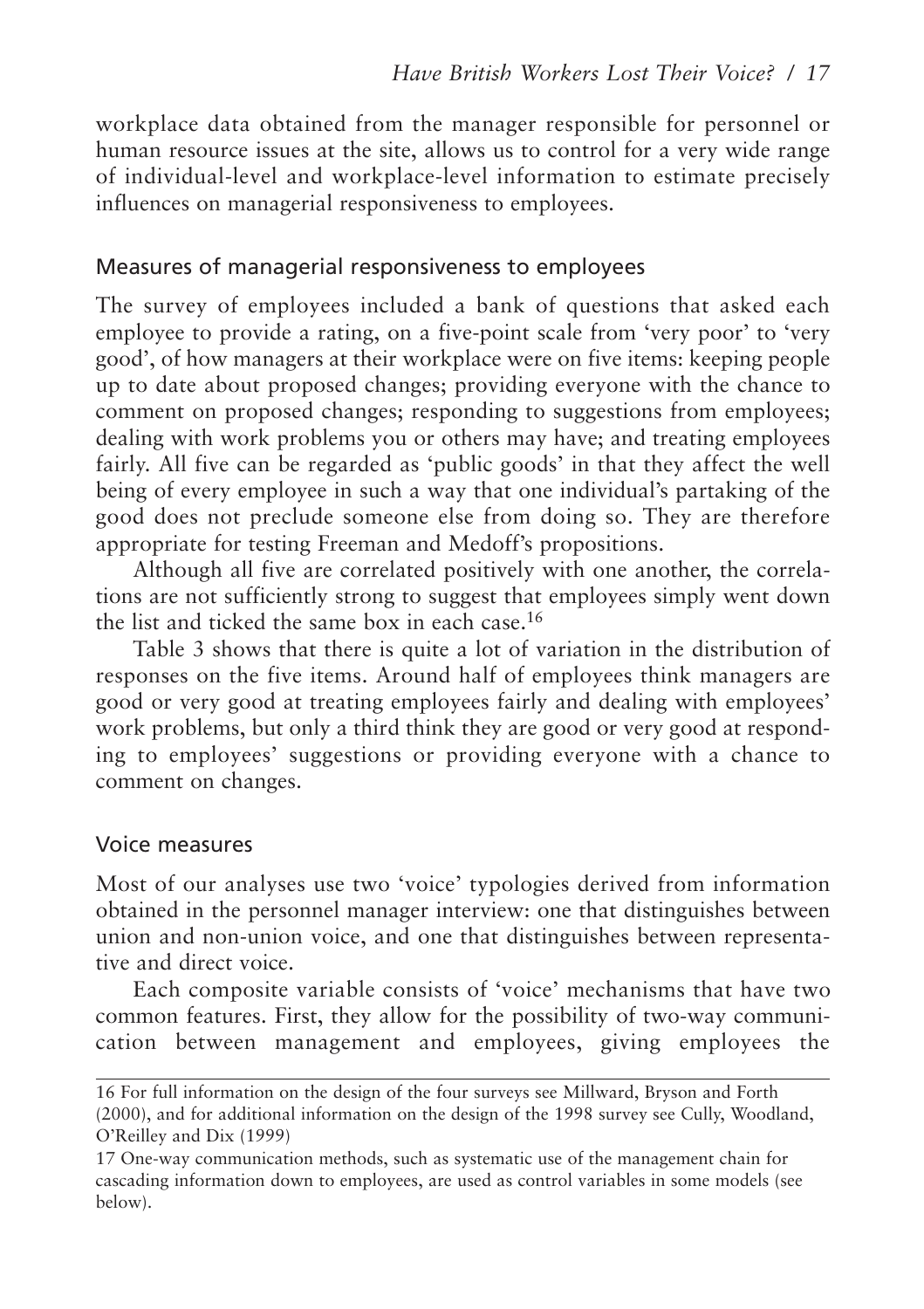workplace data obtained from the manager responsible for personnel or human resource issues at the site, allows us to control for a very wide range of individual-level and workplace-level information to estimate precisely influences on managerial responsiveness to employees.

#### Measures of managerial responsiveness to employees

The survey of employees included a bank of questions that asked each employee to provide a rating, on a five-point scale from 'very poor' to 'very good', of how managers at their workplace were on five items: keeping people up to date about proposed changes; providing everyone with the chance to comment on proposed changes; responding to suggestions from employees; dealing with work problems you or others may have; and treating employees fairly. All five can be regarded as 'public goods' in that they affect the well being of every employee in such a way that one individual's partaking of the good does not preclude someone else from doing so. They are therefore appropriate for testing Freeman and Medoff's propositions.

Although all five are correlated positively with one another, the correlations are not sufficiently strong to suggest that employees simply went down the list and ticked the same box in each case.16

Table 3 shows that there is quite a lot of variation in the distribution of responses on the five items. Around half of employees think managers are good or very good at treating employees fairly and dealing with employees' work problems, but only a third think they are good or very good at responding to employees' suggestions or providing everyone with a chance to comment on changes.

#### Voice measures

Most of our analyses use two 'voice' typologies derived from information obtained in the personnel manager interview: one that distinguishes between union and non-union voice, and one that distinguishes between representative and direct voice.

Each composite variable consists of 'voice' mechanisms that have two common features. First, they allow for the possibility of two-way communication between management and employees, giving employees the

<sup>16</sup> For full information on the design of the four surveys see Millward, Bryson and Forth (2000), and for additional information on the design of the 1998 survey see Cully, Woodland, O'Reilley and Dix (1999)

<sup>17</sup> One-way communication methods, such as systematic use of the management chain for cascading information down to employees, are used as control variables in some models (see below).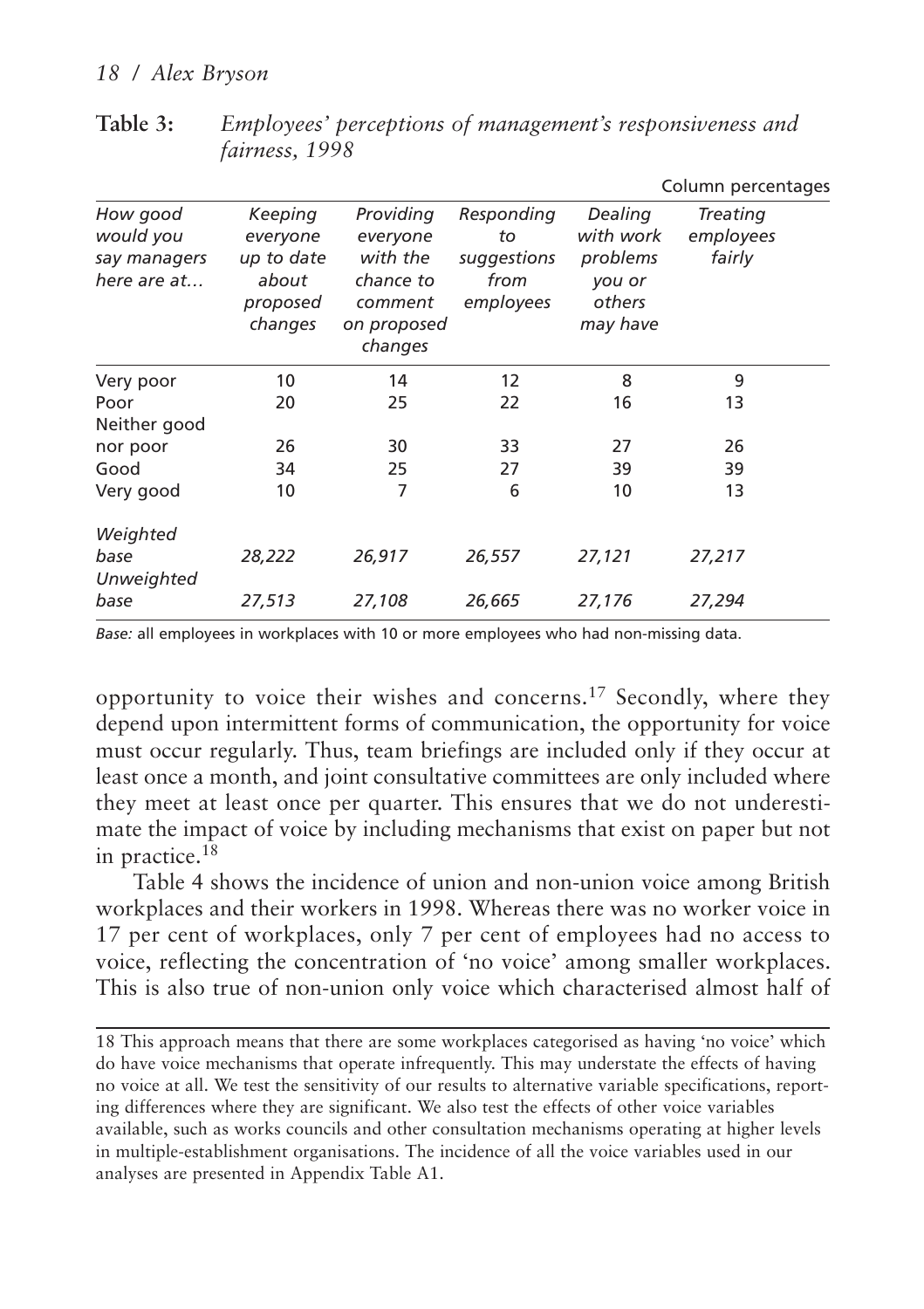|                                                      |                                                                   |                                                                                     |                                                      |                                                                  | Column percentages              |
|------------------------------------------------------|-------------------------------------------------------------------|-------------------------------------------------------------------------------------|------------------------------------------------------|------------------------------------------------------------------|---------------------------------|
| How good<br>would you<br>say managers<br>here are at | Keeping<br>everyone<br>up to date<br>about<br>proposed<br>changes | Providing<br>everyone<br>with the<br>chance to<br>comment<br>on proposed<br>changes | Responding<br>to<br>suggestions<br>from<br>employees | Dealing<br>with work<br>problems<br>you or<br>others<br>may have | Treating<br>employees<br>fairly |
| Very poor                                            | 10                                                                | 14                                                                                  | 12                                                   | 8                                                                | 9                               |
| Poor<br>Neither good                                 | 20                                                                | 25                                                                                  | 22                                                   | 16                                                               | 13                              |
| nor poor                                             | 26                                                                | 30                                                                                  | 33                                                   | 27                                                               | 26                              |
| Good                                                 | 34                                                                | 25                                                                                  | 27                                                   | 39                                                               | 39                              |
| Very good                                            | 10                                                                | 7                                                                                   | 6                                                    | 10                                                               | 13                              |
| Weighted<br>base<br>Unweighted                       | 28,222                                                            | 26,917                                                                              | 26,557                                               | 27,121                                                           | 27,217                          |
| base                                                 | 27,513                                                            | 27,108                                                                              | 26,665                                               | 27,176                                                           | 27,294                          |

**Table 3:** *Employees' perceptions of management's responsiveness and fairness, 1998*

*Base:* all employees in workplaces with 10 or more employees who had non-missing data.

opportunity to voice their wishes and concerns.<sup>17</sup> Secondly, where they depend upon intermittent forms of communication, the opportunity for voice must occur regularly. Thus, team briefings are included only if they occur at least once a month, and joint consultative committees are only included where they meet at least once per quarter. This ensures that we do not underestimate the impact of voice by including mechanisms that exist on paper but not in practice.18

Table 4 shows the incidence of union and non-union voice among British workplaces and their workers in 1998. Whereas there was no worker voice in 17 per cent of workplaces, only 7 per cent of employees had no access to voice, reflecting the concentration of 'no voice' among smaller workplaces. This is also true of non-union only voice which characterised almost half of

18 This approach means that there are some workplaces categorised as having 'no voice' which do have voice mechanisms that operate infrequently. This may understate the effects of having no voice at all. We test the sensitivity of our results to alternative variable specifications, reporting differences where they are significant. We also test the effects of other voice variables available, such as works councils and other consultation mechanisms operating at higher levels in multiple-establishment organisations. The incidence of all the voice variables used in our analyses are presented in Appendix Table A1.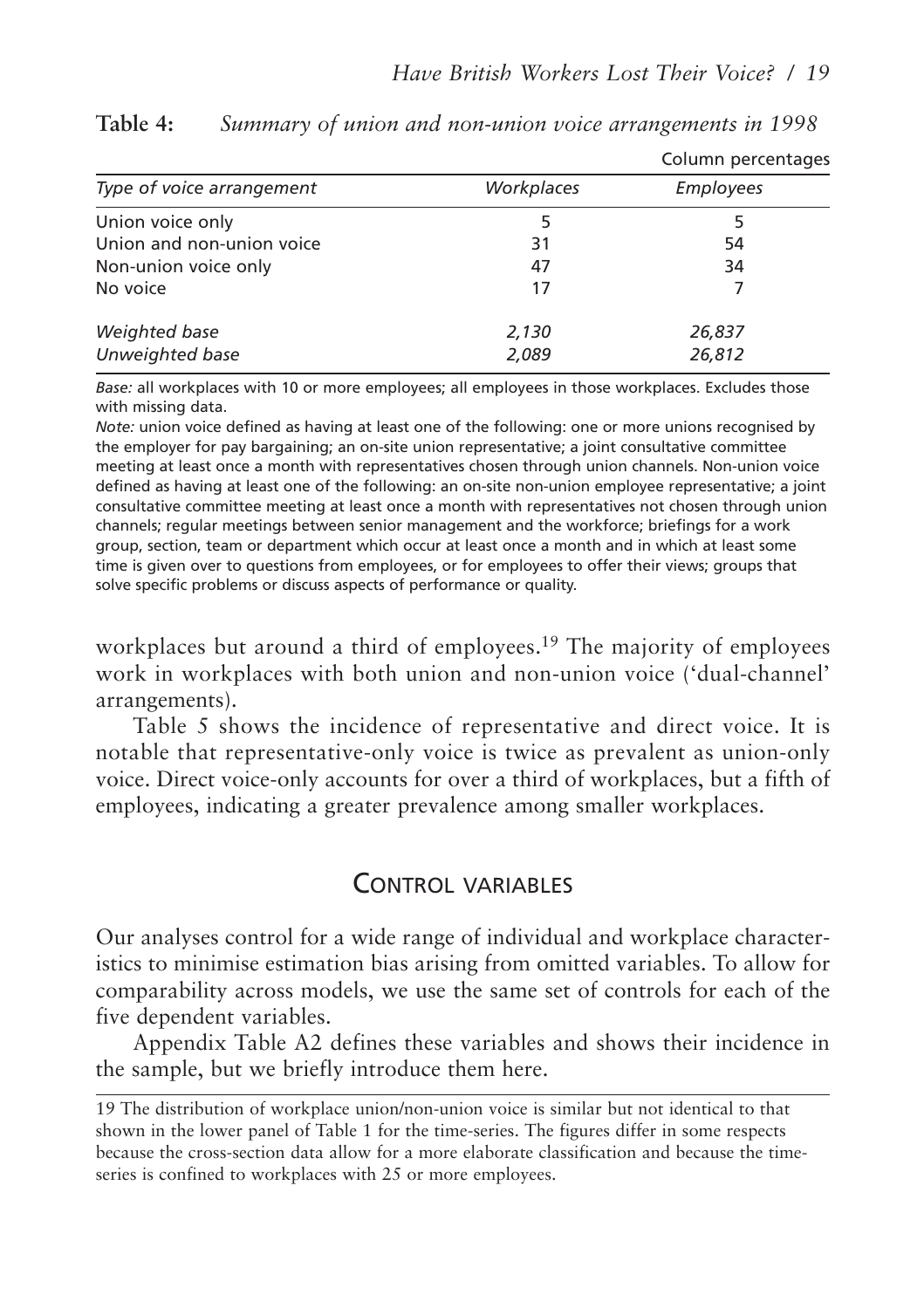|                           |            | Column percentages |
|---------------------------|------------|--------------------|
| Type of voice arrangement | Workplaces | Employees          |
| Union voice only          |            |                    |
| Union and non-union voice | 31         | 54                 |
| Non-union voice only      | 47         | 34                 |
| No voice                  | 17         |                    |
| Weighted base             | 2,130      | 26,837             |
| Unweighted base           | 2,089      | 26,812             |

**Table 4:** *Summary of union and non-union voice arrangements in 1998*

*Base:* all workplaces with 10 or more employees; all employees in those workplaces. Excludes those with missing data.

*Note:* union voice defined as having at least one of the following: one or more unions recognised by the employer for pay bargaining; an on-site union representative; a joint consultative committee meeting at least once a month with representatives chosen through union channels. Non-union voice defined as having at least one of the following: an on-site non-union employee representative; a joint consultative committee meeting at least once a month with representatives not chosen through union channels; regular meetings between senior management and the workforce; briefings for a work group, section, team or department which occur at least once a month and in which at least some time is given over to questions from employees, or for employees to offer their views; groups that solve specific problems or discuss aspects of performance or quality.

workplaces but around a third of employees.<sup>19</sup> The majority of employees work in workplaces with both union and non-union voice ('dual-channel' arrangements).

Table 5 shows the incidence of representative and direct voice. It is notable that representative-only voice is twice as prevalent as union-only voice. Direct voice-only accounts for over a third of workplaces, but a fifth of employees, indicating a greater prevalence among smaller workplaces.

## CONTROL VARIABLES

Our analyses control for a wide range of individual and workplace characteristics to minimise estimation bias arising from omitted variables. To allow for comparability across models, we use the same set of controls for each of the five dependent variables.

Appendix Table A2 defines these variables and shows their incidence in the sample, but we briefly introduce them here.

<sup>19</sup> The distribution of workplace union/non-union voice is similar but not identical to that shown in the lower panel of Table 1 for the time-series. The figures differ in some respects because the cross-section data allow for a more elaborate classification and because the timeseries is confined to workplaces with 25 or more employees.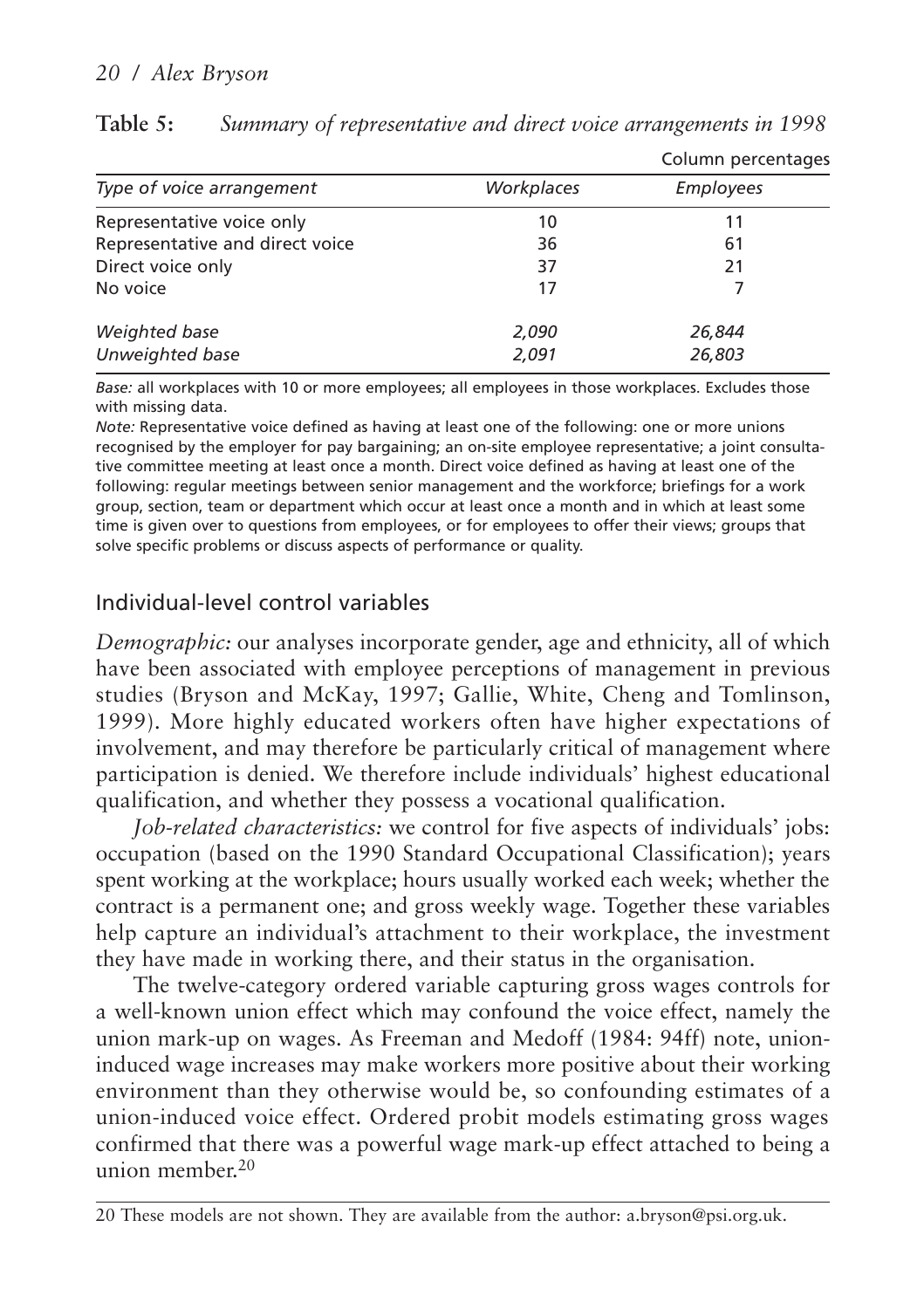|                                 |            | Column percentages |
|---------------------------------|------------|--------------------|
| Type of voice arrangement       | Workplaces | Employees          |
| Representative voice only       | 10         | 11                 |
| Representative and direct voice | 36         | 61                 |
| Direct voice only               | 37         | 21                 |
| No voice                        | 17         |                    |
| Weighted base                   | 2,090      | 26,844             |
| Unweighted base                 | 2,091      | 26,803             |

**Table 5:** *Summary of representative and direct voice arrangements in 1998*

*Base:* all workplaces with 10 or more employees; all employees in those workplaces. Excludes those with missing data.

*Note:* Representative voice defined as having at least one of the following: one or more unions recognised by the employer for pay bargaining; an on-site employee representative; a joint consultative committee meeting at least once a month. Direct voice defined as having at least one of the following: regular meetings between senior management and the workforce; briefings for a work group, section, team or department which occur at least once a month and in which at least some time is given over to questions from employees, or for employees to offer their views; groups that solve specific problems or discuss aspects of performance or quality.

#### Individual-level control variables

*Demographic:* our analyses incorporate gender, age and ethnicity, all of which have been associated with employee perceptions of management in previous studies (Bryson and McKay, 1997; Gallie, White, Cheng and Tomlinson, 1999). More highly educated workers often have higher expectations of involvement, and may therefore be particularly critical of management where participation is denied. We therefore include individuals' highest educational qualification, and whether they possess a vocational qualification.

*Job-related characteristics:* we control for five aspects of individuals' jobs: occupation (based on the 1990 Standard Occupational Classification); years spent working at the workplace; hours usually worked each week; whether the contract is a permanent one; and gross weekly wage. Together these variables help capture an individual's attachment to their workplace, the investment they have made in working there, and their status in the organisation.

The twelve-category ordered variable capturing gross wages controls for a well-known union effect which may confound the voice effect, namely the union mark-up on wages. As Freeman and Medoff (1984: 94ff) note, unioninduced wage increases may make workers more positive about their working environment than they otherwise would be, so confounding estimates of a union-induced voice effect. Ordered probit models estimating gross wages confirmed that there was a powerful wage mark-up effect attached to being a union member.20

<sup>20</sup> These models are not shown. They are available from the author: a.bryson@psi.org.uk.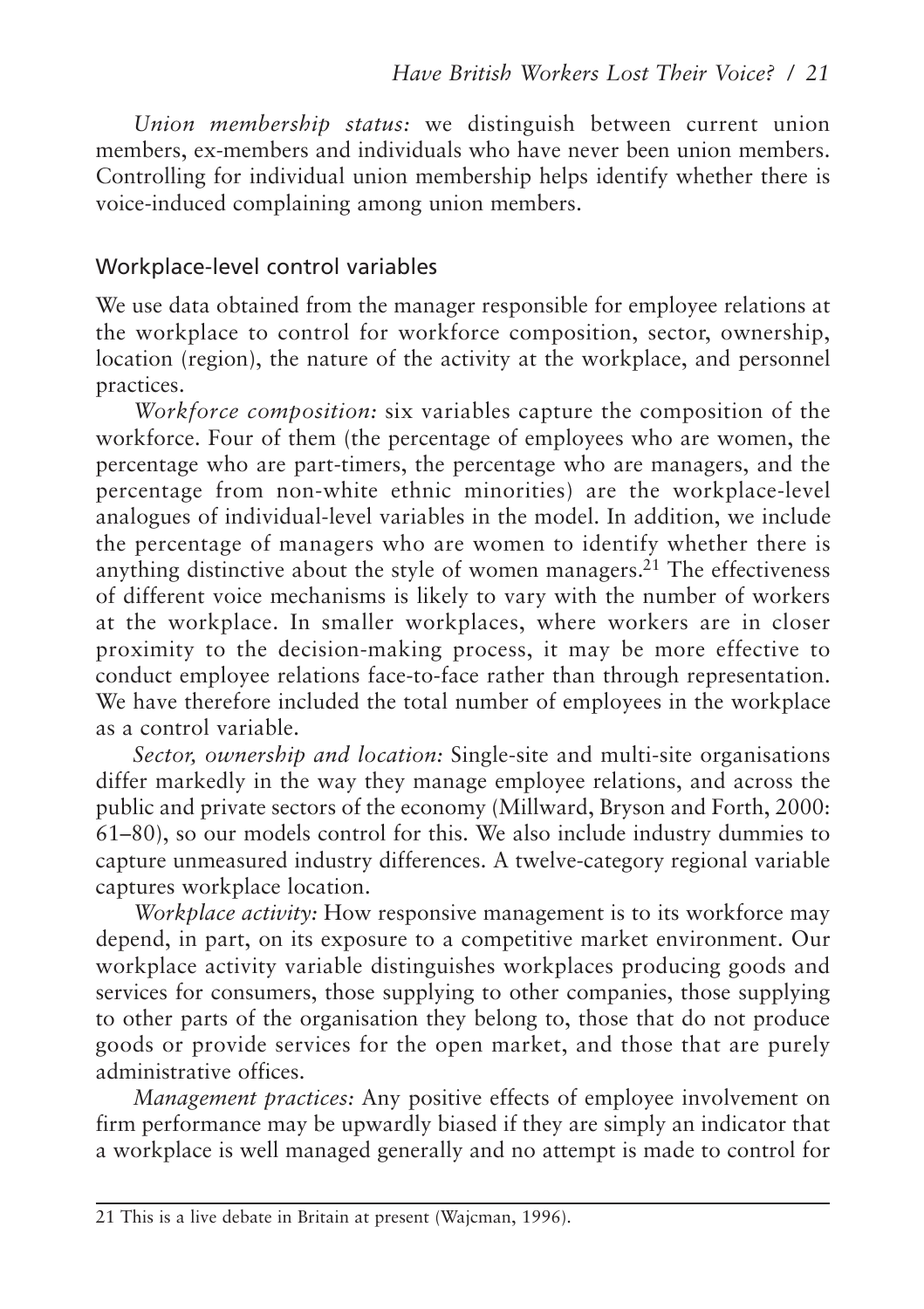*Union membership status:* we distinguish between current union members, ex-members and individuals who have never been union members. Controlling for individual union membership helps identify whether there is voice-induced complaining among union members.

#### Workplace-level control variables

We use data obtained from the manager responsible for employee relations at the workplace to control for workforce composition, sector, ownership, location (region), the nature of the activity at the workplace, and personnel practices.

*Workforce composition:* six variables capture the composition of the workforce. Four of them (the percentage of employees who are women, the percentage who are part-timers, the percentage who are managers, and the percentage from non-white ethnic minorities) are the workplace-level analogues of individual-level variables in the model. In addition, we include the percentage of managers who are women to identify whether there is anything distinctive about the style of women managers.<sup>21</sup> The effectiveness of different voice mechanisms is likely to vary with the number of workers at the workplace. In smaller workplaces, where workers are in closer proximity to the decision-making process, it may be more effective to conduct employee relations face-to-face rather than through representation. We have therefore included the total number of employees in the workplace as a control variable.

*Sector, ownership and location:* Single-site and multi-site organisations differ markedly in the way they manage employee relations, and across the public and private sectors of the economy (Millward, Bryson and Forth, 2000: 61–80), so our models control for this. We also include industry dummies to capture unmeasured industry differences. A twelve-category regional variable captures workplace location.

*Workplace activity:* How responsive management is to its workforce may depend, in part, on its exposure to a competitive market environment. Our workplace activity variable distinguishes workplaces producing goods and services for consumers, those supplying to other companies, those supplying to other parts of the organisation they belong to, those that do not produce goods or provide services for the open market, and those that are purely administrative offices.

*Management practices:* Any positive effects of employee involvement on firm performance may be upwardly biased if they are simply an indicator that a workplace is well managed generally and no attempt is made to control for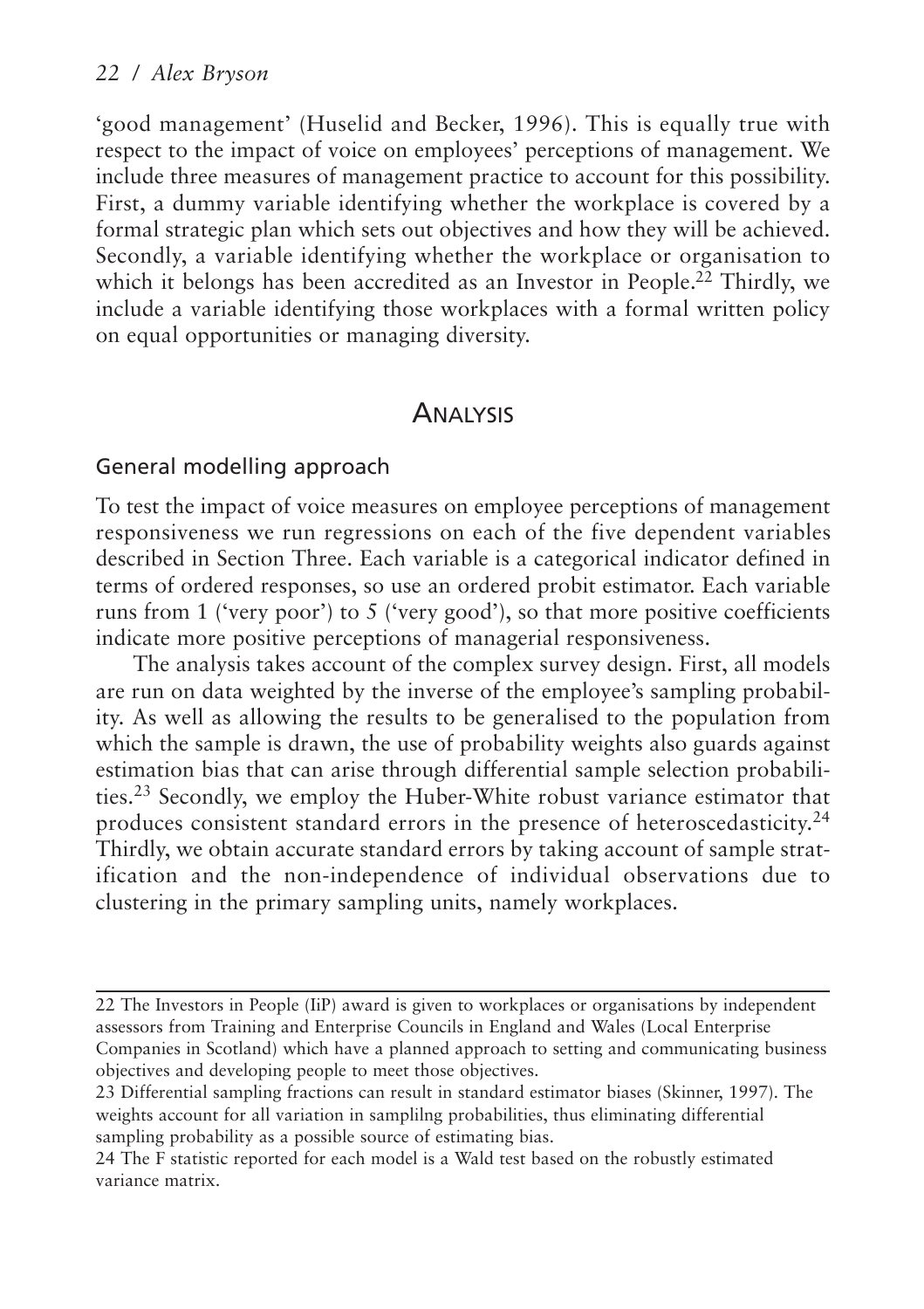'good management' (Huselid and Becker, 1996). This is equally true with respect to the impact of voice on employees' perceptions of management. We include three measures of management practice to account for this possibility. First, a dummy variable identifying whether the workplace is covered by a formal strategic plan which sets out objectives and how they will be achieved. Secondly, a variable identifying whether the workplace or organisation to which it belongs has been accredited as an Investor in People.<sup>22</sup> Thirdly, we include a variable identifying those workplaces with a formal written policy on equal opportunities or managing diversity.

#### **ANALYSIS**

#### General modelling approach

To test the impact of voice measures on employee perceptions of management responsiveness we run regressions on each of the five dependent variables described in Section Three. Each variable is a categorical indicator defined in terms of ordered responses, so use an ordered probit estimator. Each variable runs from 1 ('very poor') to 5 ('very good'), so that more positive coefficients indicate more positive perceptions of managerial responsiveness.

The analysis takes account of the complex survey design. First, all models are run on data weighted by the inverse of the employee's sampling probability. As well as allowing the results to be generalised to the population from which the sample is drawn, the use of probability weights also guards against estimation bias that can arise through differential sample selection probabilities.<sup>23</sup> Secondly, we employ the Huber-White robust variance estimator that produces consistent standard errors in the presence of heteroscedasticity.<sup>24</sup> Thirdly, we obtain accurate standard errors by taking account of sample stratification and the non-independence of individual observations due to clustering in the primary sampling units, namely workplaces.

<sup>22</sup> The Investors in People (IiP) award is given to workplaces or organisations by independent assessors from Training and Enterprise Councils in England and Wales (Local Enterprise Companies in Scotland) which have a planned approach to setting and communicating business objectives and developing people to meet those objectives.

<sup>23</sup> Differential sampling fractions can result in standard estimator biases (Skinner, 1997). The weights account for all variation in samplilng probabilities, thus eliminating differential sampling probability as a possible source of estimating bias.

<sup>24</sup> The F statistic reported for each model is a Wald test based on the robustly estimated variance matrix.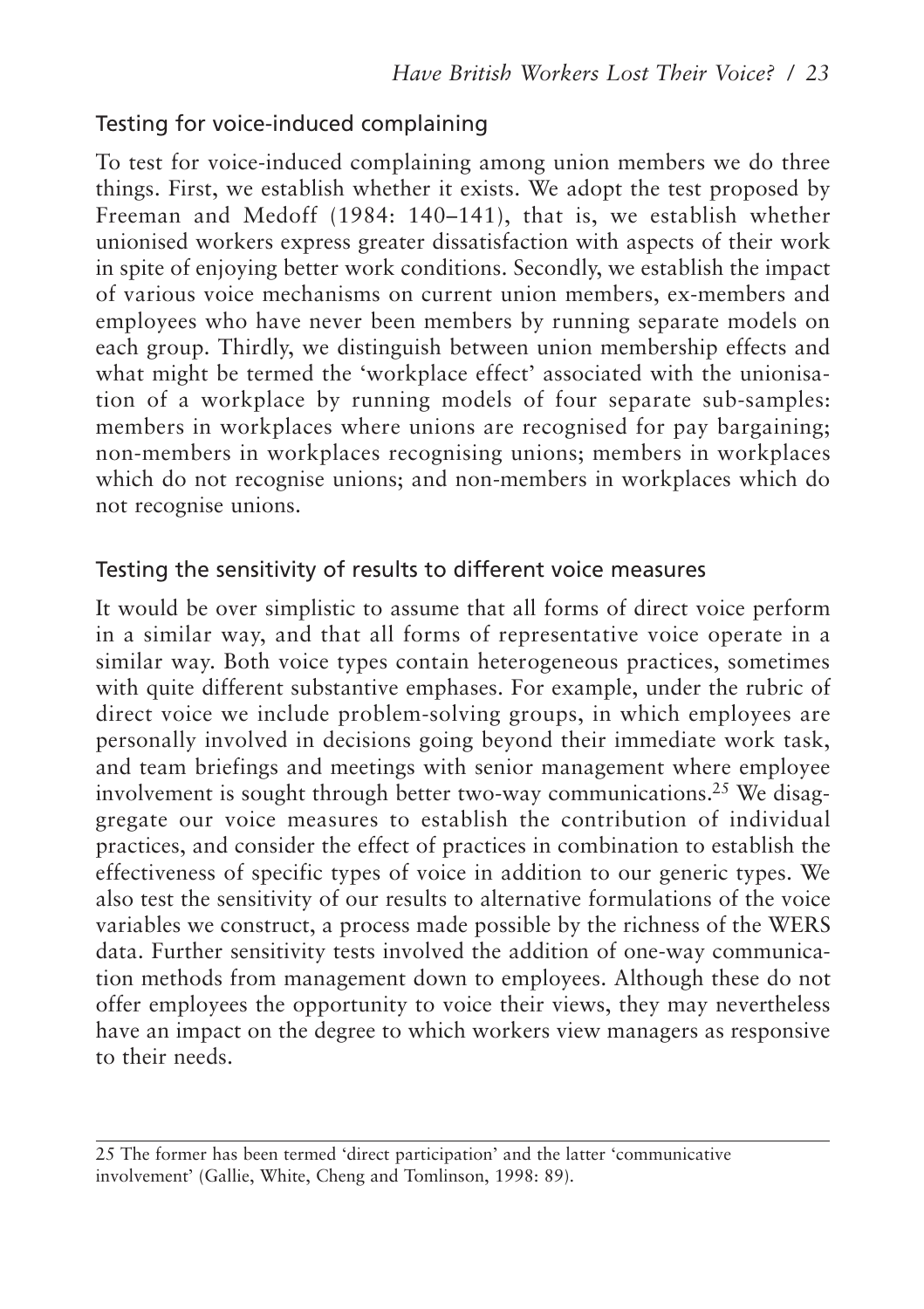## Testing for voice-induced complaining

To test for voice-induced complaining among union members we do three things. First, we establish whether it exists. We adopt the test proposed by Freeman and Medoff (1984: 140–141), that is, we establish whether unionised workers express greater dissatisfaction with aspects of their work in spite of enjoying better work conditions. Secondly, we establish the impact of various voice mechanisms on current union members, ex-members and employees who have never been members by running separate models on each group. Thirdly, we distinguish between union membership effects and what might be termed the 'workplace effect' associated with the unionisation of a workplace by running models of four separate sub-samples: members in workplaces where unions are recognised for pay bargaining; non-members in workplaces recognising unions; members in workplaces which do not recognise unions; and non-members in workplaces which do not recognise unions.

#### Testing the sensitivity of results to different voice measures

It would be over simplistic to assume that all forms of direct voice perform in a similar way, and that all forms of representative voice operate in a similar way. Both voice types contain heterogeneous practices, sometimes with quite different substantive emphases. For example, under the rubric of direct voice we include problem-solving groups, in which employees are personally involved in decisions going beyond their immediate work task, and team briefings and meetings with senior management where employee involvement is sought through better two-way communications.25 We disaggregate our voice measures to establish the contribution of individual practices, and consider the effect of practices in combination to establish the effectiveness of specific types of voice in addition to our generic types. We also test the sensitivity of our results to alternative formulations of the voice variables we construct, a process made possible by the richness of the WERS data. Further sensitivity tests involved the addition of one-way communication methods from management down to employees. Although these do not offer employees the opportunity to voice their views, they may nevertheless have an impact on the degree to which workers view managers as responsive to their needs.

<sup>25</sup> The former has been termed 'direct participation' and the latter 'communicative involvement' (Gallie, White, Cheng and Tomlinson, 1998: 89).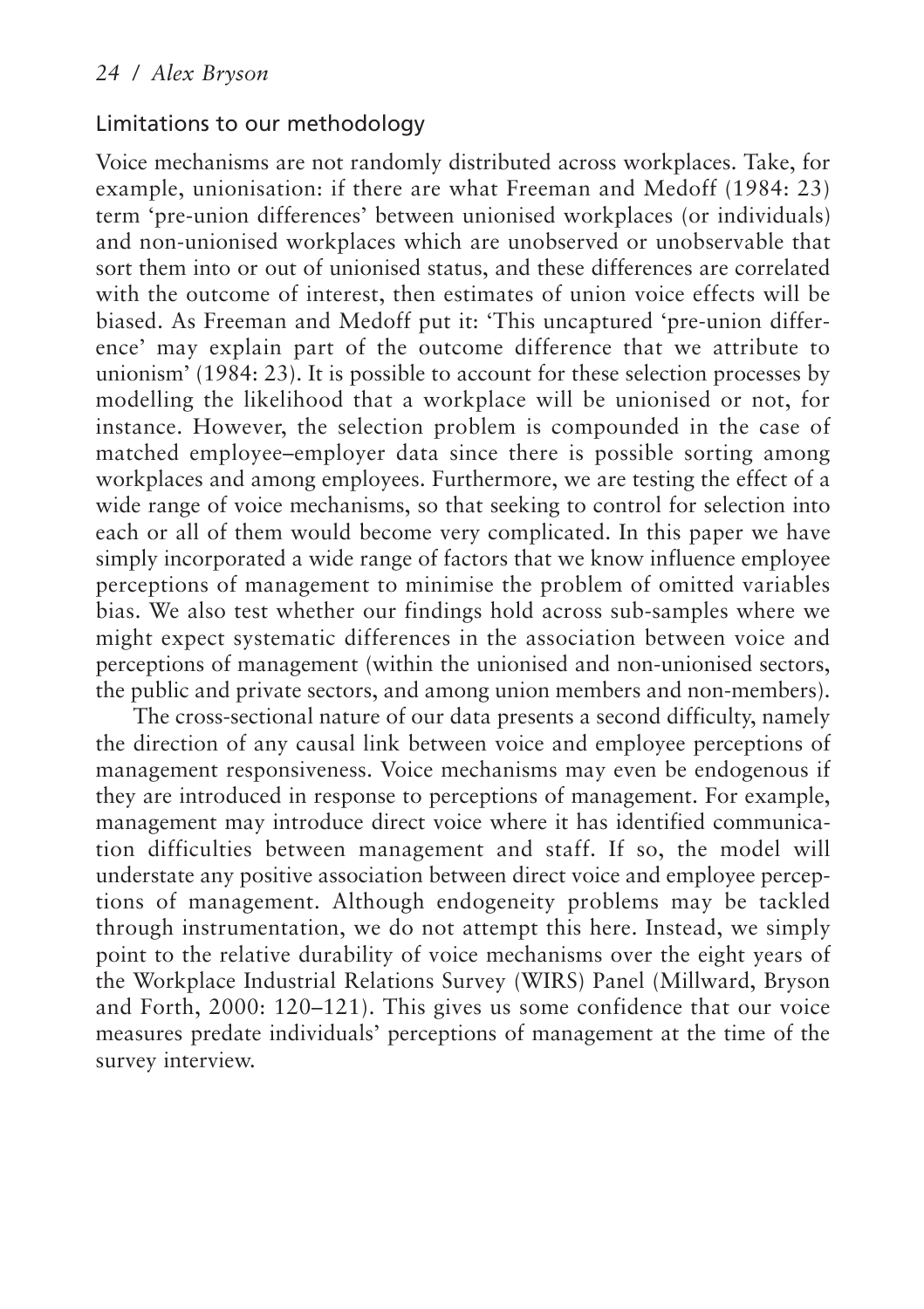#### Limitations to our methodology

Voice mechanisms are not randomly distributed across workplaces. Take, for example, unionisation: if there are what Freeman and Medoff (1984: 23) term 'pre-union differences' between unionised workplaces (or individuals) and non-unionised workplaces which are unobserved or unobservable that sort them into or out of unionised status, and these differences are correlated with the outcome of interest, then estimates of union voice effects will be biased. As Freeman and Medoff put it: 'This uncaptured 'pre-union difference' may explain part of the outcome difference that we attribute to unionism' (1984: 23). It is possible to account for these selection processes by modelling the likelihood that a workplace will be unionised or not, for instance. However, the selection problem is compounded in the case of matched employee–employer data since there is possible sorting among workplaces and among employees. Furthermore, we are testing the effect of a wide range of voice mechanisms, so that seeking to control for selection into each or all of them would become very complicated. In this paper we have simply incorporated a wide range of factors that we know influence employee perceptions of management to minimise the problem of omitted variables bias. We also test whether our findings hold across sub-samples where we might expect systematic differences in the association between voice and perceptions of management (within the unionised and non-unionised sectors, the public and private sectors, and among union members and non-members).

The cross-sectional nature of our data presents a second difficulty, namely the direction of any causal link between voice and employee perceptions of management responsiveness. Voice mechanisms may even be endogenous if they are introduced in response to perceptions of management. For example, management may introduce direct voice where it has identified communication difficulties between management and staff. If so, the model will understate any positive association between direct voice and employee perceptions of management. Although endogeneity problems may be tackled through instrumentation, we do not attempt this here. Instead, we simply point to the relative durability of voice mechanisms over the eight years of the Workplace Industrial Relations Survey (WIRS) Panel (Millward, Bryson and Forth, 2000: 120–121). This gives us some confidence that our voice measures predate individuals' perceptions of management at the time of the survey interview.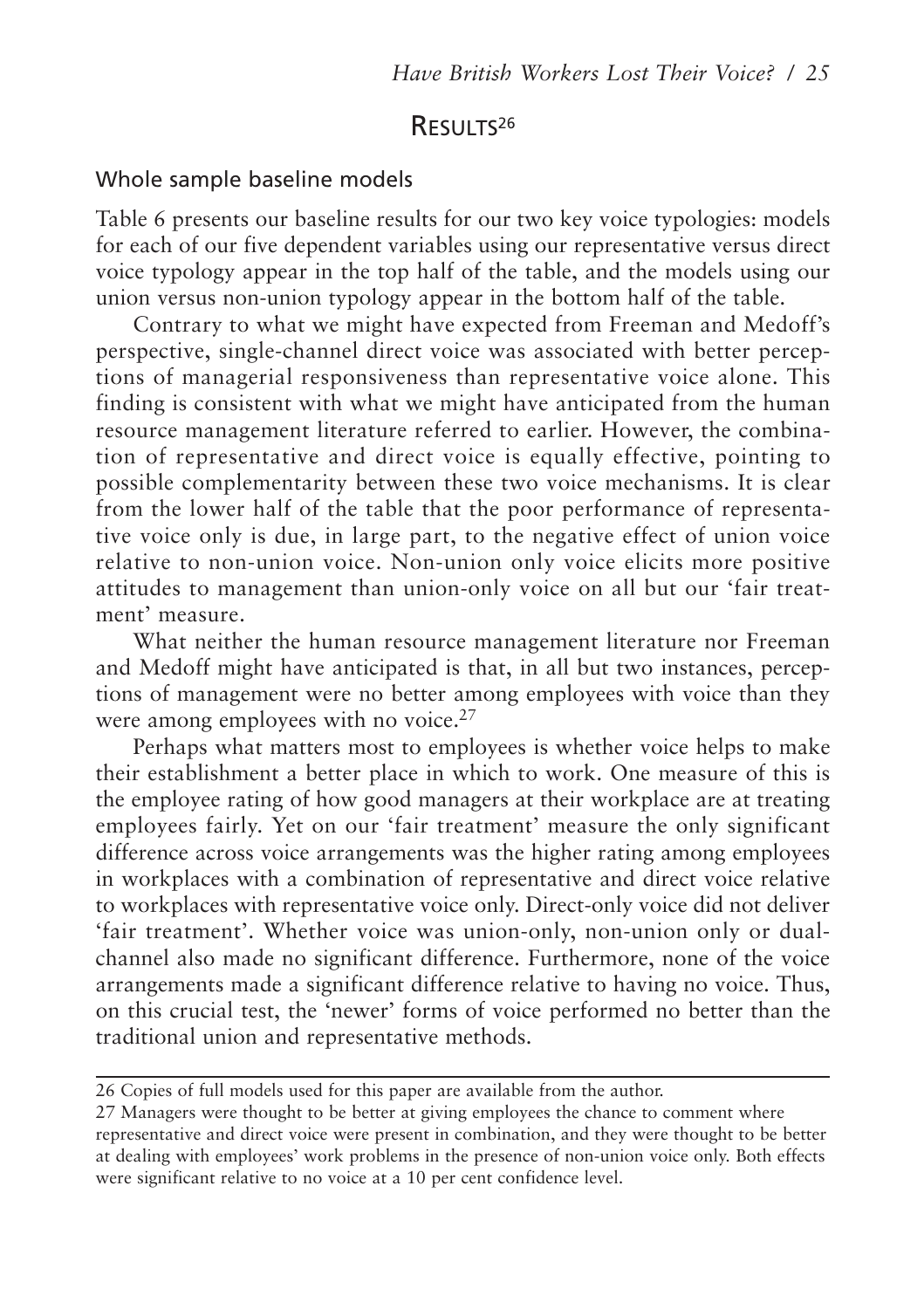## RESULTS<sup>26</sup>

#### Whole sample baseline models

Table 6 presents our baseline results for our two key voice typologies: models for each of our five dependent variables using our representative versus direct voice typology appear in the top half of the table, and the models using our union versus non-union typology appear in the bottom half of the table.

Contrary to what we might have expected from Freeman and Medoff's perspective, single-channel direct voice was associated with better perceptions of managerial responsiveness than representative voice alone. This finding is consistent with what we might have anticipated from the human resource management literature referred to earlier. However, the combination of representative and direct voice is equally effective, pointing to possible complementarity between these two voice mechanisms. It is clear from the lower half of the table that the poor performance of representative voice only is due, in large part, to the negative effect of union voice relative to non-union voice. Non-union only voice elicits more positive attitudes to management than union-only voice on all but our 'fair treatment' measure.

What neither the human resource management literature nor Freeman and Medoff might have anticipated is that, in all but two instances, perceptions of management were no better among employees with voice than they were among employees with no voice.<sup>27</sup>

Perhaps what matters most to employees is whether voice helps to make their establishment a better place in which to work. One measure of this is the employee rating of how good managers at their workplace are at treating employees fairly. Yet on our 'fair treatment' measure the only significant difference across voice arrangements was the higher rating among employees in workplaces with a combination of representative and direct voice relative to workplaces with representative voice only. Direct-only voice did not deliver 'fair treatment'. Whether voice was union-only, non-union only or dualchannel also made no significant difference. Furthermore, none of the voice arrangements made a significant difference relative to having no voice. Thus, on this crucial test, the 'newer' forms of voice performed no better than the traditional union and representative methods.

<sup>26</sup> Copies of full models used for this paper are available from the author.

<sup>27</sup> Managers were thought to be better at giving employees the chance to comment where representative and direct voice were present in combination, and they were thought to be better at dealing with employees' work problems in the presence of non-union voice only. Both effects were significant relative to no voice at a 10 per cent confidence level.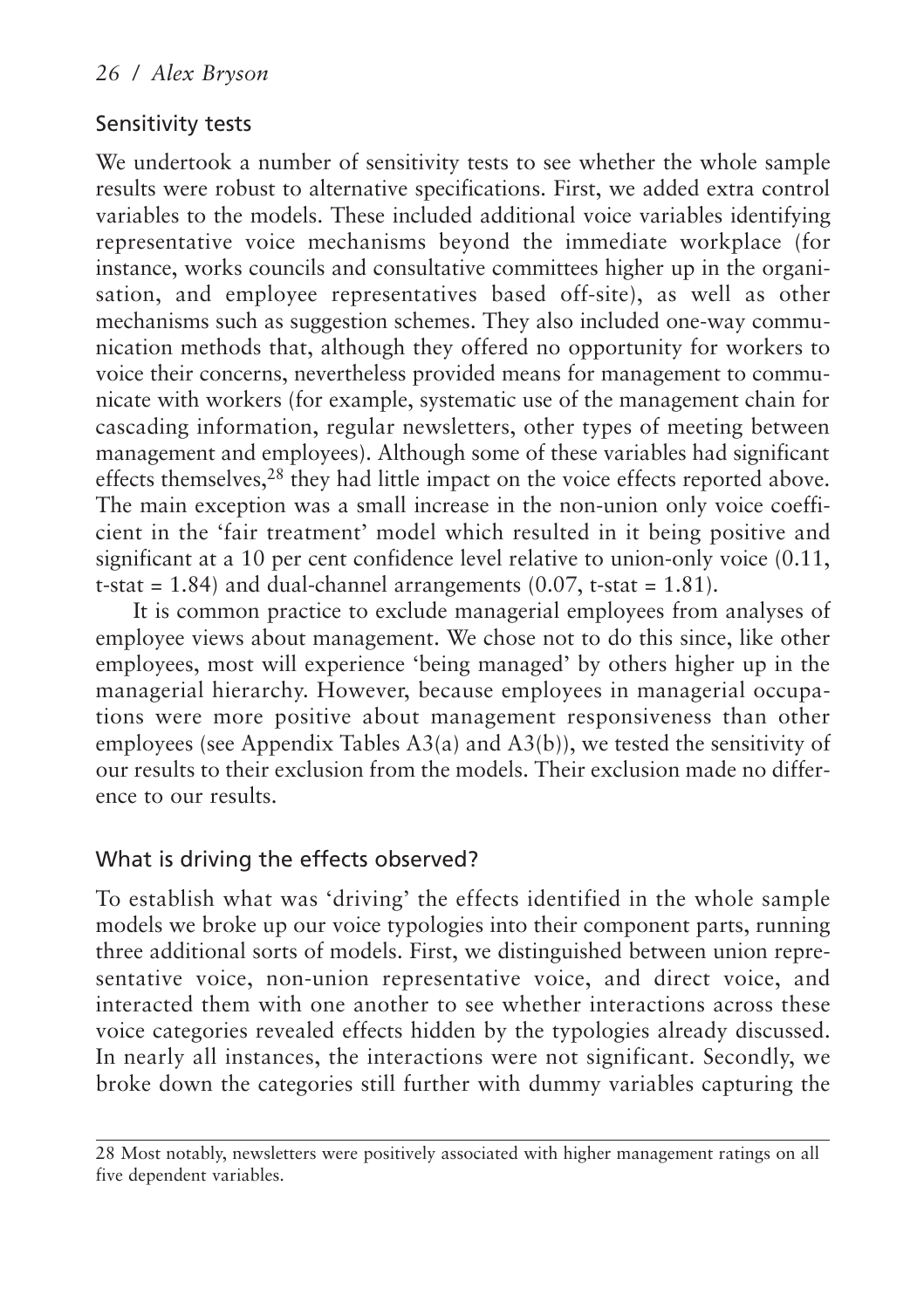#### Sensitivity tests

We undertook a number of sensitivity tests to see whether the whole sample results were robust to alternative specifications. First, we added extra control variables to the models. These included additional voice variables identifying representative voice mechanisms beyond the immediate workplace (for instance, works councils and consultative committees higher up in the organisation, and employee representatives based off-site), as well as other mechanisms such as suggestion schemes. They also included one-way communication methods that, although they offered no opportunity for workers to voice their concerns, nevertheless provided means for management to communicate with workers (for example, systematic use of the management chain for cascading information, regular newsletters, other types of meeting between management and employees). Although some of these variables had significant effects themselves,<sup>28</sup> they had little impact on the voice effects reported above. The main exception was a small increase in the non-union only voice coefficient in the 'fair treatment' model which resulted in it being positive and significant at a 10 per cent confidence level relative to union-only voice  $(0.11, 1.1)$ t-stat =  $1.84$ ) and dual-channel arrangements  $(0.07, t\text{-stat} = 1.81)$ .

It is common practice to exclude managerial employees from analyses of employee views about management. We chose not to do this since, like other employees, most will experience 'being managed' by others higher up in the managerial hierarchy. However, because employees in managerial occupations were more positive about management responsiveness than other employees (see Appendix Tables A3(a) and A3(b)), we tested the sensitivity of our results to their exclusion from the models. Their exclusion made no difference to our results.

#### What is driving the effects observed?

To establish what was 'driving' the effects identified in the whole sample models we broke up our voice typologies into their component parts, running three additional sorts of models. First, we distinguished between union representative voice, non-union representative voice, and direct voice, and interacted them with one another to see whether interactions across these voice categories revealed effects hidden by the typologies already discussed. In nearly all instances, the interactions were not significant. Secondly, we broke down the categories still further with dummy variables capturing the

<sup>28</sup> Most notably, newsletters were positively associated with higher management ratings on all five dependent variables.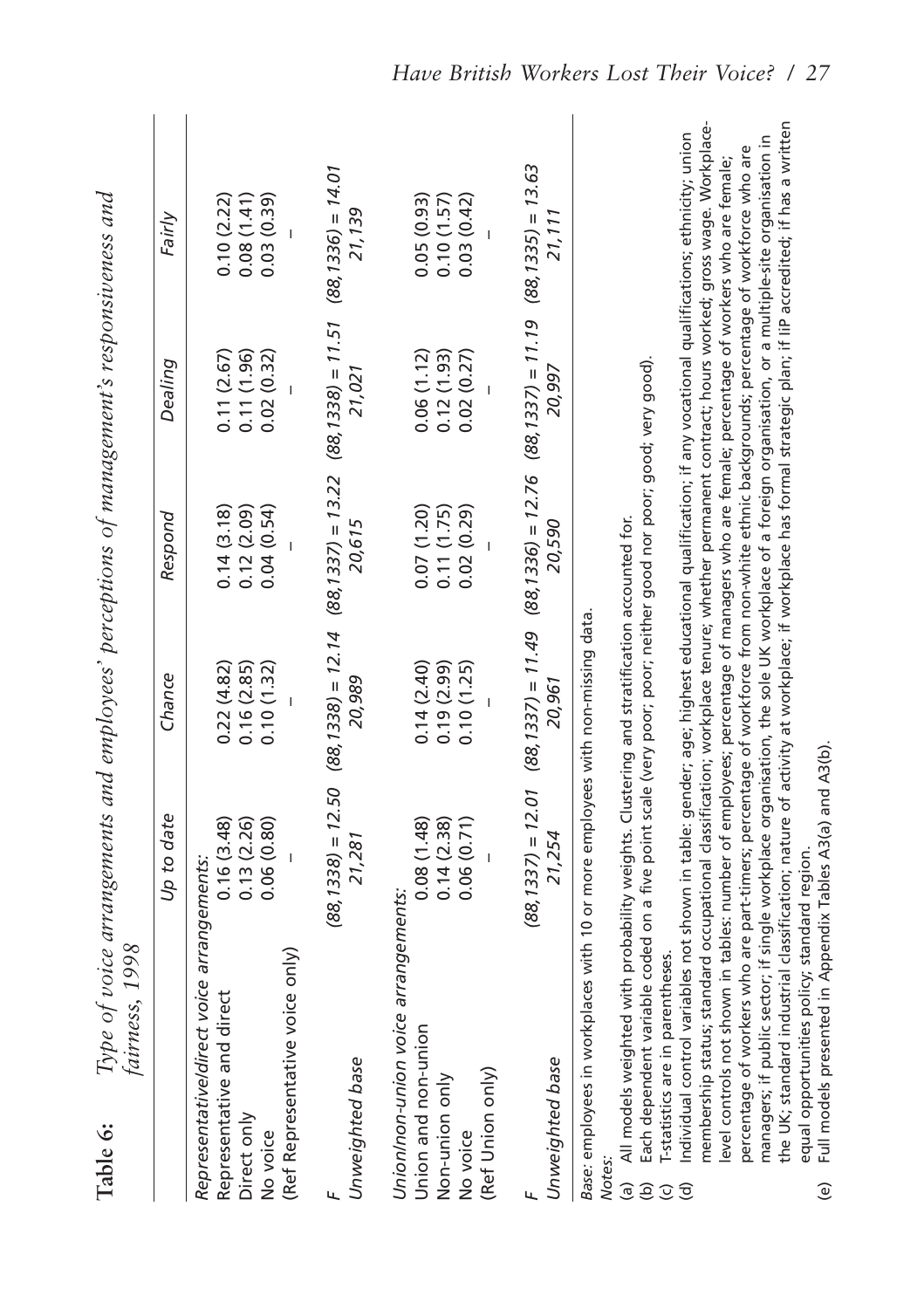| Table 6:                                                                        | Jatrness, 1998                                                                                                                                                                                                                                                                                                                                                                                                                                                                                                                                                                                                                                                                                                                                                                                                                                                                                                                                                                                                                                                                                                                                                                                                                         | Type of voice arrangements and employees' perceptions of management's responsiveness and |                                        |                                                                                                                    |                                        |                                        |
|---------------------------------------------------------------------------------|----------------------------------------------------------------------------------------------------------------------------------------------------------------------------------------------------------------------------------------------------------------------------------------------------------------------------------------------------------------------------------------------------------------------------------------------------------------------------------------------------------------------------------------------------------------------------------------------------------------------------------------------------------------------------------------------------------------------------------------------------------------------------------------------------------------------------------------------------------------------------------------------------------------------------------------------------------------------------------------------------------------------------------------------------------------------------------------------------------------------------------------------------------------------------------------------------------------------------------------|------------------------------------------------------------------------------------------|----------------------------------------|--------------------------------------------------------------------------------------------------------------------|----------------------------------------|----------------------------------------|
|                                                                                 |                                                                                                                                                                                                                                                                                                                                                                                                                                                                                                                                                                                                                                                                                                                                                                                                                                                                                                                                                                                                                                                                                                                                                                                                                                        | Up to date                                                                               | Chance                                 | Respond                                                                                                            | Dealing                                | Fairly                                 |
| Direct only<br>No voice                                                         | Representative/direct voice arrangements:<br>(Ref Representative voice only)<br>Representative and direct                                                                                                                                                                                                                                                                                                                                                                                                                                                                                                                                                                                                                                                                                                                                                                                                                                                                                                                                                                                                                                                                                                                              | 0.13(2.26)<br>0.06(0.80)<br>0.16(3.48)                                                   | 0.22(4.82)<br>0.16(2.85)<br>0.10(1.32) | 0.12(2.09)<br>0.04(0.54)<br>0.14(3.18)                                                                             | 0.11(2.67)<br>0.11(1.96)<br>0.02(0.32) | 0.08(1.41)<br>0.10(2.22)<br>0.03(0.39) |
| ц                                                                               | Unweighted base                                                                                                                                                                                                                                                                                                                                                                                                                                                                                                                                                                                                                                                                                                                                                                                                                                                                                                                                                                                                                                                                                                                                                                                                                        | 21,281                                                                                   | 20,989                                 | $(88, 1338) = 12.50$ $(88, 1338) = 12.14$ $(88, 1337) = 13.22$ $(88, 1338) = 11.51$ $(88, 1336) = 14.01$<br>20,615 | 21,021                                 | 21,139                                 |
| No voice                                                                        | Union/non-union voice arrangements:<br>Union and non-union<br>(Ref Union only)<br>Non-union only                                                                                                                                                                                                                                                                                                                                                                                                                                                                                                                                                                                                                                                                                                                                                                                                                                                                                                                                                                                                                                                                                                                                       | 0.08(1.48)<br>0.14(2.38)<br>0.06(0.71)                                                   | 0.14(2.40)<br>0.19(2.99)<br>0.10(1.25) | 0.07(1.20)<br>0.11(1.75)<br>0.02(0.29)                                                                             | 0.12(1.93)<br>0.06(1.12)<br>0.02(0.27) | 0.10(1.57)<br>0.05(0.93)<br>0.03(0.42) |
|                                                                                 | Unweighted base                                                                                                                                                                                                                                                                                                                                                                                                                                                                                                                                                                                                                                                                                                                                                                                                                                                                                                                                                                                                                                                                                                                                                                                                                        | 21,254                                                                                   | 20,961                                 | $(88, 1337) = 12.01$ $(88, 1337) = 11.49$ $(88, 1336) = 12.76$ $(88, 1337) = 11.19$ $(88, 1335) = 13.63$<br>20,590 | 20,997                                 | 21,111                                 |
| <b>Notes</b><br>$\widehat{a}$<br>$\widehat{e}$<br>$\odot$<br>$\widehat{\sigma}$ | the UK; standard industrial classification; nature of activity at workplace; if workplace has formal strategic plan; if IIP accredited; if has a written<br>membership status; standard occupational classification; workplace tenure; whether permanent contract; hours worked; gross wage. Workplace-<br>ndividual control variables not shown in table: gender; age; highest educational qualification; if any vocational qualifications; ethnicity; union<br>managers; if public sector; if single workplace organisation, the sole UK workplace of a foreign organisation, or a multiple-site organisation in<br>percentage of workers who are part-timers; percentage of workforce from non-white ethnic backgrounds; percentage of workforce who are<br>evel controls not shown in tables: number of employees; percentage of managers who are female; percentage of workers who are female;<br>Each dependent variable coded on a five point scale (very poor; poor; neither good nor poor; good; very good).<br>All models weighted with probability weights. Clustering and stratification accounted for.<br>Base: employees in workplaces with 10 or more employees with non-missing data<br>-statistics are in parentheses |                                                                                          |                                        |                                                                                                                    |                                        |                                        |

Full models presented in Appendix Tables A3(a) and A3(b). (e) Full models presented in Appendix Tables A3(a) and A3(b).equal opportunities policy; standard region. equal opportunities policy; standard region.  $\Theta$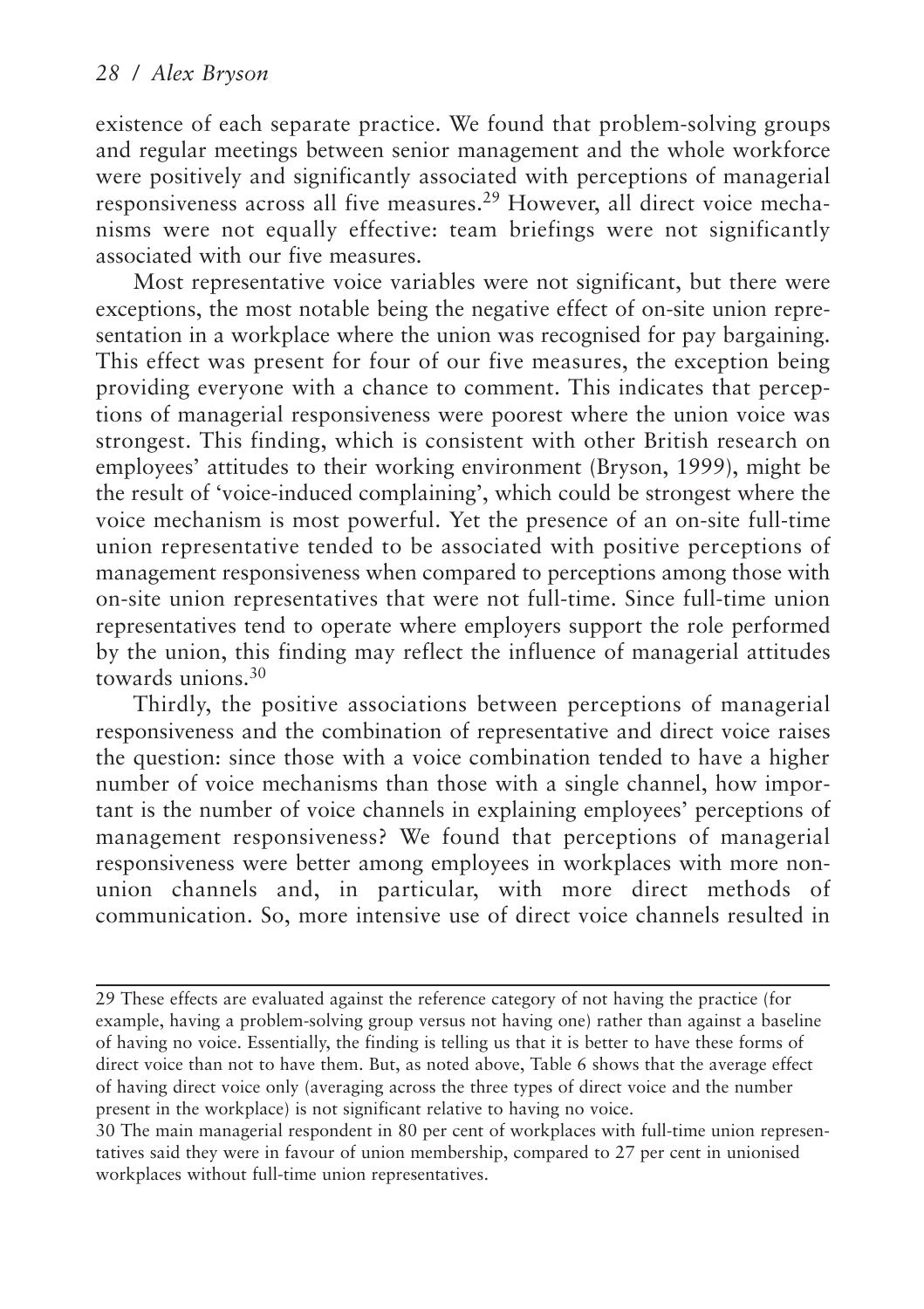existence of each separate practice. We found that problem-solving groups and regular meetings between senior management and the whole workforce were positively and significantly associated with perceptions of managerial responsiveness across all five measures.<sup>29</sup> However, all direct voice mechanisms were not equally effective: team briefings were not significantly associated with our five measures.

Most representative voice variables were not significant, but there were exceptions, the most notable being the negative effect of on-site union representation in a workplace where the union was recognised for pay bargaining. This effect was present for four of our five measures, the exception being providing everyone with a chance to comment. This indicates that perceptions of managerial responsiveness were poorest where the union voice was strongest. This finding, which is consistent with other British research on employees' attitudes to their working environment (Bryson, 1999), might be the result of 'voice-induced complaining', which could be strongest where the voice mechanism is most powerful. Yet the presence of an on-site full-time union representative tended to be associated with positive perceptions of management responsiveness when compared to perceptions among those with on-site union representatives that were not full-time. Since full-time union representatives tend to operate where employers support the role performed by the union, this finding may reflect the influence of managerial attitudes towards unions.<sup>30</sup>

Thirdly, the positive associations between perceptions of managerial responsiveness and the combination of representative and direct voice raises the question: since those with a voice combination tended to have a higher number of voice mechanisms than those with a single channel, how important is the number of voice channels in explaining employees' perceptions of management responsiveness? We found that perceptions of managerial responsiveness were better among employees in workplaces with more nonunion channels and, in particular, with more direct methods of communication. So, more intensive use of direct voice channels resulted in

<sup>29</sup> These effects are evaluated against the reference category of not having the practice (for example, having a problem-solving group versus not having one) rather than against a baseline of having no voice. Essentially, the finding is telling us that it is better to have these forms of direct voice than not to have them. But, as noted above, Table 6 shows that the average effect of having direct voice only (averaging across the three types of direct voice and the number present in the workplace) is not significant relative to having no voice.

<sup>30</sup> The main managerial respondent in 80 per cent of workplaces with full-time union representatives said they were in favour of union membership, compared to 27 per cent in unionised workplaces without full-time union representatives.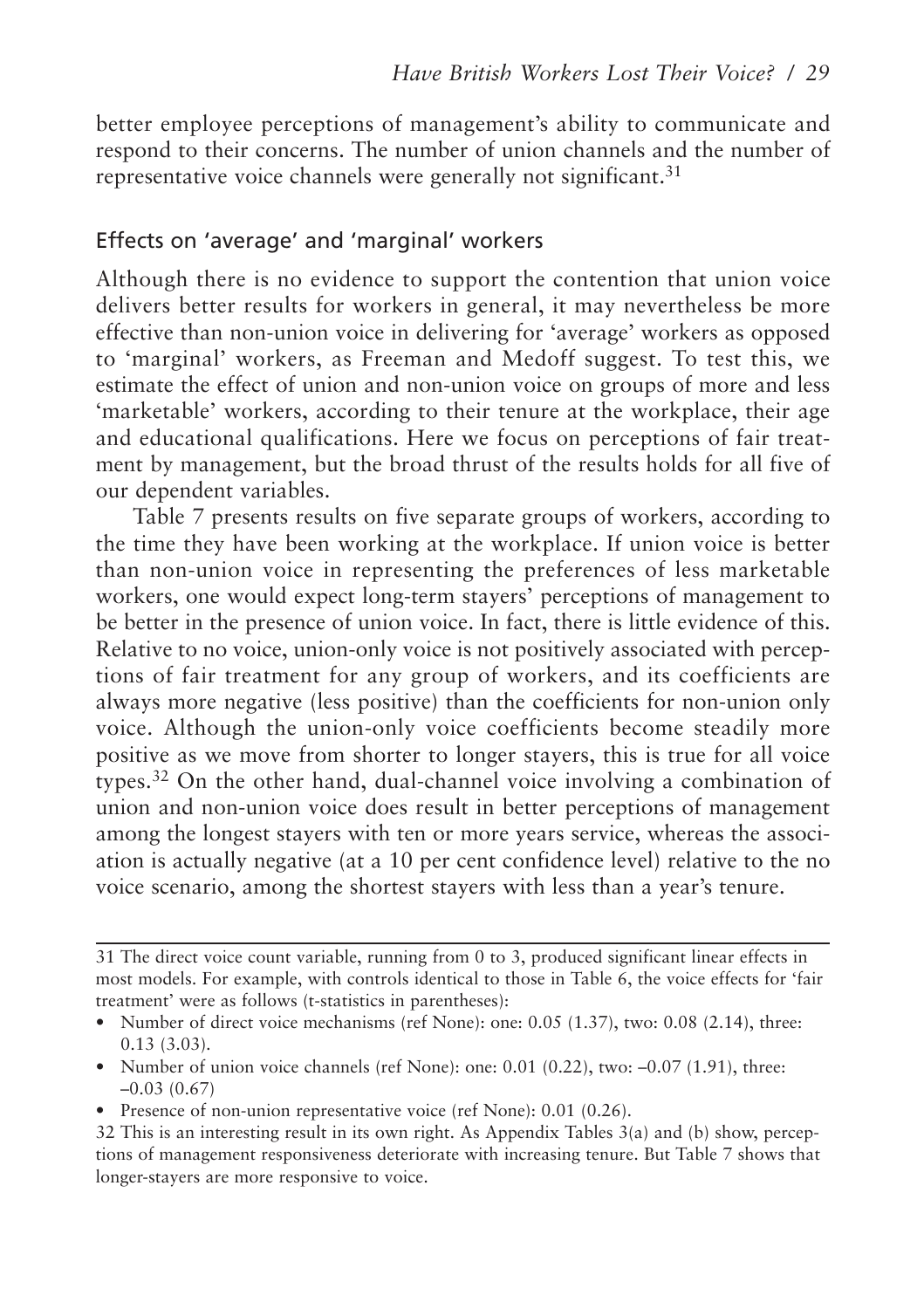better employee perceptions of management's ability to communicate and respond to their concerns. The number of union channels and the number of representative voice channels were generally not significant.<sup>31</sup>

#### Effects on 'average' and 'marginal' workers

Although there is no evidence to support the contention that union voice delivers better results for workers in general, it may nevertheless be more effective than non-union voice in delivering for 'average' workers as opposed to 'marginal' workers, as Freeman and Medoff suggest. To test this, we estimate the effect of union and non-union voice on groups of more and less 'marketable' workers, according to their tenure at the workplace, their age and educational qualifications. Here we focus on perceptions of fair treatment by management, but the broad thrust of the results holds for all five of our dependent variables.

Table 7 presents results on five separate groups of workers, according to the time they have been working at the workplace. If union voice is better than non-union voice in representing the preferences of less marketable workers, one would expect long-term stayers' perceptions of management to be better in the presence of union voice. In fact, there is little evidence of this. Relative to no voice, union-only voice is not positively associated with perceptions of fair treatment for any group of workers, and its coefficients are always more negative (less positive) than the coefficients for non-union only voice. Although the union-only voice coefficients become steadily more positive as we move from shorter to longer stayers, this is true for all voice types.<sup>32</sup> On the other hand, dual-channel voice involving a combination of union and non-union voice does result in better perceptions of management among the longest stayers with ten or more years service, whereas the association is actually negative (at a 10 per cent confidence level) relative to the no voice scenario, among the shortest stayers with less than a year's tenure.

- Number of union voice channels (ref None): one:  $0.01$   $(0.22)$ , two:  $-0.07$   $(1.91)$ , three: –0.03 (0.67)
- Presence of non-union representative voice (ref None): 0.01 (0.26).

<sup>31</sup> The direct voice count variable, running from 0 to 3, produced significant linear effects in most models. For example, with controls identical to those in Table 6, the voice effects for 'fair treatment' were as follows (t-statistics in parentheses):

<sup>•</sup> Number of direct voice mechanisms (ref None): one: 0.05 (1.37), two: 0.08 (2.14), three: 0.13 (3.03).

<sup>32</sup> This is an interesting result in its own right. As Appendix Tables 3(a) and (b) show, perceptions of management responsiveness deteriorate with increasing tenure. But Table 7 shows that longer-stayers are more responsive to voice.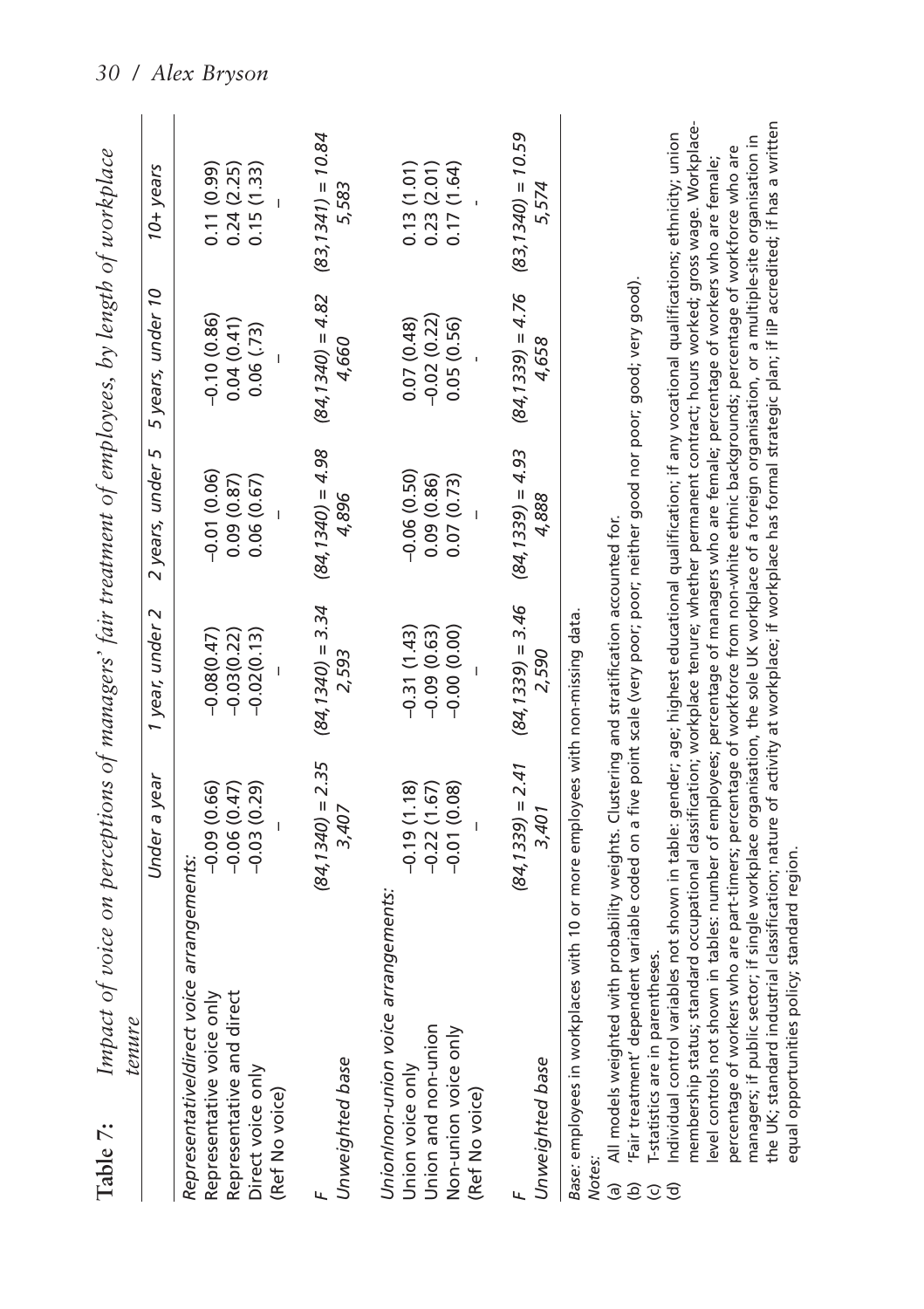| Table 7:                  | Impact of voice on perceptions of managers' fair treatment of employees, by length of workplace                                                                                                                                                                                                                                                                                                                                                                                                                                                                                                                                                                                                                                                                                                                                                                                                                                                     |                                                     |                                                 |                                           |                                           |                                        |
|---------------------------|-----------------------------------------------------------------------------------------------------------------------------------------------------------------------------------------------------------------------------------------------------------------------------------------------------------------------------------------------------------------------------------------------------------------------------------------------------------------------------------------------------------------------------------------------------------------------------------------------------------------------------------------------------------------------------------------------------------------------------------------------------------------------------------------------------------------------------------------------------------------------------------------------------------------------------------------------------|-----------------------------------------------------|-------------------------------------------------|-------------------------------------------|-------------------------------------------|----------------------------------------|
|                           | tenure                                                                                                                                                                                                                                                                                                                                                                                                                                                                                                                                                                                                                                                                                                                                                                                                                                                                                                                                              |                                                     |                                                 |                                           |                                           |                                        |
|                           |                                                                                                                                                                                                                                                                                                                                                                                                                                                                                                                                                                                                                                                                                                                                                                                                                                                                                                                                                     | Under a year                                        | 1 year, under 2                                 | 2 years, under 5                          | 5 years, under 10                         | 10+ years                              |
|                           | Representative/direct voice arrangements.<br>Representative voice only<br>Representative and direct<br>Direct voice only<br>(Ref No voice)                                                                                                                                                                                                                                                                                                                                                                                                                                                                                                                                                                                                                                                                                                                                                                                                          | $-0.09(0.66)$<br>$(62.0)$ $(0.29)$<br>$-0.06(0.47)$ | $-0.08(0.47)$<br>$-0.02(0.13)$<br>$-0.03(0.22)$ | $-0.01(0.06)$<br>0.09(0.87)<br>0.06(0.67) | $-0.10(0.86)$<br>0.04(0.41)<br>0.06(73)   | 0.11(0.99)<br>0.15(1.33)<br>0.24(2.25) |
|                           | Unweighted base                                                                                                                                                                                                                                                                                                                                                                                                                                                                                                                                                                                                                                                                                                                                                                                                                                                                                                                                     | $(84, 1340) = 2.35$<br>3,407                        | $(84, 1340) = 3.34$<br>2.593                    | $(84, 1340) = 4.98$<br>4,896              | $(84, 1340) = 4.82$<br>4.660              | $(83, 1341) = 10.84$<br>5.583          |
|                           | Union/non-union voice arrangements<br>Union and non-union<br>Non-union voice only<br>Union voice only<br>(Ref No voice)                                                                                                                                                                                                                                                                                                                                                                                                                                                                                                                                                                                                                                                                                                                                                                                                                             | $-0.19(1.18)$<br>$-0.22(1.67)$<br>$-0.01(0.08)$     | $-0.31(1.43)$<br>$-0.09(0.63)$<br>$-0.00(0.00)$ | $-0.06(0.50)$<br>0.09(0.86)<br>0.07(0.73) | $-0.02(0.22)$<br>0.07(0.48)<br>0.05(0.56) | 0.13(1.01)<br>0.23(2.01)<br>0.17(1.64) |
|                           | Unweighted base                                                                                                                                                                                                                                                                                                                                                                                                                                                                                                                                                                                                                                                                                                                                                                                                                                                                                                                                     | $(84, 1339) = 2.41$<br>3.401                        | $(84, 1339) = 3.46$<br>2,590                    | $(84, 1339) = 4.93$<br>4,888              | $(84, 1339) = 4.76$<br>4,658              | $(83, 1340) = 10.59$<br>5.574          |
|                           | Base: employees in workplaces with 10 or more employees with non-missing data                                                                                                                                                                                                                                                                                                                                                                                                                                                                                                                                                                                                                                                                                                                                                                                                                                                                       |                                                     |                                                 |                                           |                                           |                                        |
| <u>ම</u><br>ЭÓ<br>$\odot$ | Fair treatment' dependent variable coded on a five point scale (very poor; poor; neither good nor poor; good; very good).<br>All models weighted with probability weights. Clustering and stratification accounted for.<br>-statistics are in parentheses                                                                                                                                                                                                                                                                                                                                                                                                                                                                                                                                                                                                                                                                                           |                                                     |                                                 |                                           |                                           |                                        |
| ত                         | membership status; standard occupational classification; workplace tenure; whether permanent contract; hours worked; gross wage. Workplace-<br>the UK; standard industrial classification; nature of activity at workplace; if workplace has formal strategic plan; if liP accredited; if has a written<br>ndividual control variables not shown in table: gender; age; highest educational qualification; if any vocational qualifications; ethnicity; union<br>manaqers; if public sector; if single workplace organisation, the sole UK workplace of a foreign organisation, or a multiple-site organisation in<br>percentage of workers who are part-timers; percentage of workforce from non-white ethnic backgrounds; percentage of workforce who are<br>evel controls not shown in tables: number of employees; percentage of managers who are female; percentage of workers who are female;<br>equal opportunities policy; standard region. |                                                     |                                                 |                                           |                                           |                                        |

*30 / Alex Bryson*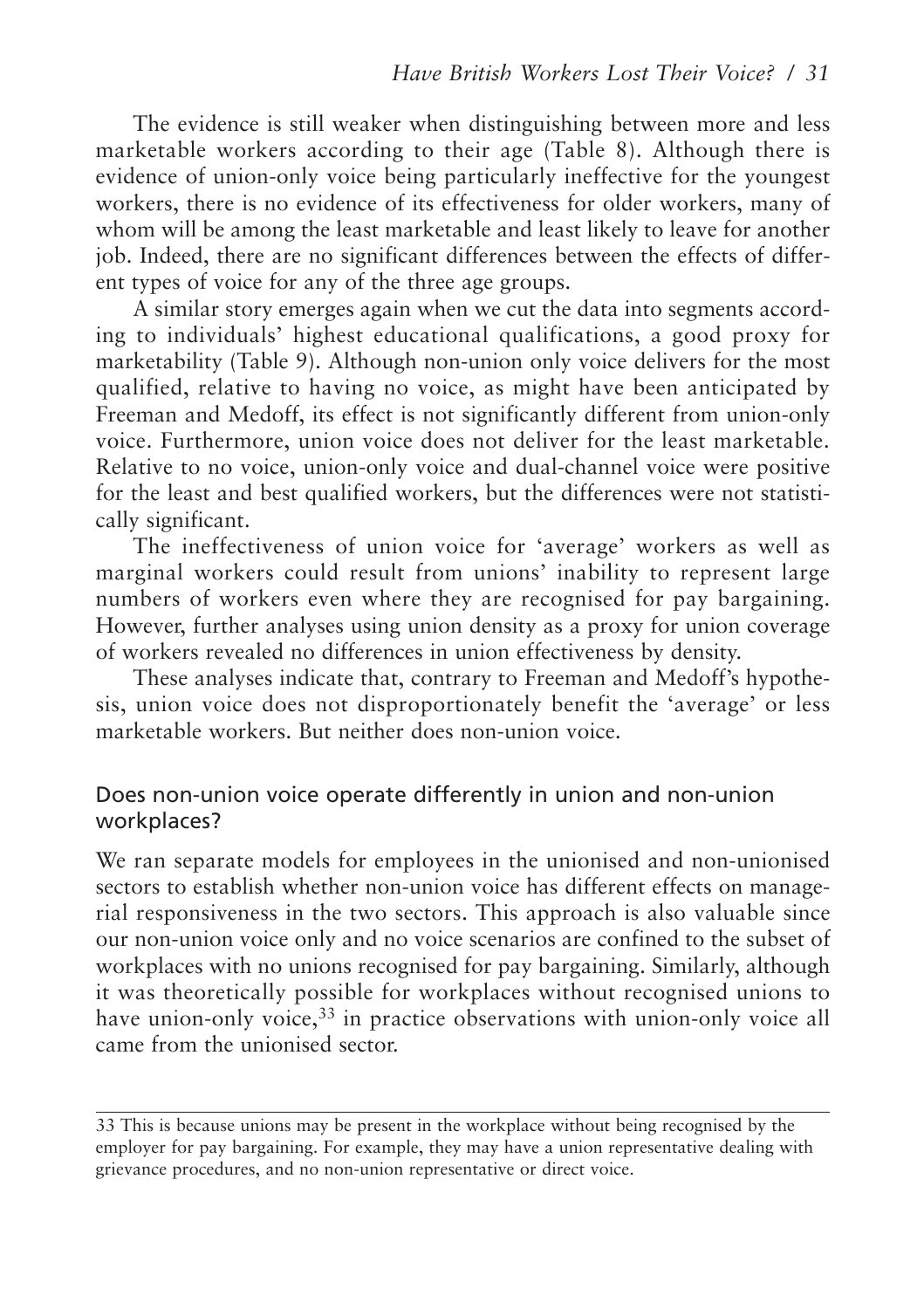The evidence is still weaker when distinguishing between more and less marketable workers according to their age (Table 8). Although there is evidence of union-only voice being particularly ineffective for the youngest workers, there is no evidence of its effectiveness for older workers, many of whom will be among the least marketable and least likely to leave for another job. Indeed, there are no significant differences between the effects of different types of voice for any of the three age groups.

A similar story emerges again when we cut the data into segments according to individuals' highest educational qualifications, a good proxy for marketability (Table 9). Although non-union only voice delivers for the most qualified, relative to having no voice, as might have been anticipated by Freeman and Medoff, its effect is not significantly different from union-only voice. Furthermore, union voice does not deliver for the least marketable. Relative to no voice, union-only voice and dual-channel voice were positive for the least and best qualified workers, but the differences were not statistically significant.

The ineffectiveness of union voice for 'average' workers as well as marginal workers could result from unions' inability to represent large numbers of workers even where they are recognised for pay bargaining. However, further analyses using union density as a proxy for union coverage of workers revealed no differences in union effectiveness by density.

These analyses indicate that, contrary to Freeman and Medoff's hypothesis, union voice does not disproportionately benefit the 'average' or less marketable workers. But neither does non-union voice.

#### Does non-union voice operate differently in union and non-union workplaces?

We ran separate models for employees in the unionised and non-unionised sectors to establish whether non-union voice has different effects on managerial responsiveness in the two sectors. This approach is also valuable since our non-union voice only and no voice scenarios are confined to the subset of workplaces with no unions recognised for pay bargaining. Similarly, although it was theoretically possible for workplaces without recognised unions to have union-only voice,<sup>33</sup> in practice observations with union-only voice all came from the unionised sector.

<sup>33</sup> This is because unions may be present in the workplace without being recognised by the employer for pay bargaining. For example, they may have a union representative dealing with grievance procedures, and no non-union representative or direct voice.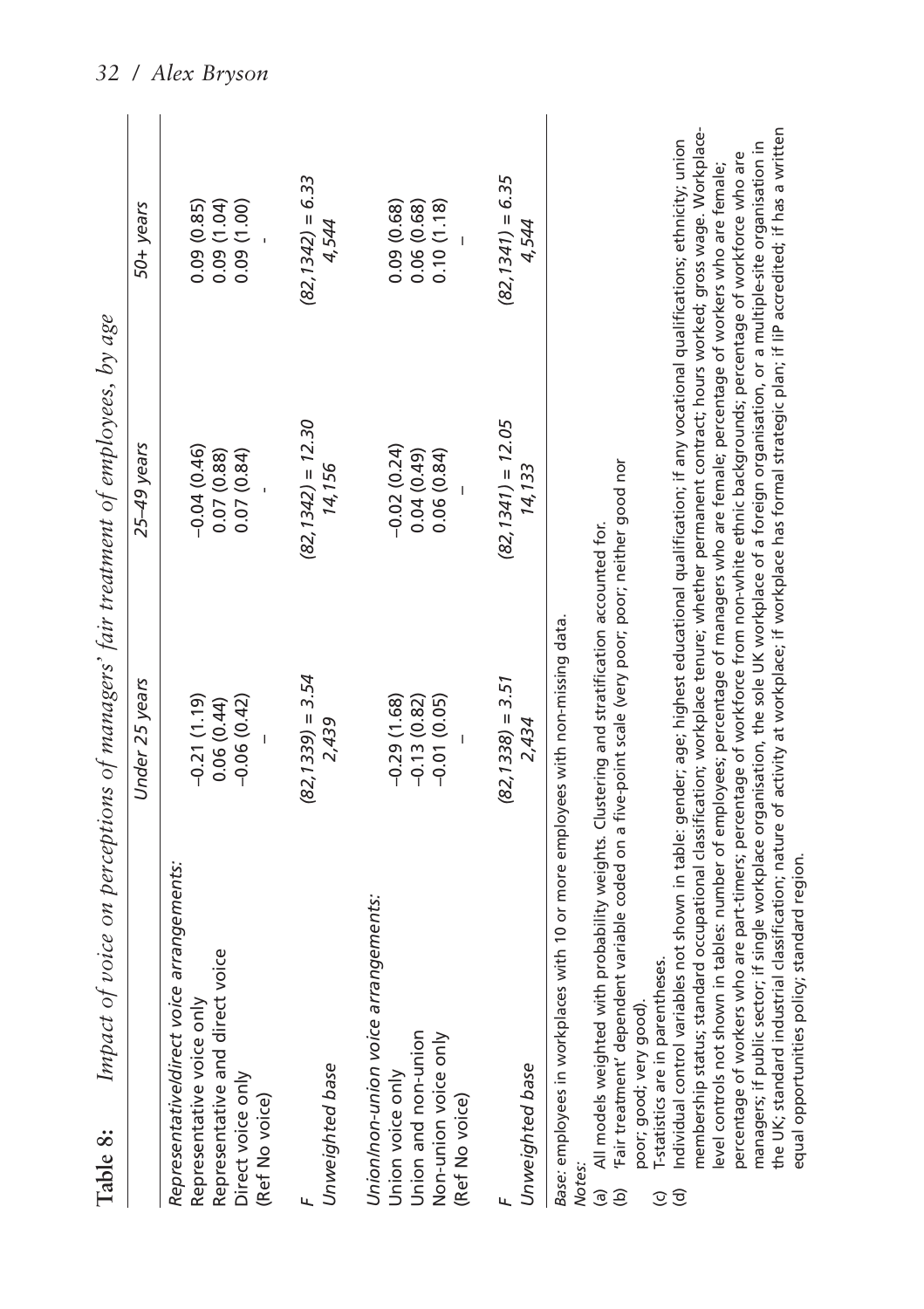|                                      | Table 8:                                                                                                                                                                                                                                                                                                                                             |                                                 | Impact of voice on perceptions of managers' fair treatment of employees, by age |                                        |
|--------------------------------------|------------------------------------------------------------------------------------------------------------------------------------------------------------------------------------------------------------------------------------------------------------------------------------------------------------------------------------------------------|-------------------------------------------------|---------------------------------------------------------------------------------|----------------------------------------|
|                                      |                                                                                                                                                                                                                                                                                                                                                      | Under 25 years                                  | 25-49 years                                                                     | 50+ years                              |
|                                      | Representative/direct voice arrangements:<br>Representative and direct voice<br>Representative voice only<br>Direct voice only<br>(Ref No voice)                                                                                                                                                                                                     | $-0.21(1.19)$<br>$-0.06(0.42)$<br>0.06(0.44)    | $-0.04(0.46)$<br>0.07(0.88)<br>0.07(0.84)                                       | 0.09(0.85)<br>(1.04)<br>0.09(1.00)     |
| Ч                                    | Unweighted base                                                                                                                                                                                                                                                                                                                                      | $(82, 1339) = 3.54$<br>2,439                    | $(82, 1342) = 12.30$<br>14,156                                                  | $(82, 1342) = 6.33$<br>4,544           |
|                                      | Union/non-union voice arrangements:<br>Union and non-union<br>Non-union voice only<br>Union voice only<br>(Ref No voice)                                                                                                                                                                                                                             | $-0.29(1.68)$<br>$-0.13(0.82)$<br>$-0.01(0.05)$ | $-0.02(0.24)$<br>$(64.0)$ $49$<br>0.06(0.84)                                    | 0.09(0.68)<br>0.06(0.68)<br>0.10(1.18) |
|                                      | Unweighted base                                                                                                                                                                                                                                                                                                                                      | $(82, 1338) = 3.51$<br>2,434                    | $(82, 1341) = 12.05$<br>14,133                                                  | $(82, 1341) = 6.35$<br>4,544           |
| Notes:<br>$\hat{e}$<br>$\mathcal{Q}$ | 'Fair treatment' dependent variable coded on a five-point scale (very poor; poor; neither good nor<br>(a) All models weighted with probability weights. Clustering and stratification accounted for.<br>Base: employees in workplaces with 10 or more employees with non-missing data.<br>T-statistics are in parentheses.<br>poor; good; very good) |                                                 |                                                                                 |                                        |

(c) T-statistics are in parentheses.

membership status; standard occupational classification; workplace tenure; whether permanent contract; hours worked; gross wage. Workplacemembership status; standard occupational classification; workplace tenure; whether permanent contract; hours worked; gross wage. Workplacethe UK; standard industrial classification; nature of activity at workplace; if workplace has formal strategic plan; if liP accredited; if has a written the UK; standard industrial classification; nature of activity at workplace; if workplace has formal strategic plan; if IiP accredited; if has a written Individual control variables not shown in table: gender; age; highest educational qualification; if any vocational qualifications; ethnicity; union managers; if public sector; if single workplace organisation, the sole UK workplace of a foreign organisation, or a multiple-site organisation in (d) Individual control variables not shown in table: gender; age; highest educational qualification; if any vocational qualifications; ethnicity; union managers; if public sector; if single workplace organisation, the sole UK workplace of a foreign organisation, or a multiple-site organisation in percentage of workers who are part-timers; percentage of workforce from non-white ethnic backgrounds; percentage of workforce who are percentage of workers who are part-timers; percentage of workforce from non-white ethnic backgrounds; percentage of workforce who are level controls not shown in tables: number of employees; percentage of managers who are female; percentage of workers who are female; level controls not shown in tables: number of employees; percentage of managers who are female; percentage of workers who are female; equal opportunities policy; standard region. equal opportunities policy; standard region. $\widehat{\sigma}$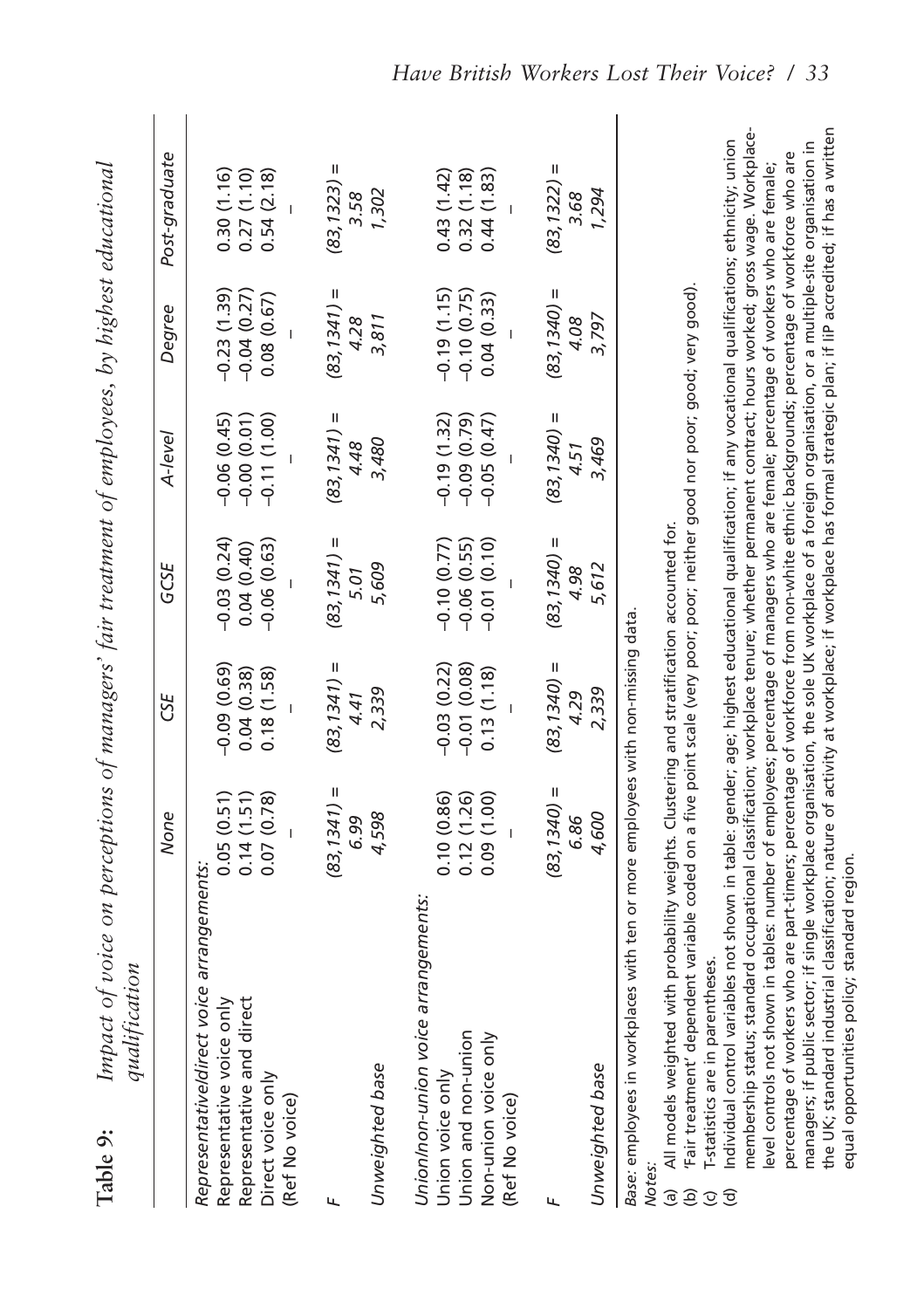| Table 9:<br>¢<br>F | )<br>キュヘィイ<br>Ï      | ֖֞֘֟ | i<br>ℷ<br>$\ddot{\phantom{0}}$ |  |
|--------------------|----------------------|------|--------------------------------|--|
|                    | $\ddot{\phantom{0}}$ |      |                                |  |

| qualification                                                                                                                                                                                                             |                |                |                |                |                |                |  |
|---------------------------------------------------------------------------------------------------------------------------------------------------------------------------------------------------------------------------|----------------|----------------|----------------|----------------|----------------|----------------|--|
|                                                                                                                                                                                                                           | None           | 5SE            | GCSE           | A-level        | Degree         | Post-graduate  |  |
| Representative/direct voice arrangements:<br>Representative voice only                                                                                                                                                    | 0.05(0.51)     | $-0.09(0.69)$  | $-0.03(0.24)$  | $-0.06(0.45)$  | $-0.23(1.39)$  | 0.30(1.16)     |  |
| Representative and direct                                                                                                                                                                                                 | 0.14(1.51)     | 0.04(0.38)     | 0.04(0.40)     | $-0.00(0.01)$  | $-0.04(0.27)$  | 0.27(1.10)     |  |
| Direct voice only<br>(Ref No voice)                                                                                                                                                                                       | 0.07 (0.78)    | 0.18(1.58)     | $-0.06(0.63)$  | $-0.11(1.00)$  | 0.08(0.67)     | 0.54(2.18)     |  |
|                                                                                                                                                                                                                           |                |                |                |                |                |                |  |
|                                                                                                                                                                                                                           | $(83, 1341) =$ | $(83, 1341) =$ | $(83, 1341) =$ | $(83, 1341) =$ | $(83, 1341) =$ | $(83, 1323) =$ |  |
| Unweighted base                                                                                                                                                                                                           | 4,598<br>6.99  | 2,339<br>4.41  | 5,609<br>5.01  | 3,480<br>4.48  | 4.28<br>3,811  | 1,302<br>3.58  |  |
|                                                                                                                                                                                                                           |                |                |                |                |                |                |  |
| Union/non-union voice arrangements:                                                                                                                                                                                       |                |                |                |                |                |                |  |
| Union voice only                                                                                                                                                                                                          | 0.10(0.86)     | $-0.03(0.22)$  | $-0.10(0.77)$  | $-0.19(1.32)$  | $-0.19(1.15)$  | 0.43(1.42)     |  |
| Union and non-union                                                                                                                                                                                                       | 0.12(1.26)     | $-0.01(0.08)$  | $-0.06(0.55)$  | $-0.09(0.79)$  | $-0.10(0.75)$  | 0.32(1.18)     |  |
| Non-union voice only                                                                                                                                                                                                      | 0.09(1.00)     | 0.13(1.18)     | $-0.01(0.10)$  | $-0.05(0.47)$  | 0.04(0.33)     | 0.44(1.83)     |  |
| (Ref No voice)                                                                                                                                                                                                            |                |                |                |                |                |                |  |
|                                                                                                                                                                                                                           | $(83, 1340) =$ | $(83, 1340) =$ | $(83, 1340) =$ | $(83, 1340) =$ | $(83, 1340) =$ | $(83, 1322) =$ |  |
|                                                                                                                                                                                                                           | 6.86           | 4.29           | 4.98           | 4.51           | 4.08           | 3.68           |  |
| Unweighted base                                                                                                                                                                                                           | 4,600          | 2,339          | 5,612          | 3,469          | 3,797          | 1,294          |  |
| Base: employees in workplaces with ten or more employees with non-missing data.<br>Notes:                                                                                                                                 |                |                |                |                |                |                |  |
| (h) 'Fair treatment' dependent variable coded op a five point scale (very poor: poor: paither good por poor: very good)<br>(a) All models weighted with probability weights. Clustering and stratification accounted for. |                |                |                |                |                |                |  |
|                                                                                                                                                                                                                           |                |                |                |                |                |                |  |

(b) 'Fair treatment' dependent variable coded on a five point scale (very poor; poor; neither good nor poor; good; very good). innon Sila innon innon in

T-statistics are in parentheses. (c) T-statistics are in parentheses. e o s

membership status; standard occupational classification; workplace tenure; whether permanent contract; hours worked; gross wage. Workplacemembership status; standard occupational classification; workplace tenure; whether permanent contract; hours worked; gross wage. Workplacethe UK; standard industrial classification; nature of activity at workplace; if workplace has formal strategic plan; if liP accredited; if has a written the UK; standard industrial classification; nature of activity at workplace; if workplace has formal strategic plan; if IiP accredited; if has a written ndividual control variables not shown in table: gender; age; highest educational qualification; if any vocational qualifications; ethnicity; union managers; if public sector; if single workplace organisation, the sole UK workplace of a foreign organisation, or a multiple-site organisation in (d) Individual control variables not shown in table: gender; age; highest educational qualification; if any vocational qualifications; ethnicity; union managers; if public sector; if single workplace organisation, the sole UK workplace of a foreign organisation, or a multiple-site organisation in percentage of workers who are part-timers; percentage of workforce from non-white ethnic backgrounds; percentage of workforce who are percentage of workers who are part-timers; percentage of workforce from non-white ethnic backgrounds; percentage of workforce who are evel controls not shown in tables: number of employees; percentage of managers who are female; percentage of workers who are female; level controls not shown in tables: number of employees; percentage of managers who are female; percentage of workers who are female; equal opportunities policy; standard region. equal opportunities policy; standard region.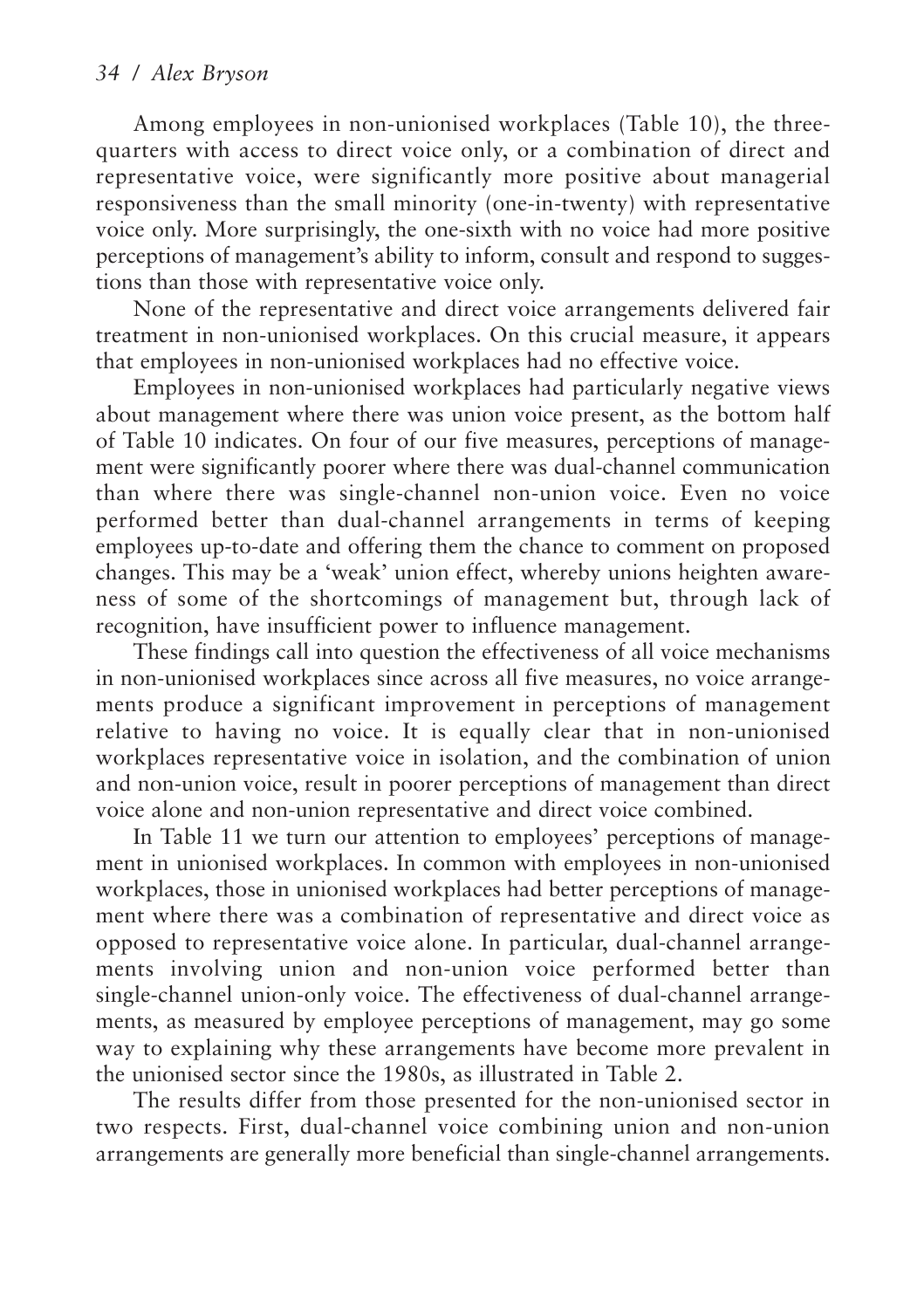Among employees in non-unionised workplaces (Table 10), the threequarters with access to direct voice only, or a combination of direct and representative voice, were significantly more positive about managerial responsiveness than the small minority (one-in-twenty) with representative voice only. More surprisingly, the one-sixth with no voice had more positive perceptions of management's ability to inform, consult and respond to suggestions than those with representative voice only.

None of the representative and direct voice arrangements delivered fair treatment in non-unionised workplaces. On this crucial measure, it appears that employees in non-unionised workplaces had no effective voice.

Employees in non-unionised workplaces had particularly negative views about management where there was union voice present, as the bottom half of Table 10 indicates. On four of our five measures, perceptions of management were significantly poorer where there was dual-channel communication than where there was single-channel non-union voice. Even no voice performed better than dual-channel arrangements in terms of keeping employees up-to-date and offering them the chance to comment on proposed changes. This may be a 'weak' union effect, whereby unions heighten awareness of some of the shortcomings of management but, through lack of recognition, have insufficient power to influence management.

These findings call into question the effectiveness of all voice mechanisms in non-unionised workplaces since across all five measures, no voice arrangements produce a significant improvement in perceptions of management relative to having no voice. It is equally clear that in non-unionised workplaces representative voice in isolation, and the combination of union and non-union voice, result in poorer perceptions of management than direct voice alone and non-union representative and direct voice combined.

In Table 11 we turn our attention to employees' perceptions of management in unionised workplaces. In common with employees in non-unionised workplaces, those in unionised workplaces had better perceptions of management where there was a combination of representative and direct voice as opposed to representative voice alone. In particular, dual-channel arrangements involving union and non-union voice performed better than single-channel union-only voice. The effectiveness of dual-channel arrangements, as measured by employee perceptions of management, may go some way to explaining why these arrangements have become more prevalent in the unionised sector since the 1980s, as illustrated in Table 2.

The results differ from those presented for the non-unionised sector in two respects. First, dual-channel voice combining union and non-union arrangements are generally more beneficial than single-channel arrangements.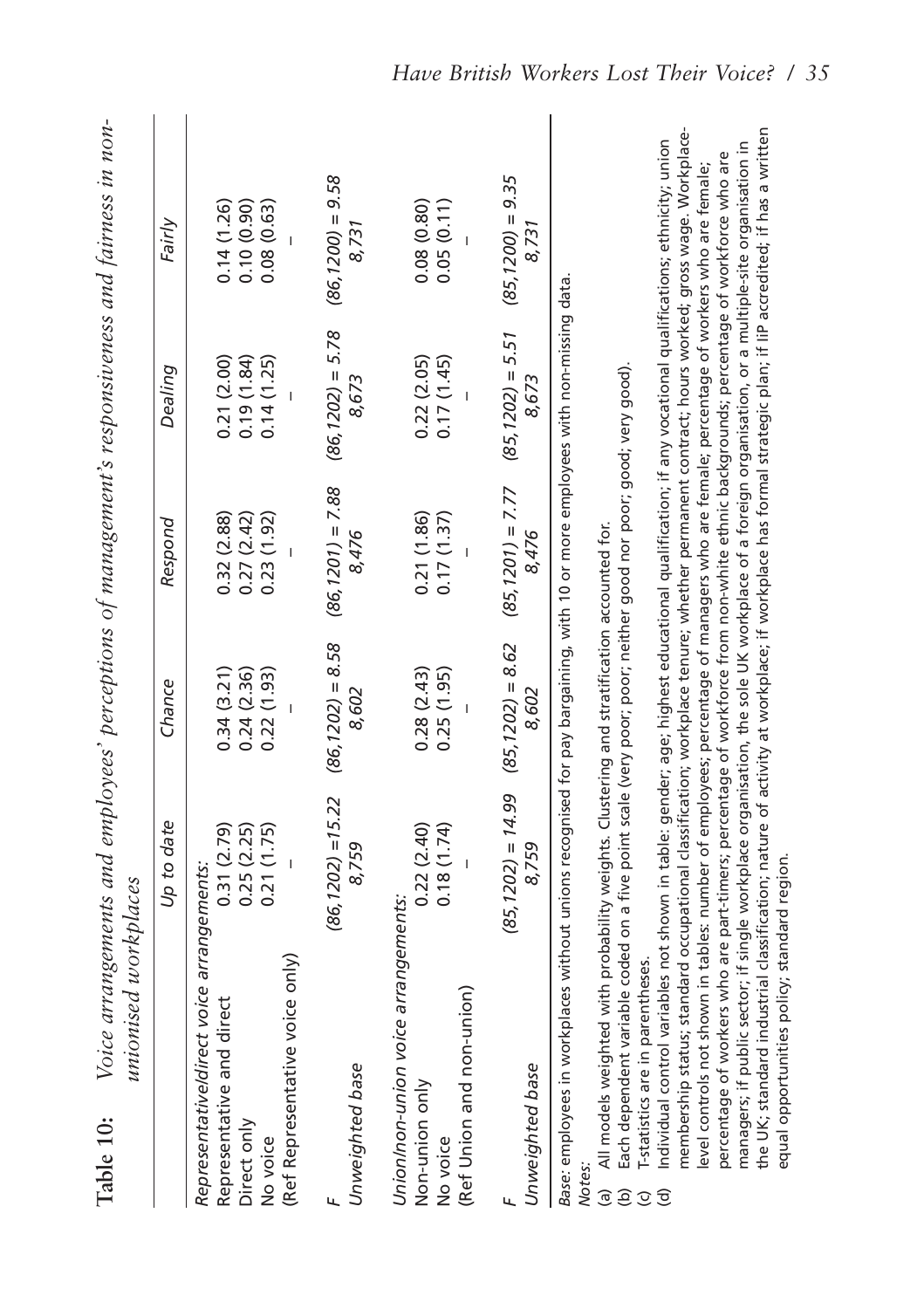| Table 10:                                                     | unionised workplaces                                                                                                                                                                                                                                                                                                                                                                                                                                                                                                                                                     |                                                   |                                        |                                                  |                                        | Voice arrangements and employees' perceptions of management's responsiveness and fairness in non-                                                                                                                                                                                                                                                                                                                                                                                                                                                                                                                                                                                                                                                            |
|---------------------------------------------------------------|--------------------------------------------------------------------------------------------------------------------------------------------------------------------------------------------------------------------------------------------------------------------------------------------------------------------------------------------------------------------------------------------------------------------------------------------------------------------------------------------------------------------------------------------------------------------------|---------------------------------------------------|----------------------------------------|--------------------------------------------------|----------------------------------------|--------------------------------------------------------------------------------------------------------------------------------------------------------------------------------------------------------------------------------------------------------------------------------------------------------------------------------------------------------------------------------------------------------------------------------------------------------------------------------------------------------------------------------------------------------------------------------------------------------------------------------------------------------------------------------------------------------------------------------------------------------------|
|                                                               |                                                                                                                                                                                                                                                                                                                                                                                                                                                                                                                                                                          | Up to date                                        | Chance                                 | Respond                                          | Dealing                                | Fairly                                                                                                                                                                                                                                                                                                                                                                                                                                                                                                                                                                                                                                                                                                                                                       |
| Direct only<br>No voice                                       | Representative/direct voice arrangements:<br>(Ref Representative voice only)<br>Representative and direct                                                                                                                                                                                                                                                                                                                                                                                                                                                                | 0.25(2.25)<br>0.21(1.75)<br>0.31(2.79)            | 0.34(3.21)<br>0.24(2.36)<br>0.22(1.93) | 0.27(2.42)<br>0.23(1.92)<br>0.32(2.88)           | 0.19(1.84)<br>0.21(2.00)<br>0.14(1.25) | 0.10(0.90)<br>0.14(1.26)<br>0.08(0.63)                                                                                                                                                                                                                                                                                                                                                                                                                                                                                                                                                                                                                                                                                                                       |
| Unweighted base<br>ц                                          |                                                                                                                                                                                                                                                                                                                                                                                                                                                                                                                                                                          | $(86, 1202) = 15.22$<br>8,759                     | $(86, 1202) = 8.58$<br>8,602           | $(86, 1201) = 7.88$                              | $(86, 1202) = 5.78$<br>8.673           | $(86, 1200) = 9.58$<br>8,731                                                                                                                                                                                                                                                                                                                                                                                                                                                                                                                                                                                                                                                                                                                                 |
| Non-union only<br>No voice                                    | Union/non-union voice arrangements:<br>(Ref Union and non-union)                                                                                                                                                                                                                                                                                                                                                                                                                                                                                                         | 0.18(1.74)<br>0.22(2.40)                          | 0.25(1.95)<br>0.28(2.43)               | 0.21(1.86)<br>0.17(1.37)                         | 0.17(1.45)<br>0.22(2.05)               | 0.08(0.80)<br>0.05(0.11)                                                                                                                                                                                                                                                                                                                                                                                                                                                                                                                                                                                                                                                                                                                                     |
| Unweighted base                                               |                                                                                                                                                                                                                                                                                                                                                                                                                                                                                                                                                                          | $(85, 1202) = 14.99$ $(85, 1202) = 8.62$<br>8,759 | 8,602                                  | $(85, 1201) = 7.77$ $(85, 1202) = 5.51$<br>8,476 | 8,673                                  | $(85, 1200) = 9.35$<br>8,731                                                                                                                                                                                                                                                                                                                                                                                                                                                                                                                                                                                                                                                                                                                                 |
| Notes.<br>ම<br>$\widehat{e}$<br>$\widehat{\sigma}$<br>$\odot$ | level controls not shown in tables: number of employees; percentage of managers who are female; percentage of workers who are female;<br>Base: employees in workplaces without unions recognised for pay bargaining, with 10 or more employees with non-missing data.<br>Each dependent variable coded on a five point scale (very poor; poor; neither good nor poor; good; very good).<br>All models weighted with probability weights. Clustering and stratification accounted for.<br>equal opportunities policy; standard region.<br>I-statistics are in parentheses |                                                   |                                        |                                                  |                                        | membership status; standard occupational classification; workplace tenure; whether permanent contract; hours worked; gross wage. Workplace-<br>the UK; standard industrial classification; nature of activity at workplace; if workplace has formal strategic plan; if liP accredited; if has a written<br>Individual control variables not shown in table: gender; age; highest educational qualification; if any vocational qualifications; ethnicity; union<br>managers; if public sector; if single workplace organisation, the sole UK workplace of a foreign organisation, or a multiple-site organisation in<br>percentage of workers who are part-timers; percentage of workforce from non-white ethnic backgrounds; percentage of workforce who are |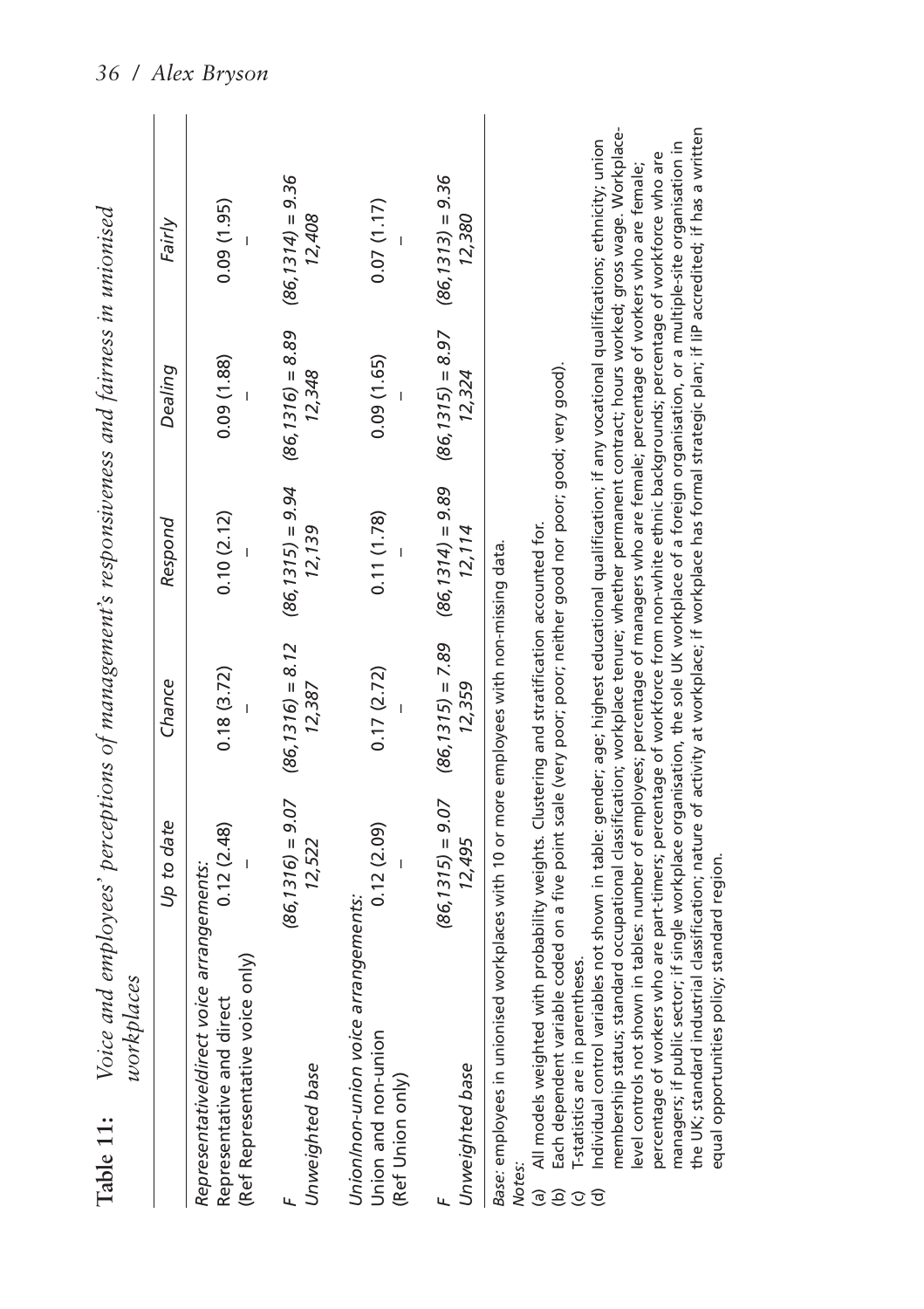| workplaces<br>Table 11:                                                                                                                                                                                                                                        | Voice and employees' perceptions of management's responsiveness and fairness in unionised |                                                                       |                                                                                                               |                               |                               |  |
|----------------------------------------------------------------------------------------------------------------------------------------------------------------------------------------------------------------------------------------------------------------|-------------------------------------------------------------------------------------------|-----------------------------------------------------------------------|---------------------------------------------------------------------------------------------------------------|-------------------------------|-------------------------------|--|
|                                                                                                                                                                                                                                                                | Up to date                                                                                | Chance                                                                | Respond                                                                                                       | Dealing                       | Fairly                        |  |
| Representative/direct voice arrangements:<br>(Ref Representative voice only)<br>Representative and direct                                                                                                                                                      | 0.12(2.48)                                                                                | 0.18(3.72)                                                            | 0.10(2.12)                                                                                                    | 0.09(1.88)                    | (1.95)                        |  |
| Unweighted base                                                                                                                                                                                                                                                | 12,522                                                                                    | $(86, 1316) = 9.07$ $(86, 1316) = 8.12$ $(86, 1315) = 9.94$<br>12.387 | 12.139                                                                                                        | $(86, 1316) = 8.89$<br>12,348 | $(86, 1314) = 9.36$<br>12,408 |  |
| Union/non-union voice arrangements:<br>Union and non-union<br>(Ref Union only)                                                                                                                                                                                 | 0.12(2.09)                                                                                | 0.17(2.72)                                                            | 0.11(1.78)                                                                                                    | 0.09(1.65)                    | 0.07(1.17)                    |  |
| Unweighted base                                                                                                                                                                                                                                                | 12,495                                                                                    | 12,359                                                                | $(86, 1315) = 9.07$ $(86, 1315) = 7.89$ $(86, 1314) = 9.89$ $(86, 1315) = 8.97$ $(86, 1313) = 9.36$<br>12.114 | 12,324                        | 12,380                        |  |
| (a) All models weighted with probability weights. Clustering and stratification accounted for.<br>Base: employees in unionised workplaces with 10 or more employees with non-missing data.<br>アメリカ アイ・シー にんしょう アイ・プログラム しょうしょう アイ・プログラム<br>No <sub>tes</sub> : |                                                                                           |                                                                       |                                                                                                               |                               |                               |  |

Each dependent variable coded on a five point scale (very poor; poor; neither good nor poor; good; very good). (b) Each dependent variable coded on a five point scale (very poor; poor; neither good nor poor; good; very good).

T-statistics are in parentheses. (c) T-statistics are in parentheses. 

membership status; standard occupational classification; workplace tenure; whether permanent contract; hours worked; gross wage. Workplacemembership status; standard occupational classification; workplace tenure; whether permanent contract; hours worked; gross wage. Workplacethe UK; standard industrial classification; nature of activity at workplace; if workplace has formal strategic plan; if liP accredited; if has a written the UK; standard industrial classification; nature of activity at workplace; if workplace has formal strategic plan; if IiP accredited; if has a written Individual control variables not shown in table: gender; age; highest educational qualification; if any vocational qualifications; ethnicity; union managers; if public sector; if single workplace organisation, the sole UK workplace of a foreign organisation, or a multiple-site organisation in (d) Individual control variables not shown in table: gender; age; highest educational qualification; if any vocational qualifications; ethnicity; union managers; if public sector; if single workplace organisation, the sole UK workplace of a foreign organisation, or a multiple-site organisation in percentage of workers who are part-timers; percentage of workforce from non-white ethnic backgrounds; percentage of workforce who are percentage of workers who are part-timers; percentage of workforce from non-white ethnic backgrounds; percentage of workforce who are level controls not shown in tables: number of employees; percentage of managers who are female; percentage of workers who are female; level controls not shown in tables: number of employees; percentage of managers who are female; percentage of workers who are female; equal opportunities policy; standard region. equal opportunities policy; standard region.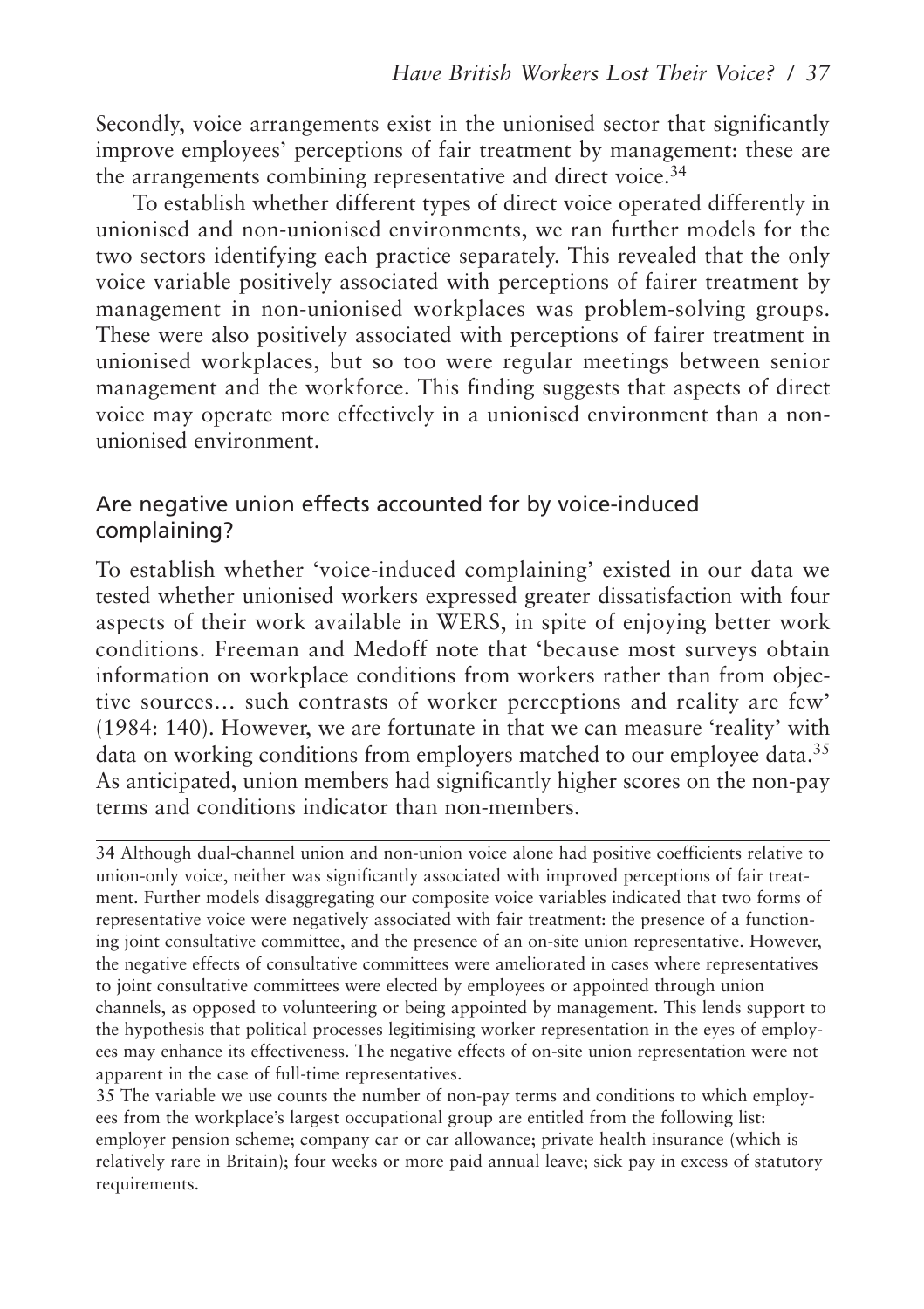Secondly, voice arrangements exist in the unionised sector that significantly improve employees' perceptions of fair treatment by management: these are the arrangements combining representative and direct voice.<sup>34</sup>

To establish whether different types of direct voice operated differently in unionised and non-unionised environments, we ran further models for the two sectors identifying each practice separately. This revealed that the only voice variable positively associated with perceptions of fairer treatment by management in non-unionised workplaces was problem-solving groups. These were also positively associated with perceptions of fairer treatment in unionised workplaces, but so too were regular meetings between senior management and the workforce. This finding suggests that aspects of direct voice may operate more effectively in a unionised environment than a nonunionised environment.

## Are negative union effects accounted for by voice-induced complaining?

To establish whether 'voice-induced complaining' existed in our data we tested whether unionised workers expressed greater dissatisfaction with four aspects of their work available in WERS, in spite of enjoying better work conditions. Freeman and Medoff note that 'because most surveys obtain information on workplace conditions from workers rather than from objective sources… such contrasts of worker perceptions and reality are few' (1984: 140). However, we are fortunate in that we can measure 'reality' with data on working conditions from employers matched to our employee data.<sup>35</sup> As anticipated, union members had significantly higher scores on the non-pay terms and conditions indicator than non-members.

34 Although dual-channel union and non-union voice alone had positive coefficients relative to union-only voice, neither was significantly associated with improved perceptions of fair treatment. Further models disaggregating our composite voice variables indicated that two forms of representative voice were negatively associated with fair treatment: the presence of a functioning joint consultative committee, and the presence of an on-site union representative. However, the negative effects of consultative committees were ameliorated in cases where representatives to joint consultative committees were elected by employees or appointed through union channels, as opposed to volunteering or being appointed by management. This lends support to the hypothesis that political processes legitimising worker representation in the eyes of employees may enhance its effectiveness. The negative effects of on-site union representation were not apparent in the case of full-time representatives.

35 The variable we use counts the number of non-pay terms and conditions to which employees from the workplace's largest occupational group are entitled from the following list: employer pension scheme; company car or car allowance; private health insurance (which is relatively rare in Britain); four weeks or more paid annual leave; sick pay in excess of statutory requirements.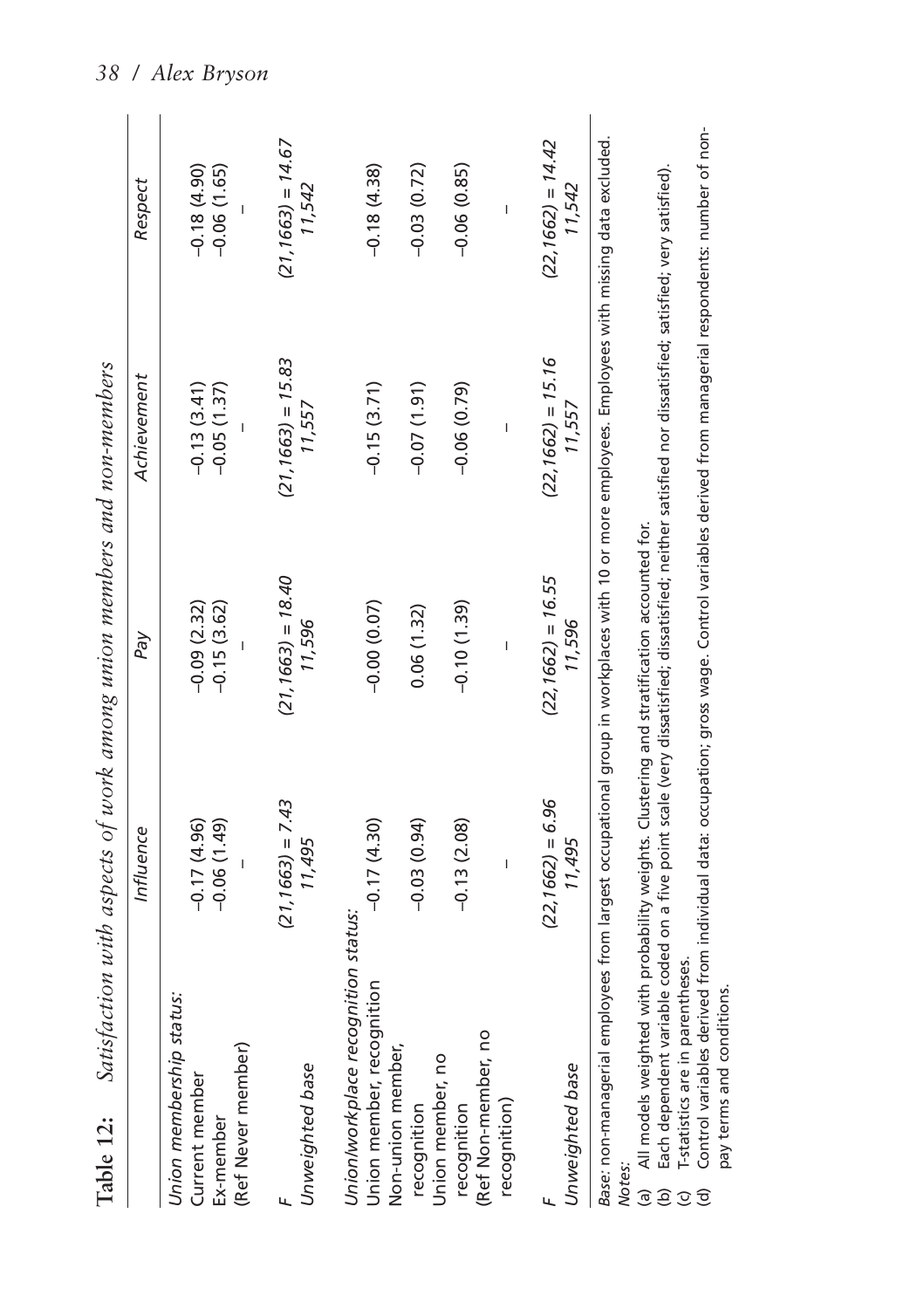|                                                                                                                                                                                                                                                                | Influence                      | Pay                            | Achievement                    | Respect                        |
|----------------------------------------------------------------------------------------------------------------------------------------------------------------------------------------------------------------------------------------------------------------|--------------------------------|--------------------------------|--------------------------------|--------------------------------|
| Union membership status:<br>(Ref Never member)<br>Current member<br>Ex-member                                                                                                                                                                                  | $-0.06(1.49)$<br>$-0.17(4.96)$ | $-0.09(2.32)$<br>$-0.15(3.62)$ | $-0.13(3.41)$<br>$-0.05(1.37)$ | $-0.18(4.90)$<br>$-0.06(1.65)$ |
| Unweighted base                                                                                                                                                                                                                                                | $(21, 1663) = 7.43$<br>11,495  | $(21, 1663) = 18.40$<br>11,596 | $(21, 1663) = 15.83$<br>11,557 | $(21, 1663) = 14.67$<br>11,542 |
| Union/workplace recognition status:<br>Union member, recognition                                                                                                                                                                                               | $-0.17(4.30)$                  | $-0.00(0.07)$                  | $-0.15(3.71)$                  | $-0.18(4.38)$                  |
| Non-union member,<br>recognition                                                                                                                                                                                                                               | $-0.03(0.94)$                  | 0.06(1.32)                     | $-0.07(1.91)$                  | $-0.03(0.72)$                  |
| (Ref Non-member, no<br>Union member, no<br>recognition                                                                                                                                                                                                         | $-0.13(2.08)$                  | $-0.10(1.39)$                  | $-0.06(0.79)$                  | $-0.06(0.85)$                  |
| recognition)                                                                                                                                                                                                                                                   |                                |                                |                                |                                |
| Unweighted base                                                                                                                                                                                                                                                | $(22, 1662) = 6.96$<br>11,495  | $(22, 1662) = 16.55$<br>11,596 | $(22, 1662) = 15.16$<br>11,557 | $(22, 1662) = 14.42$<br>11,542 |
| Base: non-managerial employees from largest occupational group in workplaces with 10 or more employees. Employees with missing data excluded<br>(a) All models weighted with probability weights. Clustering and stratification accounted for.<br><b>Notes</b> |                                |                                |                                |                                |

tach dependent variable coded on a five point scale (very dissatisfied; neither satisfied nor satisfied; satisfied; satisfied). (b) Each dependent variable coded on a five point scale (very dissatisfied; dissatisfied; neither satisfied nor dissatisfied; satisfied; very satisfied).

T-statistics are in parentheses. (c) T-statistics are in parentheses.

Control variables derived from individual data: occupation; gross wage. Control variables derived from managerial respondents: number of non-(d) Control variables derived from individual data: occupation; gross wage. Control variables derived from managerial respondents: number of nonpay terms and conditions. pay terms and conditions.ece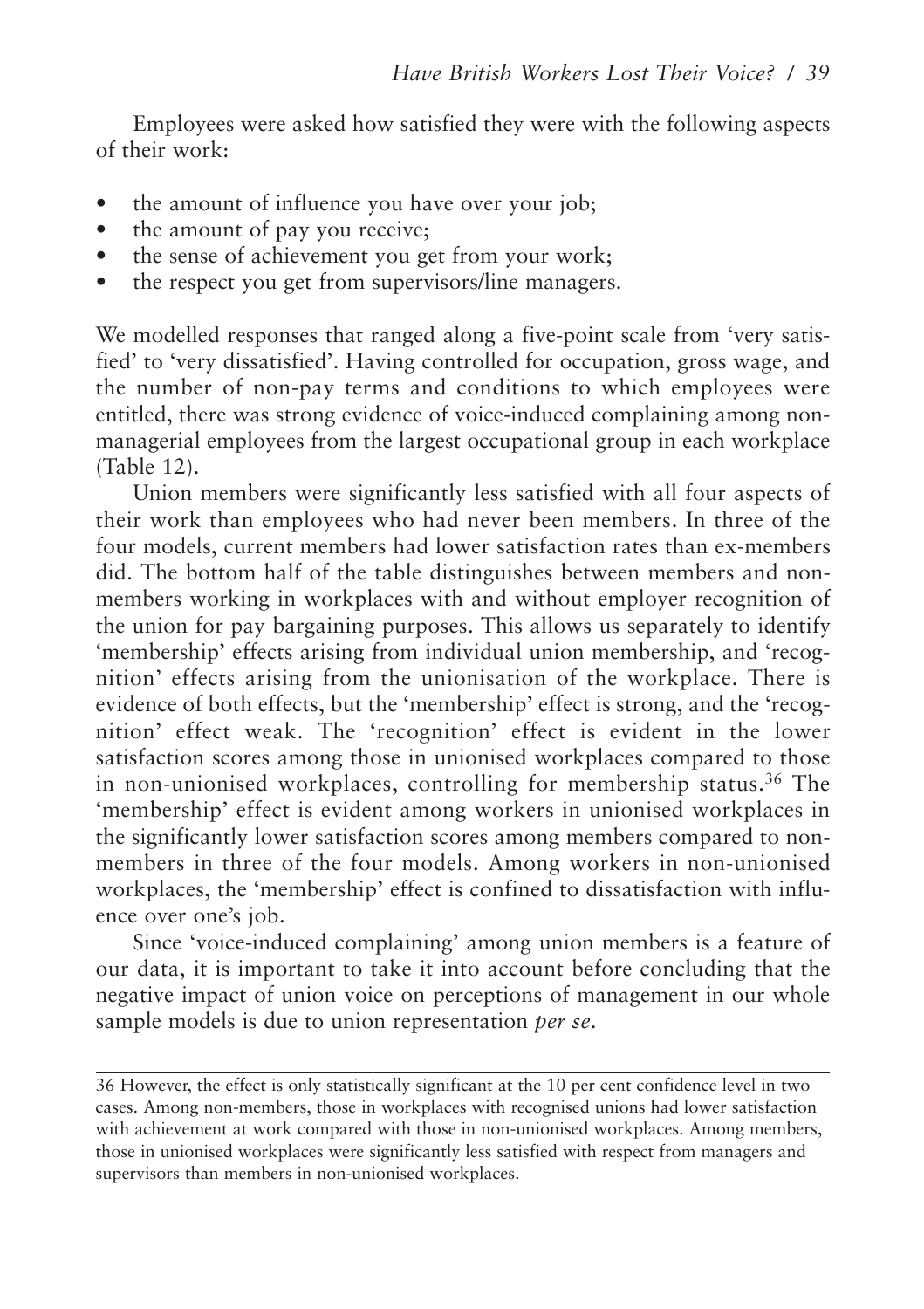Employees were asked how satisfied they were with the following aspects of their work:

- the amount of influence you have over your job;
- the amount of pay you receive:
- the sense of achievement you get from your work:
- the respect you get from supervisors/line managers.

We modelled responses that ranged along a five-point scale from 'very satisfied' to 'very dissatisfied'. Having controlled for occupation, gross wage, and the number of non-pay terms and conditions to which employees were entitled, there was strong evidence of voice-induced complaining among nonmanagerial employees from the largest occupational group in each workplace (Table 12).

Union members were significantly less satisfied with all four aspects of their work than employees who had never been members. In three of the four models, current members had lower satisfaction rates than ex-members did. The bottom half of the table distinguishes between members and nonmembers working in workplaces with and without employer recognition of the union for pay bargaining purposes. This allows us separately to identify 'membership' effects arising from individual union membership, and 'recognition' effects arising from the unionisation of the workplace. There is evidence of both effects, but the 'membership' effect is strong, and the 'recognition' effect weak. The 'recognition' effect is evident in the lower satisfaction scores among those in unionised workplaces compared to those in non-unionised workplaces, controlling for membership status.<sup>36</sup> The 'membership' effect is evident among workers in unionised workplaces in the significantly lower satisfaction scores among members compared to nonmembers in three of the four models. Among workers in non-unionised workplaces, the 'membership' effect is confined to dissatisfaction with influence over one's job.

Since 'voice-induced complaining' among union members is a feature of our data, it is important to take it into account before concluding that the negative impact of union voice on perceptions of management in our whole sample models is due to union representation *per se*.

<sup>36</sup> However, the effect is only statistically significant at the 10 per cent confidence level in two cases. Among non-members, those in workplaces with recognised unions had lower satisfaction with achievement at work compared with those in non-unionised workplaces. Among members, those in unionised workplaces were significantly less satisfied with respect from managers and supervisors than members in non-unionised workplaces.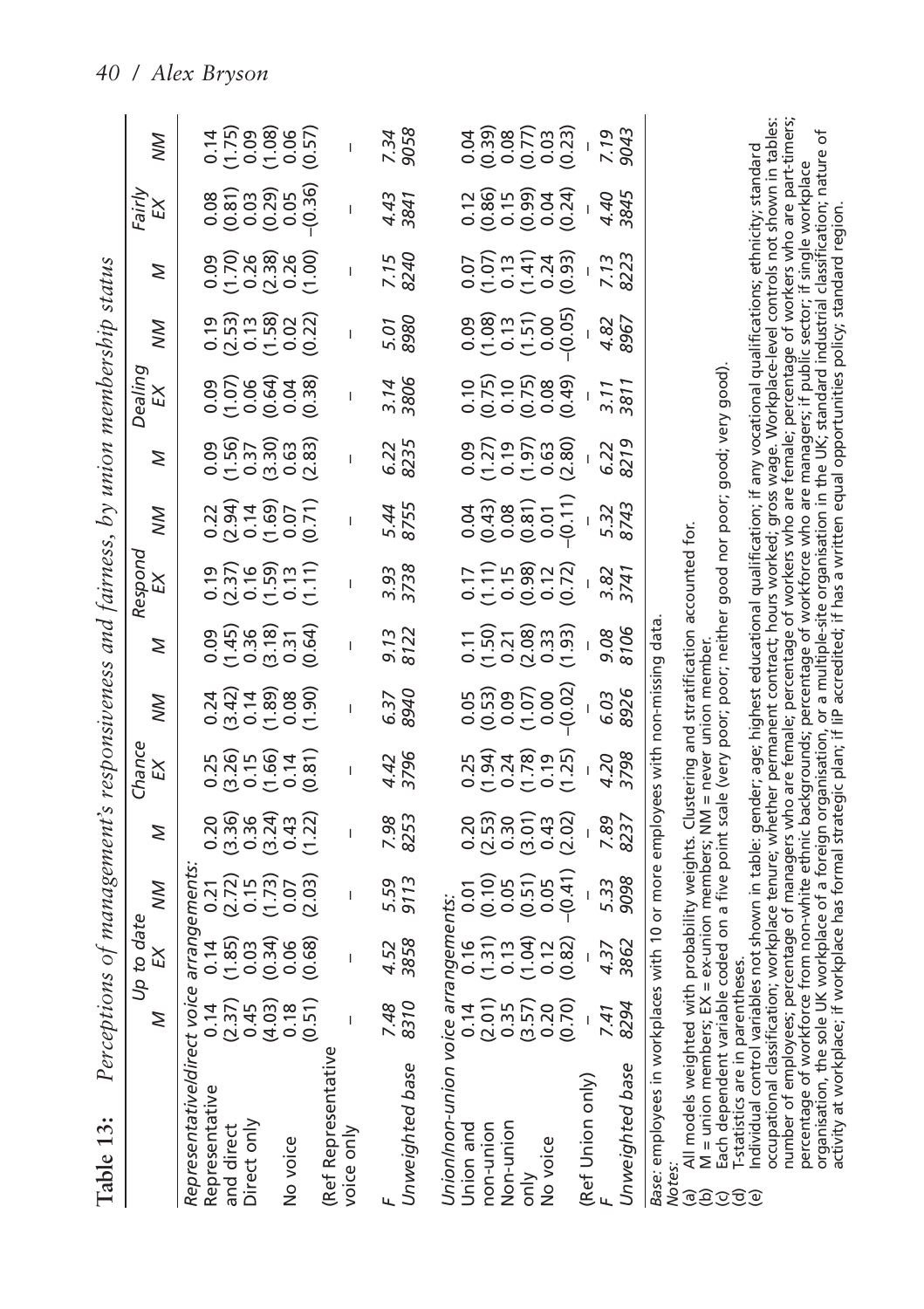| Table 13:                                                                                                                                                                                                                                    | Perceptions of management's responsiveness and fairness, by union membership status |                               |                                                                                                                                                                                                                                                                                                  |                                         |              |                           |                                                                                                                                                                                                                                                                   |                                |                                                                                                                                                                                                                                                                                                     |                                                                                                                                                                                                                              |                                                                           |                                               |                                                                                                                                                                                                                                                                                                               |                                                                                                                                                                                                                                                                                                                                                                  |                                |
|----------------------------------------------------------------------------------------------------------------------------------------------------------------------------------------------------------------------------------------------|-------------------------------------------------------------------------------------|-------------------------------|--------------------------------------------------------------------------------------------------------------------------------------------------------------------------------------------------------------------------------------------------------------------------------------------------|-----------------------------------------|--------------|---------------------------|-------------------------------------------------------------------------------------------------------------------------------------------------------------------------------------------------------------------------------------------------------------------|--------------------------------|-----------------------------------------------------------------------------------------------------------------------------------------------------------------------------------------------------------------------------------------------------------------------------------------------------|------------------------------------------------------------------------------------------------------------------------------------------------------------------------------------------------------------------------------|---------------------------------------------------------------------------|-----------------------------------------------|---------------------------------------------------------------------------------------------------------------------------------------------------------------------------------------------------------------------------------------------------------------------------------------------------------------|------------------------------------------------------------------------------------------------------------------------------------------------------------------------------------------------------------------------------------------------------------------------------------------------------------------------------------------------------------------|--------------------------------|
|                                                                                                                                                                                                                                              | Z                                                                                   | Up to date<br>$\widetilde{E}$ | ЙŃ                                                                                                                                                                                                                                                                                               | Z                                       | Chance<br>EX | XΜ                        | Z                                                                                                                                                                                                                                                                 | Respond<br>EX                  | XΜ                                                                                                                                                                                                                                                                                                  | Z                                                                                                                                                                                                                            | Dealing<br>EX                                                             | ŠМ                                            | Z                                                                                                                                                                                                                                                                                                             | Fairly<br>EX                                                                                                                                                                                                                                                                                                                                                     | NΜ                             |
| Representative/direct voice<br>Representative                                                                                                                                                                                                |                                                                                     |                               |                                                                                                                                                                                                                                                                                                  |                                         |              |                           |                                                                                                                                                                                                                                                                   |                                |                                                                                                                                                                                                                                                                                                     |                                                                                                                                                                                                                              |                                                                           |                                               |                                                                                                                                                                                                                                                                                                               |                                                                                                                                                                                                                                                                                                                                                                  |                                |
| Direct only<br>and direct                                                                                                                                                                                                                    |                                                                                     |                               | arrangements:<br>0.14 0.21<br>(1.85) (2.72)<br>(1.85) (2.72)<br>0.03 (1.73)<br>0.66 (0.68) (2.03)                                                                                                                                                                                                | 0<br>0 3 3 4 4 5 7 9<br>0 9 9 9 9 9 0 1 |              | 233886<br>2345886<br>2356 | 0<br>0 4 5 6 6 7<br>0 5 0 0 0 0<br>0 5 0 0 0 0                                                                                                                                                                                                                    | ១ភ្លាម<br>កំពុង<br>កំពុង កំពុង |                                                                                                                                                                                                                                                                                                     | $0.56$ $0.57$ $0.59$ $0.59$ $0.59$ $0.083$ $0.083$                                                                                                                                                                           |                                                                           | ១ ភិក្ខុ<br>កំពុង ខេត្ត<br>កំពុង ខេត្ត        |                                                                                                                                                                                                                                                                                                               |                                                                                                                                                                                                                                                                                                                                                                  | 11,09896<br>11,09896<br>11,000 |
|                                                                                                                                                                                                                                              |                                                                                     |                               |                                                                                                                                                                                                                                                                                                  |                                         |              |                           |                                                                                                                                                                                                                                                                   |                                |                                                                                                                                                                                                                                                                                                     |                                                                                                                                                                                                                              |                                                                           |                                               |                                                                                                                                                                                                                                                                                                               |                                                                                                                                                                                                                                                                                                                                                                  |                                |
| No voice                                                                                                                                                                                                                                     |                                                                                     |                               |                                                                                                                                                                                                                                                                                                  |                                         |              |                           |                                                                                                                                                                                                                                                                   |                                |                                                                                                                                                                                                                                                                                                     |                                                                                                                                                                                                                              |                                                                           |                                               |                                                                                                                                                                                                                                                                                                               |                                                                                                                                                                                                                                                                                                                                                                  |                                |
| (Ref Represer<br>voice only                                                                                                                                                                                                                  |                                                                                     |                               |                                                                                                                                                                                                                                                                                                  |                                         |              | $\overline{1}$            |                                                                                                                                                                                                                                                                   |                                |                                                                                                                                                                                                                                                                                                     |                                                                                                                                                                                                                              |                                                                           |                                               |                                                                                                                                                                                                                                                                                                               |                                                                                                                                                                                                                                                                                                                                                                  |                                |
| Unweighted base                                                                                                                                                                                                                              | 7.48<br>8310                                                                        | 4.52<br>3858                  | 5.59<br>9113                                                                                                                                                                                                                                                                                     | 7.98<br>8253                            | 4.42<br>3796 | 6.37<br>8940              | 9.13<br>8122                                                                                                                                                                                                                                                      | 3.93<br>3738                   | 5.44<br>8755                                                                                                                                                                                                                                                                                        | 6.235                                                                                                                                                                                                                        | 3.14<br>3806                                                              | 5.01<br>8980                                  | 7.15<br>8240                                                                                                                                                                                                                                                                                                  | 4.43<br>3841                                                                                                                                                                                                                                                                                                                                                     | 7.34<br>9058                   |
| Union/non-u<br>Union and                                                                                                                                                                                                                     |                                                                                     |                               |                                                                                                                                                                                                                                                                                                  |                                         |              |                           |                                                                                                                                                                                                                                                                   |                                |                                                                                                                                                                                                                                                                                                     |                                                                                                                                                                                                                              |                                                                           |                                               |                                                                                                                                                                                                                                                                                                               |                                                                                                                                                                                                                                                                                                                                                                  |                                |
| non-union                                                                                                                                                                                                                                    |                                                                                     |                               |                                                                                                                                                                                                                                                                                                  |                                         |              |                           |                                                                                                                                                                                                                                                                   |                                |                                                                                                                                                                                                                                                                                                     |                                                                                                                                                                                                                              |                                                                           |                                               |                                                                                                                                                                                                                                                                                                               |                                                                                                                                                                                                                                                                                                                                                                  |                                |
| Non-union<br>only                                                                                                                                                                                                                            |                                                                                     |                               |                                                                                                                                                                                                                                                                                                  |                                         |              |                           |                                                                                                                                                                                                                                                                   |                                |                                                                                                                                                                                                                                                                                                     |                                                                                                                                                                                                                              |                                                                           |                                               |                                                                                                                                                                                                                                                                                                               |                                                                                                                                                                                                                                                                                                                                                                  |                                |
| No voice                                                                                                                                                                                                                                     |                                                                                     |                               |                                                                                                                                                                                                                                                                                                  |                                         |              |                           |                                                                                                                                                                                                                                                                   |                                |                                                                                                                                                                                                                                                                                                     |                                                                                                                                                                                                                              |                                                                           |                                               |                                                                                                                                                                                                                                                                                                               |                                                                                                                                                                                                                                                                                                                                                                  |                                |
| (Ref Union only<br><sub>F</sub>                                                                                                                                                                                                              |                                                                                     |                               |                                                                                                                                                                                                                                                                                                  |                                         |              |                           |                                                                                                                                                                                                                                                                   |                                |                                                                                                                                                                                                                                                                                                     |                                                                                                                                                                                                                              |                                                                           |                                               |                                                                                                                                                                                                                                                                                                               |                                                                                                                                                                                                                                                                                                                                                                  |                                |
| Unweighted base                                                                                                                                                                                                                              |                                                                                     |                               | $\begin{array}{ll} \mathit{angements:}\  \  \, 0.16 & 0.01\  \  \, 0.171 & 0.015\  \  \, (1.31) & 0.05\  \  \, (1.31) & 0.05\  \  \, (1.32) & 0.05\  \  \, (1.34) & 0.05\  \  \, (0.02) & - (0.41)\  \  \, (0.02) & - (0.41)\  \  \, (0.02) & 0.93\  \  \, 3.33\  \  \, 3862 & 9098 \end{array}$ |                                         |              |                           | $\begin{array}{l} 1.70000\\ 0.700000\\ 0.70000\\ 0.70000\\ 0.7000\\ 0.7000\\ 0.7000\\ 0.7000\\ 0.7000\\ 0.7000\\ 0.7000\\ 0.7000\\ 0.7000\\ 0.7000\\ 0.7000\\ 0.7000\\ 0.7000\\ 0.7000\\ 0.7000\\ 0.7000\\ 0.7000\\ 0.7000\\ 0.7000\\ 0.7000\\ 0.7000\\ 0.7000\\$ |                                | $\begin{array}{c} 0.018 \\ 0.010 \\ 0.000 \\ 0.010 \\ 0.010 \\ 0.010 \\ 0.010 \\ 0.010 \\ 0.010 \\ 0.010 \\ 0.010 \\ 0.010 \\ 0.010 \\ 0.010 \\ 0.010 \\ 0.010 \\ 0.010 \\ 0.010 \\ 0.010 \\ 0.010 \\ 0.010 \\ 0.010 \\ 0.010 \\ 0.010 \\ 0.010 \\ 0.010 \\ 0.010 \\ 0.010 \\ 0.010 \\ 0.010 \\ 0.$ | $\begin{array}{l} 0.09 \\ 0.719 \\ 0.090 \\ 0.019 \\ 0.000 \\ \end{array} , \quad \begin{array}{l} 0.000 \\ 0.000 \\ 0.000 \\ 0.000 \\ \end{array} , \quad \begin{array}{l} 0.000 \\ 0.000 \\ 0.000 \\ 0.000 \\ \end{array}$ | $\begin{array}{c} 180000 \\ 0.75000 \\ 0.00000 \\ 0.00000 \\ \end{array}$ | 088750905098867<br>050509088867<br>0505090888 | $\begin{array}{l} 0.07 \\ 0.07 \\ 1.41 \\ 0.24 \\ 0.09 \\ 0.03 \\ 0.03 \\ 0.03 \\ 0.03 \\ 0.03 \\ 0.03 \\ 0.03 \\ 0.03 \\ 0.03 \\ 0.03 \\ 0.03 \\ 0.03 \\ 0.03 \\ 0.03 \\ 0.03 \\ 0.03 \\ 0.03 \\ 0.03 \\ 0.03 \\ 0.03 \\ 0.03 \\ 0.03 \\ 0.03 \\ 0.03 \\ 0.03 \\ 0.03 \\ 0.03 \\ 0.03 \\ 0.03 \\ 0.03 \\ 0.$ | $\begin{array}{c}\n 1.66 \\  - 1.46 \\  - 1.47 \\  - 1.47 \\  - 1.47 \\  - 1.47 \\  - 1.47 \\  - 1.47 \\  - 1.47 \\  - 1.47 \\  - 1.47 \\  - 1.47 \\  - 1.47 \\  - 1.47 \\  - 1.47 \\  - 1.47 \\  - 1.47 \\  - 1.47 \\  - 1.47 \\  - 1.47 \\  - 1.47 \\  - 1.47 \\  - 1.47 \\  - 1.47 \\  - 1.47 \\  - 1.47 \\  - 1.47 \\  - 1.47 \\  - 1.47 \\  - 1.47 \\  - 1$ |                                |
| Base: employees in workplaces with 10 or more employees with non-missing data                                                                                                                                                                |                                                                                     |                               |                                                                                                                                                                                                                                                                                                  |                                         |              |                           |                                                                                                                                                                                                                                                                   |                                |                                                                                                                                                                                                                                                                                                     |                                                                                                                                                                                                                              |                                                                           |                                               |                                                                                                                                                                                                                                                                                                               |                                                                                                                                                                                                                                                                                                                                                                  |                                |
| All models weighted with probability weights. Clustering and stratification accounted for<br>M = union members; EX = ex-union members; NM = never union member.<br>M = union members; EX = ex-union members; NM = never union member<br>මුලි |                                                                                     |                               |                                                                                                                                                                                                                                                                                                  |                                         |              |                           |                                                                                                                                                                                                                                                                   |                                |                                                                                                                                                                                                                                                                                                     |                                                                                                                                                                                                                              |                                                                           |                                               |                                                                                                                                                                                                                                                                                                               |                                                                                                                                                                                                                                                                                                                                                                  |                                |

Each dependent variable coded on a five point scale (very poor; poor; neither good nor poor; good; very good).<br>T-statistics are in parentheses. (c) Each dependent variable coded on a five point scale (very poor; poor; neither good nor poor; good; very good).

(d) T-statistics are in parentheses. මුලි

occupational classification; workplace tenure; whether permanent contract; hours worked; gross wage. Workplace-level controls not shown in tables: number of employees; percentage of managers who are female; percentage of workers who are female; percentage of workers who are part-timers; occupational classification; workplace tenure; whether permanent contract; hours worked; gross wage. Workplace-level controls not shown in tables: number of employees; percentage of managers who are female; percentage of workers who are female; percentage of workers who are part-timers; percentage of workforce from non-white ethnic backgrounds; percentage of workforce who are managers; if public sector; if single workplace<br>organisation, the sole UK workplace of a foreign organisation, or a multiple-site o organisation, the sole UK workplace of a foreign organisation, or a multiple-site organisation in the UK; standard industrial classification; nature of ndividual control variables not shown in table: gender; age; highest educational qualification; if any vocational qualifications; ethnicity; standard (e) Individual control variables not shown in table: gender; age; highest educational qualification; if any vocational qualifications; ethnicity; standard percentage of workforce from non-white ethnic backgrounds; percentage of workforce who are managers; if public sector; if single workplace activity at workplace; if workplace has formal strategic plan; if IiP accredited; if has a written equal opportunities policy; standard region.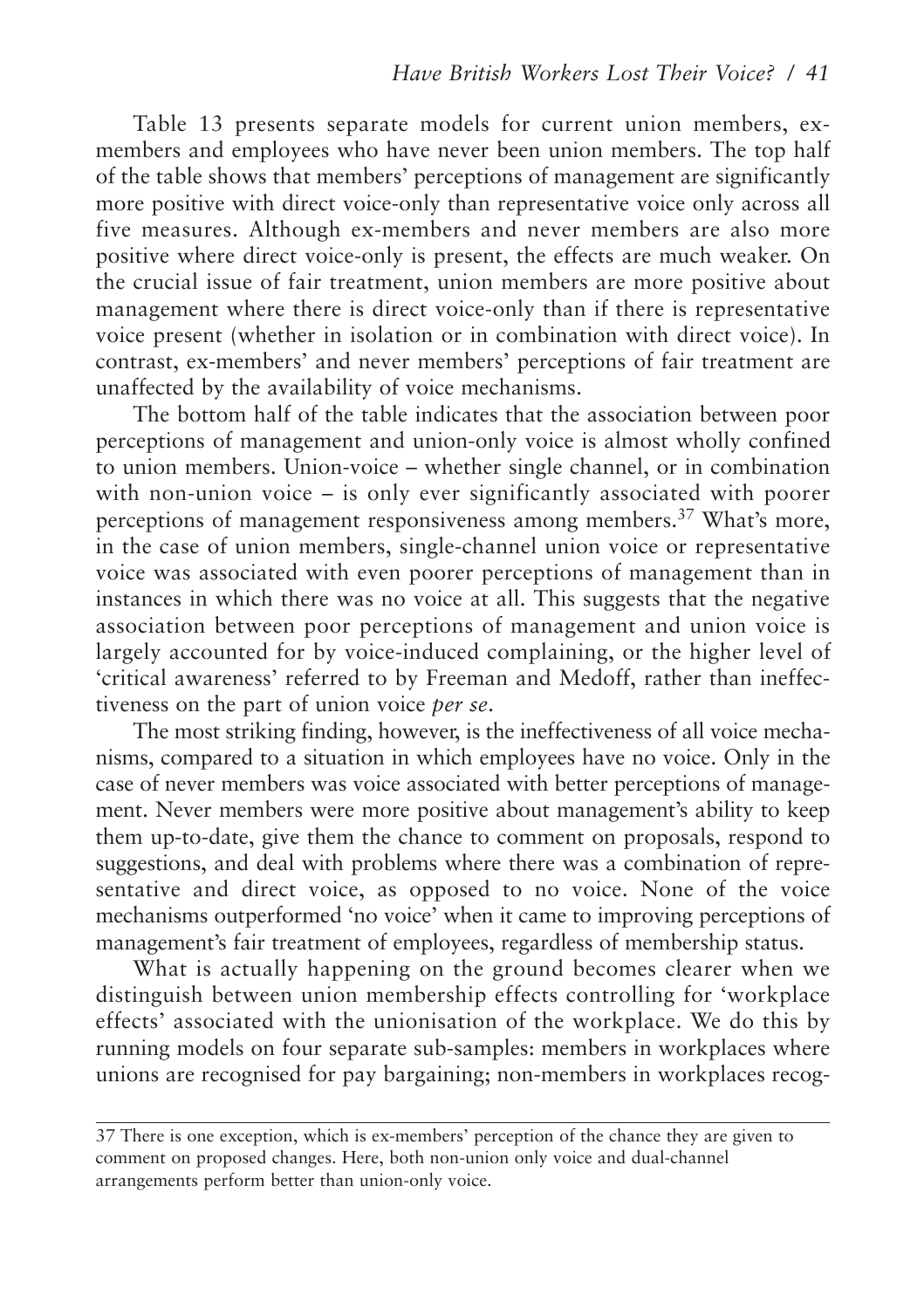Table 13 presents separate models for current union members, exmembers and employees who have never been union members. The top half of the table shows that members' perceptions of management are significantly more positive with direct voice-only than representative voice only across all five measures. Although ex-members and never members are also more positive where direct voice-only is present, the effects are much weaker. On the crucial issue of fair treatment, union members are more positive about management where there is direct voice-only than if there is representative voice present (whether in isolation or in combination with direct voice). In contrast, ex-members' and never members' perceptions of fair treatment are unaffected by the availability of voice mechanisms.

The bottom half of the table indicates that the association between poor perceptions of management and union-only voice is almost wholly confined to union members. Union-voice – whether single channel, or in combination with non-union voice – is only ever significantly associated with poorer perceptions of management responsiveness among members.<sup>37</sup> What's more, in the case of union members, single-channel union voice or representative voice was associated with even poorer perceptions of management than in instances in which there was no voice at all. This suggests that the negative association between poor perceptions of management and union voice is largely accounted for by voice-induced complaining, or the higher level of 'critical awareness' referred to by Freeman and Medoff, rather than ineffectiveness on the part of union voice *per se*.

The most striking finding, however, is the ineffectiveness of all voice mechanisms, compared to a situation in which employees have no voice. Only in the case of never members was voice associated with better perceptions of management. Never members were more positive about management's ability to keep them up-to-date, give them the chance to comment on proposals, respond to suggestions, and deal with problems where there was a combination of representative and direct voice, as opposed to no voice. None of the voice mechanisms outperformed 'no voice' when it came to improving perceptions of management's fair treatment of employees, regardless of membership status.

What is actually happening on the ground becomes clearer when we distinguish between union membership effects controlling for 'workplace effects' associated with the unionisation of the workplace. We do this by running models on four separate sub-samples: members in workplaces where unions are recognised for pay bargaining; non-members in workplaces recog-

<sup>37</sup> There is one exception, which is ex-members' perception of the chance they are given to comment on proposed changes. Here, both non-union only voice and dual-channel arrangements perform better than union-only voice.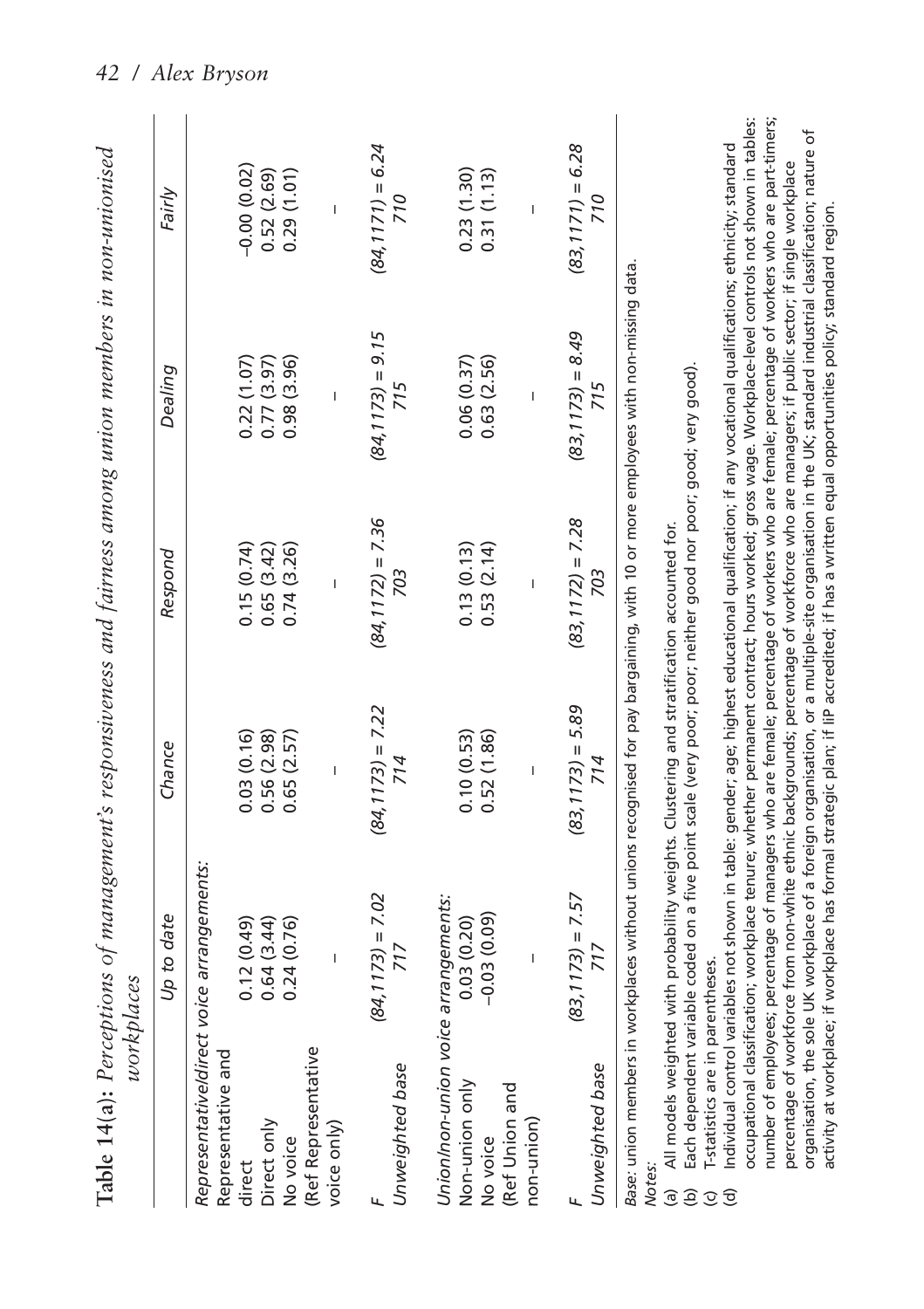|                                                   | workplaces                                |                                                                                            | Table 14(a): Perceptions of management's responsiveness and fairness among union members in non-unionised                                                                                                                                                                                          |                     |                     |
|---------------------------------------------------|-------------------------------------------|--------------------------------------------------------------------------------------------|----------------------------------------------------------------------------------------------------------------------------------------------------------------------------------------------------------------------------------------------------------------------------------------------------|---------------------|---------------------|
|                                                   | Up to date                                | Chance                                                                                     | Respond                                                                                                                                                                                                                                                                                            | Dealing             | Fairly              |
| Representative and                                | Representative/direct voice arrangements: |                                                                                            |                                                                                                                                                                                                                                                                                                    |                     |                     |
| direct                                            | 0.12(0.49)                                | 0.03(0.16)                                                                                 | 0.15(0.74)                                                                                                                                                                                                                                                                                         | 0.22(1.07)          | $-0.00(0.02)$       |
| Direct only                                       | 0.64(3.44)                                | 0.56(2.98)                                                                                 | 0.65(3.42)                                                                                                                                                                                                                                                                                         | 0.77(3.97)          | 0.52(2.69)          |
| No voice                                          | 0.24(0.76)                                | 0.65(2.57)                                                                                 | 0.74(3.26)                                                                                                                                                                                                                                                                                         | 0.98(3.96)          | 0.29(1.01)          |
| (Ref Representative                               |                                           |                                                                                            |                                                                                                                                                                                                                                                                                                    |                     |                     |
| voice only)                                       |                                           |                                                                                            |                                                                                                                                                                                                                                                                                                    | Ï                   |                     |
|                                                   | $(84, 1173) = 7.02$                       | $(84, 1173) = 7.22$                                                                        | $(84, 1172) = 7.36$                                                                                                                                                                                                                                                                                | $(84, 1173) = 9.15$ | $(84, 1171) = 6.24$ |
| Unweighted base                                   | 717                                       | 714                                                                                        | 703                                                                                                                                                                                                                                                                                                | 715                 | 710                 |
| Union/non-union voice arrangements:               |                                           |                                                                                            |                                                                                                                                                                                                                                                                                                    |                     |                     |
| Non-union only                                    | 0.03(0.20)                                | 0.10(0.53)                                                                                 | 0.13(0.13)                                                                                                                                                                                                                                                                                         | 0.06(0.37)          | 0.23(1.30)          |
| No voice                                          | $-0.03(0.09)$                             | 0.52(1.86)                                                                                 | 0.53(2.14)                                                                                                                                                                                                                                                                                         | 0.63(2.56)          | 0.31(1.13)          |
| Ref Union and                                     |                                           |                                                                                            |                                                                                                                                                                                                                                                                                                    |                     |                     |
| non-union)                                        |                                           |                                                                                            |                                                                                                                                                                                                                                                                                                    |                     |                     |
|                                                   | $(83, 1173) = 7.57$                       | $(83, 1173) = 5.89$                                                                        | $(83, 1172) = 7.28$                                                                                                                                                                                                                                                                                | $(83, 1173) = 8.49$ | $(83, 1171) = 6.28$ |
| Unweighted base                                   | 717                                       | 714                                                                                        | 703                                                                                                                                                                                                                                                                                                | 715                 | 710                 |
|                                                   |                                           |                                                                                            | Base: union members in workplaces without unions recognised for pay bargaining, with 10 or more employees with non-missing data.                                                                                                                                                                   |                     |                     |
| Notes<br>$\widehat{a}$                            |                                           | All models weighted with probability weights. Clustering and stratification accounted for. |                                                                                                                                                                                                                                                                                                    |                     |                     |
| $\widehat{e}$                                     |                                           |                                                                                            | Each dependent variable coded on a five point scale (very poor; poor; neither good nor poor; good; very good).                                                                                                                                                                                     |                     |                     |
| T-statistics are in parentheses.<br>$\mathcal{Q}$ |                                           |                                                                                            |                                                                                                                                                                                                                                                                                                    |                     |                     |
| $\widehat{\sigma}$                                |                                           |                                                                                            | Individual control variables not shown in table: gender; age; highest educational qualification; if any vocational qualifications; ethnicity; standard                                                                                                                                             |                     |                     |
|                                                   |                                           |                                                                                            | number of employees; percentage of managers who are female; percentage of workers who are female; percentage of workers who are part-timers;<br>occupational classification; workplace tenure; whether permanent contract; hours worked; gross wage. Workplace-level controls not shown in tables: |                     |                     |

percentage of workforce from non-white ethnic backgrounds; percentage of workforce who are managers; if public sector; if single workplace organisation, the sole UK workplace of a foreign organisation, or a multiple-site organisation in the UK; standard industrial classification; nature of activity at workplace; if workplace has formal strategic plan; if IiP accredited; if has a written equal opportunities policy; standard region.

organisation, the sole UK workplace of a foreign organisation, or a multiple-site organisation in the UK; standard industrial classification; nature of percentage of workforce from non-white ethnic backgrounds; percentage of workforce who are managers; if public sector; if single workplace

activity at workplace; if workplace has formal strategic plan; if liP accredited; if has a written equal opportunities policy; standard region.

*42 / Alex Bryson*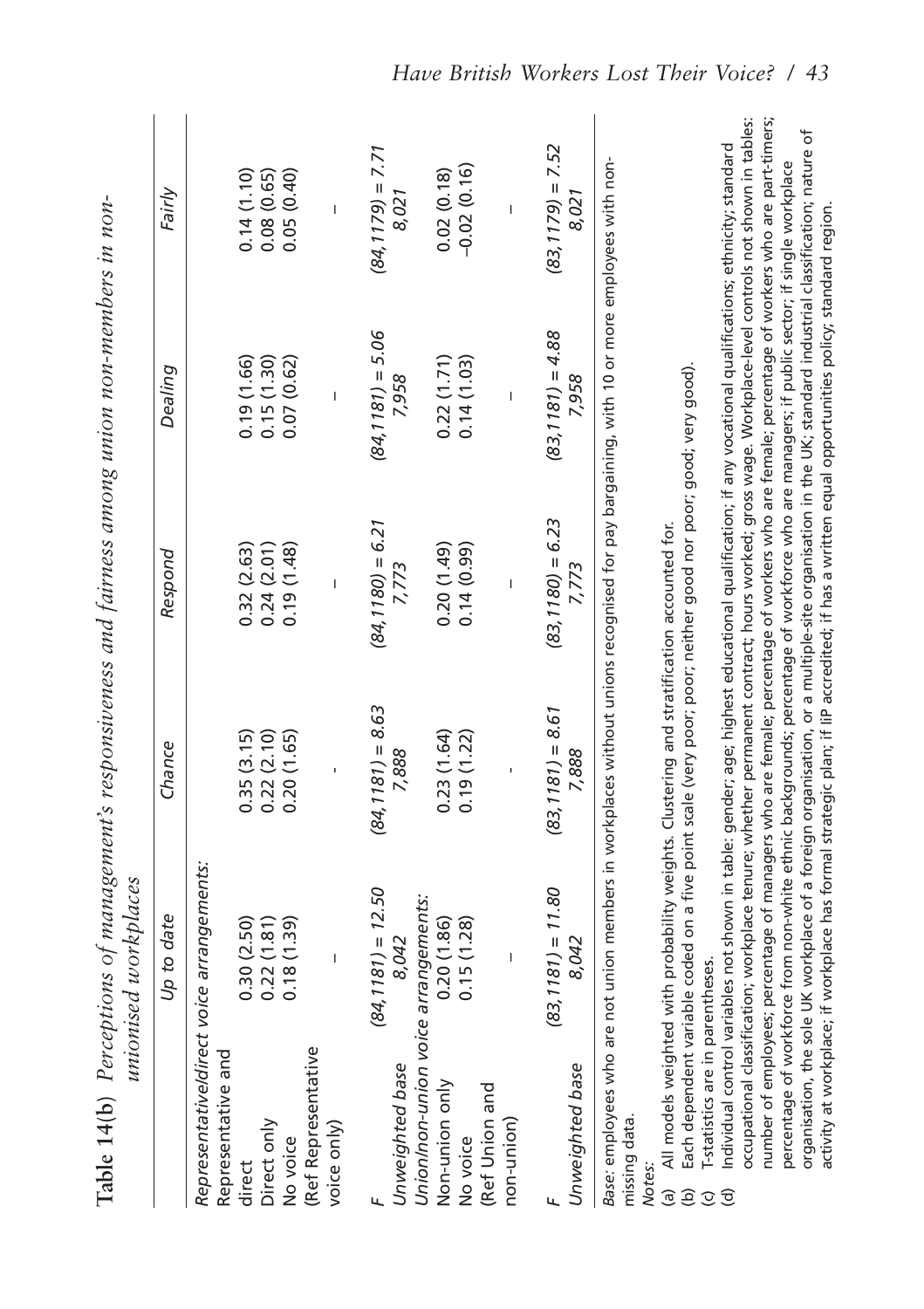|                                                                         | Table 14(b) Perceptions of management's responsiveness and fairness among union non-members in non-<br>unionised workplaces                                                                                                                                                                                  |                     |                     |                     |                     |
|-------------------------------------------------------------------------|--------------------------------------------------------------------------------------------------------------------------------------------------------------------------------------------------------------------------------------------------------------------------------------------------------------|---------------------|---------------------|---------------------|---------------------|
|                                                                         | Up to date                                                                                                                                                                                                                                                                                                   | Chance              | Respond             | Dealing             | Fairly              |
| Representative and                                                      | Representative/direct voice arrangements.                                                                                                                                                                                                                                                                    |                     |                     |                     |                     |
| direct                                                                  | 0.30(2.50)                                                                                                                                                                                                                                                                                                   | 0.35(3.15)          | 0.32(2.63)          | 0.19(1.66)          | 0.14(1.10)          |
| Direct only                                                             | 0.22(1.81)                                                                                                                                                                                                                                                                                                   | 0.22(2.10)          | 0.24(2.01)          | 0.15(1.30)          | 0.08(0.65)          |
| No voice                                                                | 0.18(1.39)                                                                                                                                                                                                                                                                                                   | 0.20(1.65)          | 0.19(1.48)          | 0.07(0.62)          | 0.05(0.40)          |
| (Ref Representative                                                     |                                                                                                                                                                                                                                                                                                              |                     |                     |                     |                     |
| voice only                                                              |                                                                                                                                                                                                                                                                                                              |                     | Ï                   | Ï                   |                     |
|                                                                         | $(84, 1181) = 12.50$                                                                                                                                                                                                                                                                                         | $(84, 1181) = 8.63$ | $(84, 1180) = 6.21$ | $(84, 1181) = 5.06$ | $(84, 1179) = 7.71$ |
| Unweighted base                                                         | 8,042                                                                                                                                                                                                                                                                                                        | 7,888               | 7,773               | 7,958               | 8,021               |
|                                                                         | Union/non-union voice arrangements:                                                                                                                                                                                                                                                                          |                     |                     |                     |                     |
| Non-union only                                                          | 0.20(1.86)                                                                                                                                                                                                                                                                                                   | 0.23(1.64)          | (0.20(1.49))        | 0.22(1.71)          | 0.02(0.18)          |
| No voice                                                                | 0.15(1.28)                                                                                                                                                                                                                                                                                                   | 0.19(1.22)          | 0.14(0.99)          | 0.14(1.03)          | $-0.02(0.16)$       |
| (Ref Union and                                                          |                                                                                                                                                                                                                                                                                                              |                     |                     |                     |                     |
| non-union)                                                              |                                                                                                                                                                                                                                                                                                              |                     |                     |                     |                     |
|                                                                         | $(83, 1181) = 11.80$                                                                                                                                                                                                                                                                                         | $(83, 1181) = 8.61$ | $(83, 1180) = 6.23$ | $(83, 1181) = 4.88$ | $(83, 1179) = 7.52$ |
| Unweighted base                                                         | 8,042                                                                                                                                                                                                                                                                                                        | 7,888               | 7,773               | 7,958               | 8,021               |
| missing data.<br><b>Notes</b>                                           | Base: employees who are not union members in workplaces without unions recognised for pay bargaining, with 10 or more employees with non-                                                                                                                                                                    |                     |                     |                     |                     |
| ම                                                                       | All models weighted with probability weights. Clustering and stratification accounted for.                                                                                                                                                                                                                   |                     |                     |                     |                     |
| $\widehat{e}$                                                           | Each dependent variable coded on a five point scale (very poor; peither good nor poor; good; very good)                                                                                                                                                                                                      |                     |                     |                     |                     |
| T-statistics are in parentheses.<br>$\widehat{\sigma}$<br>$\mathcal{Q}$ |                                                                                                                                                                                                                                                                                                              |                     |                     |                     |                     |
|                                                                         | occupational classification; workplace tenure; whether permanent contract; hours worked; gross wage. Workplace-level controls not shown in tables:<br>Individual control variables not shown in table: gender; age; highest educational qualification; if any vocational qualifications; ethnicity; standard |                     |                     |                     |                     |
|                                                                         | number of employees; percentage of managers who are female; percentage of workers who are female; percentage of workers who are part-timers;                                                                                                                                                                 |                     |                     |                     |                     |
|                                                                         | organisation, the sole UK workplace of a foreign organisation, or a multiple-site organisation in the UK; standard industrial classification; nature<br>percentage of workforce from non-white ethnic backgrounds; percentage of workforce who are managers; if public sector; if single workplace           |                     |                     |                     | đ                   |
|                                                                         | activity at workplace; if workplace has formal strategic plan; if liP accredited; if has a written equal opportunities policy; standard region.                                                                                                                                                              |                     |                     |                     |                     |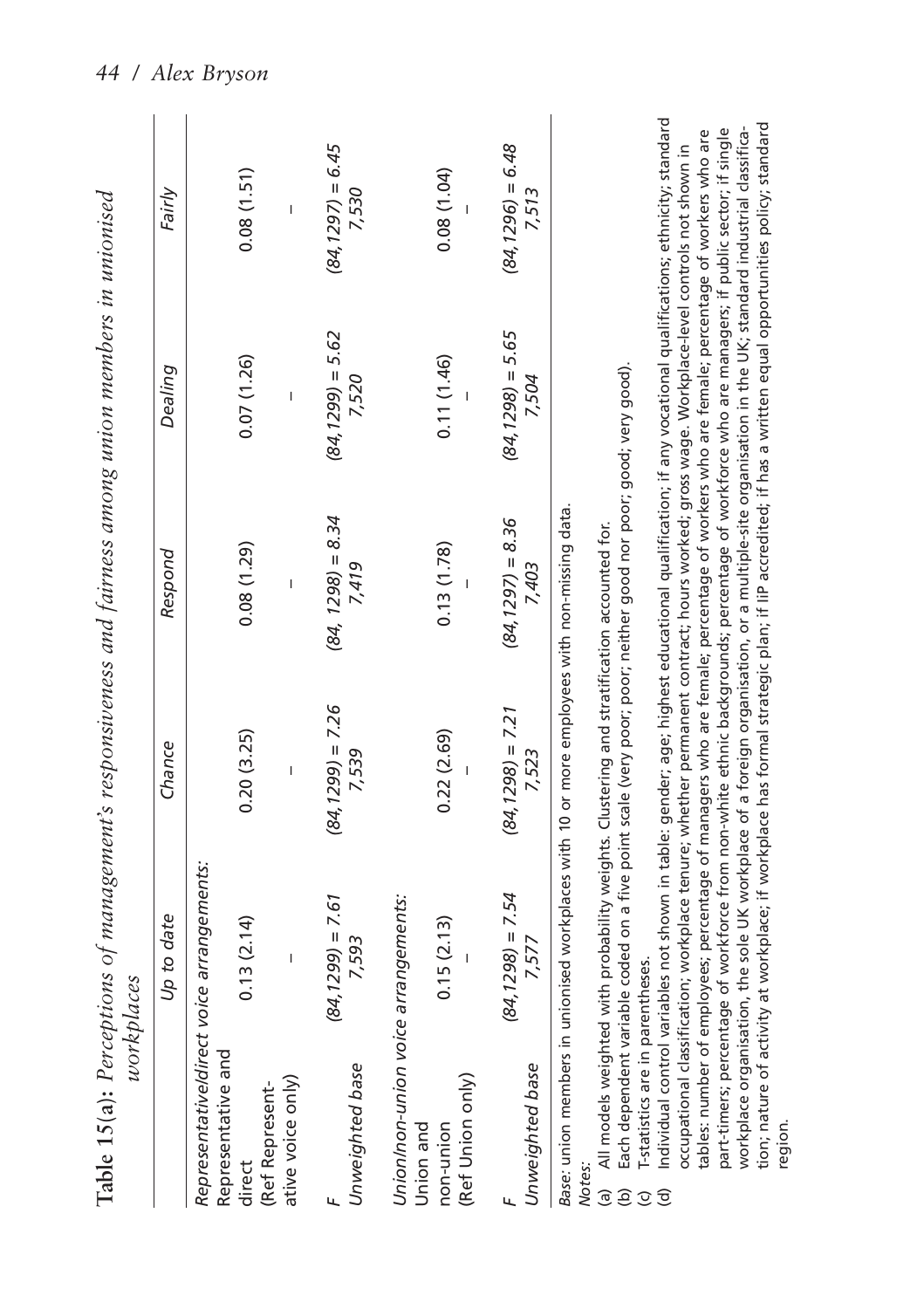|                                                                      |                                                            | workplaces                                              |                                                                                                                                                                                            | Table 15(a): Perceptions of management's responsiveness and fairness among union members in unionised                                                                                                                                                                                                                                                                                                                                                                                                                                                                                                                                                                                                                                                                                                                                                                                                                                                                                                                                |                              |                              |
|----------------------------------------------------------------------|------------------------------------------------------------|---------------------------------------------------------|--------------------------------------------------------------------------------------------------------------------------------------------------------------------------------------------|--------------------------------------------------------------------------------------------------------------------------------------------------------------------------------------------------------------------------------------------------------------------------------------------------------------------------------------------------------------------------------------------------------------------------------------------------------------------------------------------------------------------------------------------------------------------------------------------------------------------------------------------------------------------------------------------------------------------------------------------------------------------------------------------------------------------------------------------------------------------------------------------------------------------------------------------------------------------------------------------------------------------------------------|------------------------------|------------------------------|
|                                                                      |                                                            | Up to date                                              | Chance                                                                                                                                                                                     | Respond                                                                                                                                                                                                                                                                                                                                                                                                                                                                                                                                                                                                                                                                                                                                                                                                                                                                                                                                                                                                                              | Dealing                      | Fairly                       |
| direct                                                               | Representative and<br>ative voice only)<br>(Ref Represent- | Representative/direct voice arrangements:<br>0.13(2.14) | 0.20(3.25)                                                                                                                                                                                 | 0.08(1.29)                                                                                                                                                                                                                                                                                                                                                                                                                                                                                                                                                                                                                                                                                                                                                                                                                                                                                                                                                                                                                           | 0.07(1.26)                   | 0.08(1.51)                   |
|                                                                      | Unweighted base                                            | $(84, 1299) = 7.61$<br>7,593                            | $(84, 1299) = 7.26$<br>7,539                                                                                                                                                               | $(84, 1298) = 8.34$<br>7.419                                                                                                                                                                                                                                                                                                                                                                                                                                                                                                                                                                                                                                                                                                                                                                                                                                                                                                                                                                                                         | $(84, 1299) = 5.62$<br>7,520 | $(84, 1297) = 6.45$<br>7,530 |
| non-union<br>Union and                                               | (Ref Union only)                                           | Union/non-union voice arrangements:<br>0.15(2.13)       | 0.22(2.69)                                                                                                                                                                                 | 0.13(1.78)                                                                                                                                                                                                                                                                                                                                                                                                                                                                                                                                                                                                                                                                                                                                                                                                                                                                                                                                                                                                                           | 0.11(1.46)                   | 0.08(1.04)                   |
|                                                                      | Unweighted base                                            | $(84, 1298) = 7.54$<br>/,577                            | $(84, 1298) = 7.21$<br>7,523                                                                                                                                                               | $(84, 1297) = 8.36$<br>7,403                                                                                                                                                                                                                                                                                                                                                                                                                                                                                                                                                                                                                                                                                                                                                                                                                                                                                                                                                                                                         | $(84, 1298) = 5.65$<br>7,504 | $(84, 1296) = 6.48$<br>7,513 |
| Notes.<br>ම<br>$\widehat{e}$<br>$\widehat{\sigma}$<br>$\circledcirc$ | I-statistics are in parentheses.                           |                                                         | Base: union members in unionised workplaces with 10 or more employees with non-missing data.<br>All models weighted with probability weights. Clustering and stratification accounted for. | Individual control variables not shown in table: gender; age; highest educational qualification; if any vocational qualifications; ethnicity; standard<br>tion; nature of activity at workplace; if workplace has formal strategic plan; if liP accredited; if has a written equal opportunities policy; standard<br>part-timers; percentage of workforce from non-white ethnic backgrounds; percentage of workforce who are managers; if public sector; if single<br>workplace organisation, the sole UK workplace of a foreign organisation, or a multiple-site organisation in the UK; standard industrial classifica-<br>tables: number of employees; percentage of managers who are female; percentage of workers who are female; percentage of workers who are<br>occupational classification; workplace tenure; whether permanent contract; hours worked; gross wage. Workplace-level controls not shown in<br>Each dependent variable coded on a five point scale (very poor; poor; neither good nor poor; good; very good). |                              |                              |

region.

*44 / Alex Bryson*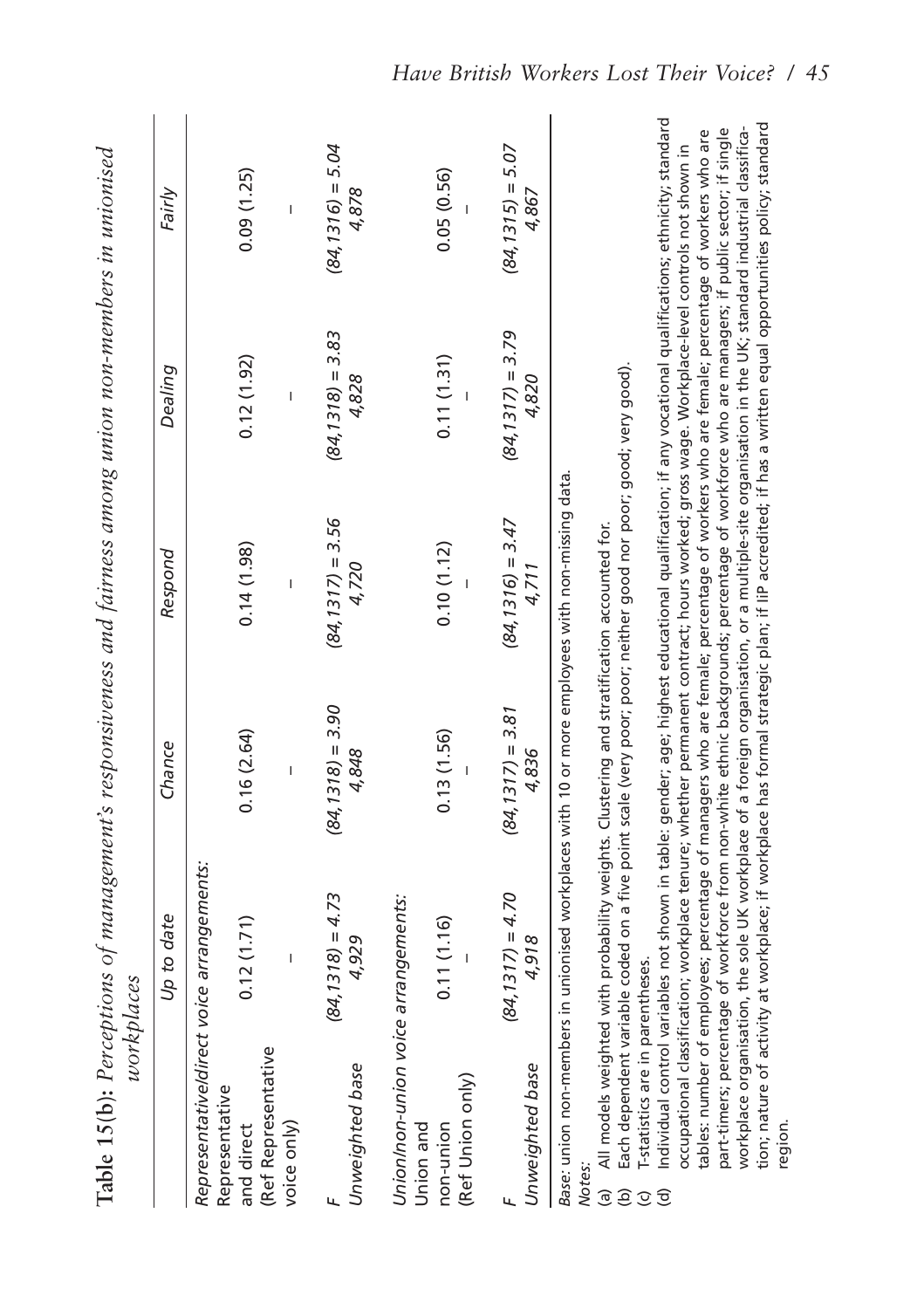|                                                                   | workplaces                                              |                                                                                            |                                                                                                          | Table 15(b): Perceptions of management's responsiveness and fairness among union non-members in unionised                                                                                                                                                                                                                                                                                                                              |                              |
|-------------------------------------------------------------------|---------------------------------------------------------|--------------------------------------------------------------------------------------------|----------------------------------------------------------------------------------------------------------|----------------------------------------------------------------------------------------------------------------------------------------------------------------------------------------------------------------------------------------------------------------------------------------------------------------------------------------------------------------------------------------------------------------------------------------|------------------------------|
|                                                                   | Up to date                                              | Chance                                                                                     | Respond                                                                                                  | Dealing                                                                                                                                                                                                                                                                                                                                                                                                                                | Fairly                       |
| Representative<br>and direct                                      | Representative/direct voice arrangements:<br>0.12(1.71) | 0.16(2.64)                                                                                 | 0.14(1.98)                                                                                               | 0.12(1.92)                                                                                                                                                                                                                                                                                                                                                                                                                             | 0.09(1.25)                   |
| (Ref Representative<br>voice only)                                |                                                         |                                                                                            |                                                                                                          |                                                                                                                                                                                                                                                                                                                                                                                                                                        |                              |
| Unweighted base<br>ц                                              | $(84, 1318) = 4.73$<br>4,929                            | $(84, 1318) = 3.90$<br>4,848                                                               | $(84, 1317) = 3.56$<br>4,720                                                                             | $(84, 1318) = 3.83$<br>4,828                                                                                                                                                                                                                                                                                                                                                                                                           | $(84, 1316) = 5.04$<br>4,878 |
| Union/non-union voice arrangements:                               |                                                         |                                                                                            |                                                                                                          |                                                                                                                                                                                                                                                                                                                                                                                                                                        |                              |
| (Ref Union only)<br>non-union<br>Union and                        | 0.11(1.16)                                              | 0.13(1.56)                                                                                 | 0.10(1.12)                                                                                               | 0.11(1.31)                                                                                                                                                                                                                                                                                                                                                                                                                             | 0.05(0.56)                   |
| Unweighted base                                                   | $(84, 1317) = 4.70$<br>4,918                            | $(84, 1317) = 3.81$<br>4,836                                                               | $(84, 1316) = 3.47$<br>4,711                                                                             | $(84, 1317) = 3.79$<br>4,820                                                                                                                                                                                                                                                                                                                                                                                                           | $(84, 1315) = 5.07$<br>4,867 |
| Notes:                                                            |                                                         |                                                                                            | Base: union non-members in unionised workplaces with 10 or more employees with non-missing data.         |                                                                                                                                                                                                                                                                                                                                                                                                                                        |                              |
| ම<br>$\widehat{e}$                                                |                                                         | All models weighted with probability weights. Clustering and stratification accounted for. | Each dependent variable coded on a five point scale (very poor; neither good nor poor; good; very good). |                                                                                                                                                                                                                                                                                                                                                                                                                                        |                              |
| I-statistics are in parentheses.<br>$\widehat{\sigma}$<br>$\odot$ |                                                         |                                                                                            |                                                                                                          | Individual control variables not shown in table: gender; age; highest educational qualification; if any vocational qualifications; ethnicity; standard                                                                                                                                                                                                                                                                                 |                              |
|                                                                   |                                                         |                                                                                            |                                                                                                          | part-timers; percentage of workforce from non-white ethnic backgrounds; percentage of workforce who are managers; if public sector; if single<br>tables: number of employees; percentage of managers who are female; percentage of workers who are female; percentage of workers who are<br>occupational classification; workplace tenure; whether permanent contract; hours worked; gross wage. Workplace-level controls not shown in |                              |
| region                                                            |                                                         |                                                                                            |                                                                                                          | tion; nature of activity at workplace; if workplace has formal strategic plan; if liP accredited; if has a written equal opportunities policy; standard<br>workplace organisation, the sole UK workplace of a foreign organisation, or a multiple-site organisation in the UK; standard industrial classifica-                                                                                                                         |                              |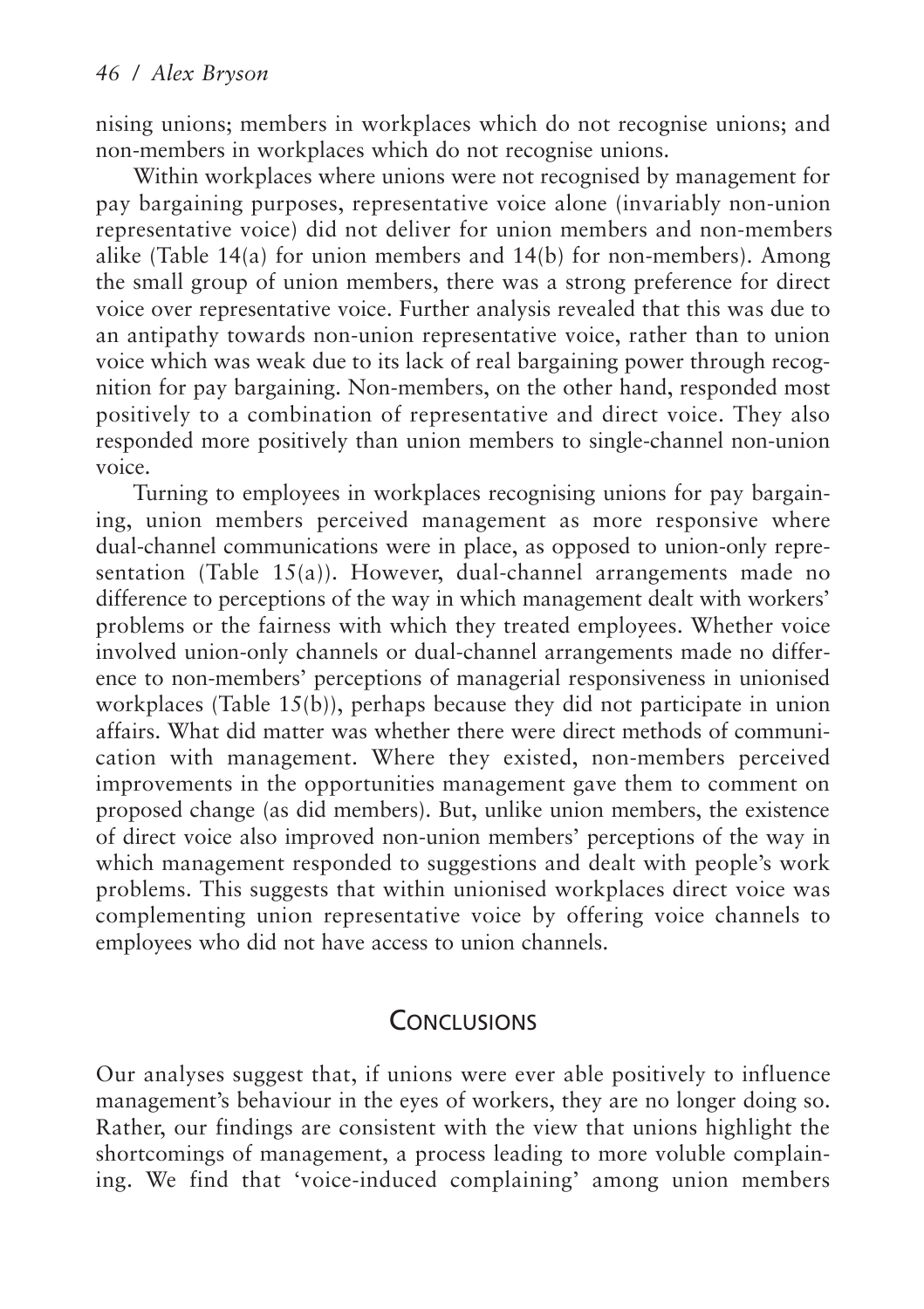nising unions; members in workplaces which do not recognise unions; and non-members in workplaces which do not recognise unions.

Within workplaces where unions were not recognised by management for pay bargaining purposes, representative voice alone (invariably non-union representative voice) did not deliver for union members and non-members alike (Table 14(a) for union members and 14(b) for non-members). Among the small group of union members, there was a strong preference for direct voice over representative voice. Further analysis revealed that this was due to an antipathy towards non-union representative voice, rather than to union voice which was weak due to its lack of real bargaining power through recognition for pay bargaining. Non-members, on the other hand, responded most positively to a combination of representative and direct voice. They also responded more positively than union members to single-channel non-union voice.

Turning to employees in workplaces recognising unions for pay bargaining, union members perceived management as more responsive where dual-channel communications were in place, as opposed to union-only representation (Table 15(a)). However, dual-channel arrangements made no difference to perceptions of the way in which management dealt with workers' problems or the fairness with which they treated employees. Whether voice involved union-only channels or dual-channel arrangements made no difference to non-members' perceptions of managerial responsiveness in unionised workplaces (Table 15(b)), perhaps because they did not participate in union affairs. What did matter was whether there were direct methods of communication with management. Where they existed, non-members perceived improvements in the opportunities management gave them to comment on proposed change (as did members). But, unlike union members, the existence of direct voice also improved non-union members' perceptions of the way in which management responded to suggestions and dealt with people's work problems. This suggests that within unionised workplaces direct voice was complementing union representative voice by offering voice channels to employees who did not have access to union channels.

# **CONCLUSIONS**

Our analyses suggest that, if unions were ever able positively to influence management's behaviour in the eyes of workers, they are no longer doing so. Rather, our findings are consistent with the view that unions highlight the shortcomings of management, a process leading to more voluble complaining. We find that 'voice-induced complaining' among union members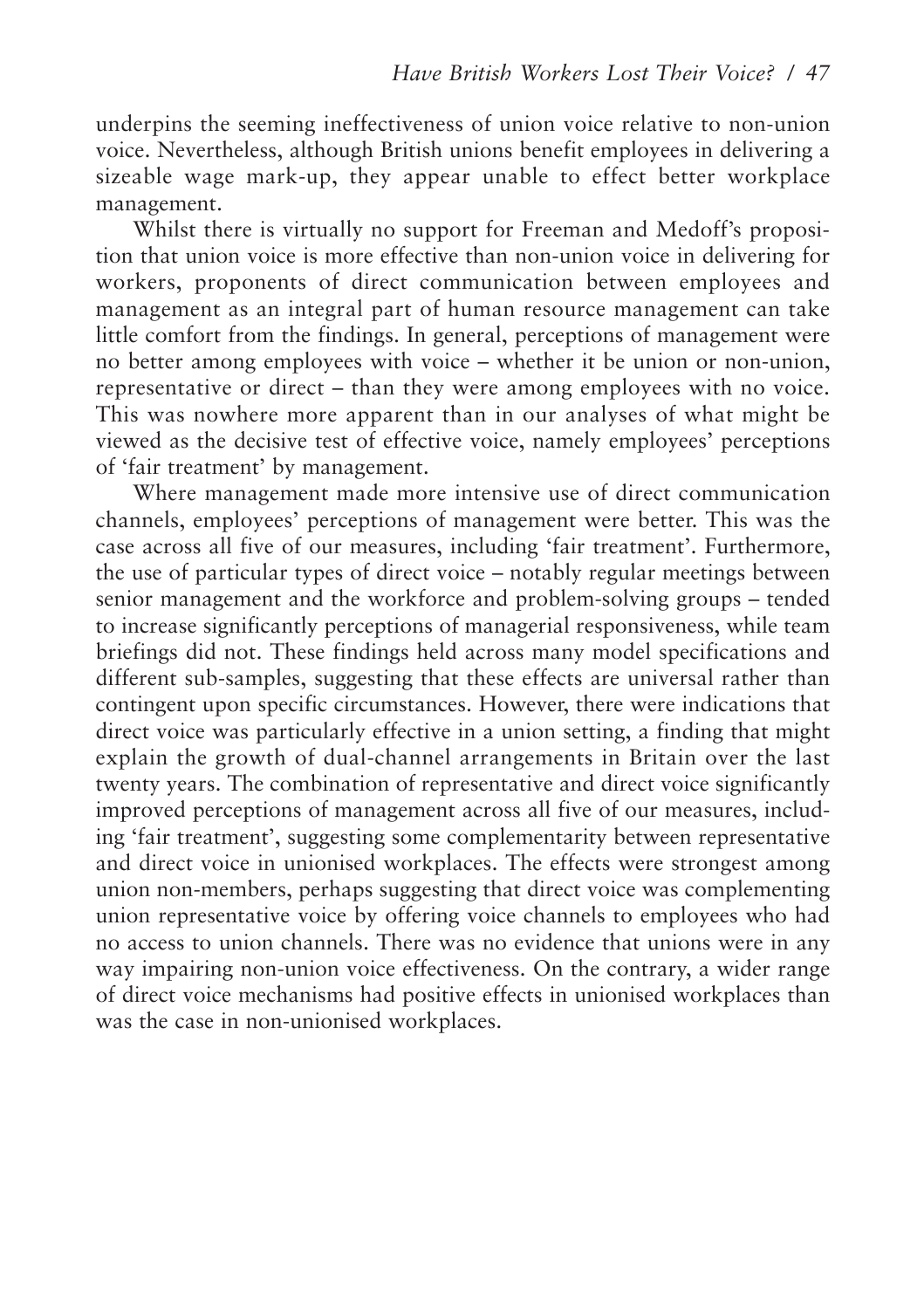underpins the seeming ineffectiveness of union voice relative to non-union voice. Nevertheless, although British unions benefit employees in delivering a sizeable wage mark-up, they appear unable to effect better workplace management.

Whilst there is virtually no support for Freeman and Medoff's proposition that union voice is more effective than non-union voice in delivering for workers, proponents of direct communication between employees and management as an integral part of human resource management can take little comfort from the findings. In general, perceptions of management were no better among employees with voice – whether it be union or non-union, representative or direct – than they were among employees with no voice. This was nowhere more apparent than in our analyses of what might be viewed as the decisive test of effective voice, namely employees' perceptions of 'fair treatment' by management.

Where management made more intensive use of direct communication channels, employees' perceptions of management were better. This was the case across all five of our measures, including 'fair treatment'. Furthermore, the use of particular types of direct voice – notably regular meetings between senior management and the workforce and problem-solving groups – tended to increase significantly perceptions of managerial responsiveness, while team briefings did not. These findings held across many model specifications and different sub-samples, suggesting that these effects are universal rather than contingent upon specific circumstances. However, there were indications that direct voice was particularly effective in a union setting, a finding that might explain the growth of dual-channel arrangements in Britain over the last twenty years. The combination of representative and direct voice significantly improved perceptions of management across all five of our measures, including 'fair treatment', suggesting some complementarity between representative and direct voice in unionised workplaces. The effects were strongest among union non-members, perhaps suggesting that direct voice was complementing union representative voice by offering voice channels to employees who had no access to union channels. There was no evidence that unions were in any way impairing non-union voice effectiveness. On the contrary, a wider range of direct voice mechanisms had positive effects in unionised workplaces than was the case in non-unionised workplaces.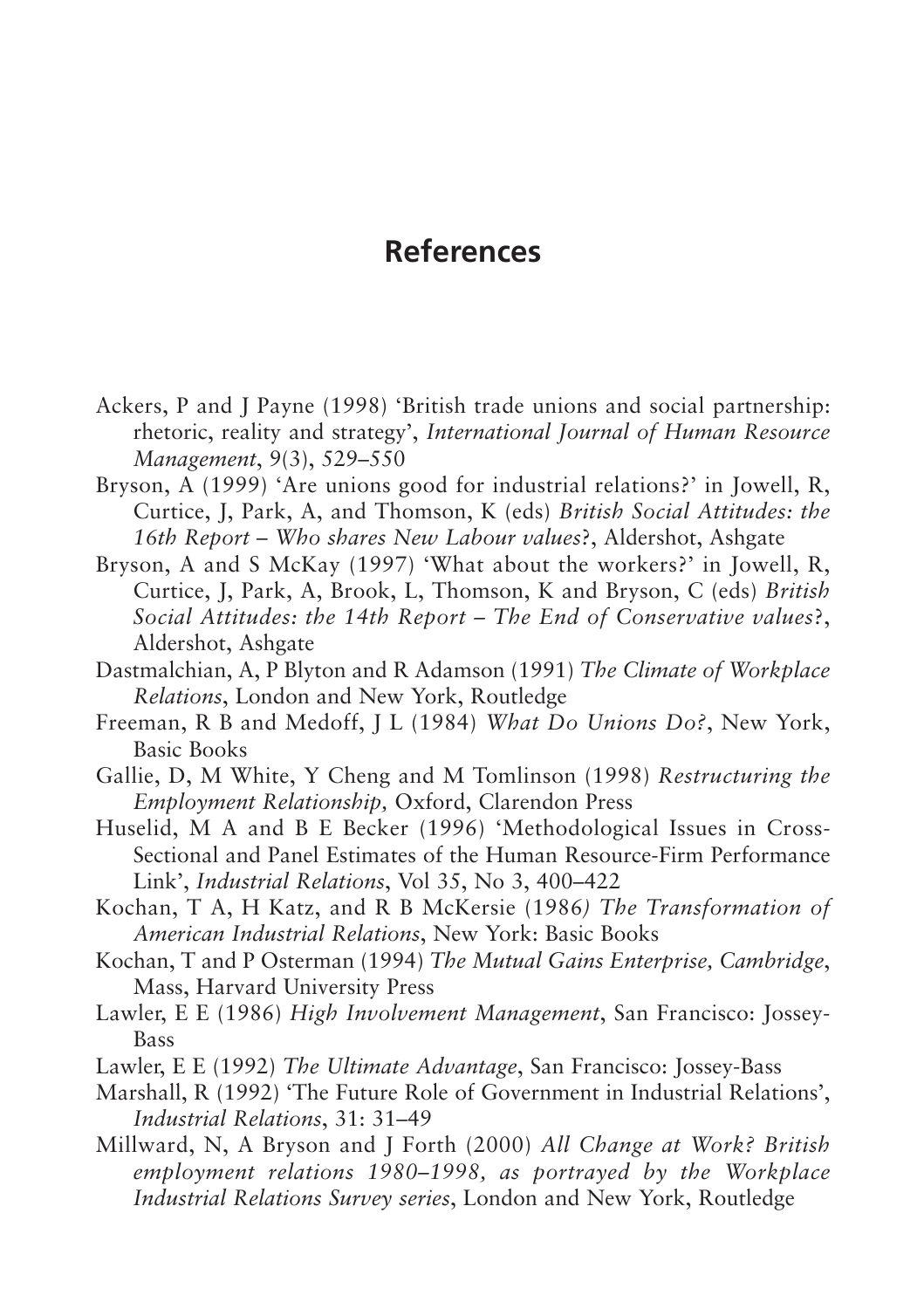# **References**

- Ackers, P and J Payne (1998) 'British trade unions and social partnership: rhetoric, reality and strategy', *International Journal of Human Resource Management*, 9(3), 529–550
- Bryson, A (1999) 'Are unions good for industrial relations?' in Jowell, R, Curtice, J, Park, A, and Thomson, K (eds) *British Social Attitudes: the 16th Report – Who shares New Labour values*?, Aldershot, Ashgate
- Bryson, A and S McKay (1997) 'What about the workers?' in Jowell, R, Curtice, J, Park, A, Brook, L, Thomson, K and Bryson, C (eds) *British Social Attitudes: the 14th Report – The End of Conservative values*?, Aldershot, Ashgate
- Dastmalchian, A, P Blyton and R Adamson (1991) *The Climate of Workplace Relations*, London and New York, Routledge
- Freeman, R B and Medoff, J L (1984) *What Do Unions Do?*, New York, Basic Books
- Gallie, D, M White, Y Cheng and M Tomlinson (1998) *Restructuring the Employment Relationship,* Oxford, Clarendon Press
- Huselid, M A and B E Becker (1996) 'Methodological Issues in Cross-Sectional and Panel Estimates of the Human Resource-Firm Performance Link', *Industrial Relations*, Vol 35, No 3, 400–422
- Kochan, T A, H Katz, and R B McKersie (1986*) The Transformation of American Industrial Relations*, New York: Basic Books
- Kochan, T and P Osterman (1994) *The Mutual Gains Enterprise, Cambridge*, Mass, Harvard University Press
- Lawler, E E (1986) *High Involvement Management*, San Francisco: Jossey-Bass
- Lawler, E E (1992) *The Ultimate Advantage*, San Francisco: Jossey-Bass
- Marshall, R (1992) 'The Future Role of Government in Industrial Relations', *Industrial Relations*, 31: 31–49
- Millward, N, A Bryson and J Forth (2000) *All Change at Work? British employment relations 1980–1998, as portrayed by the Workplace Industrial Relations Survey series*, London and New York, Routledge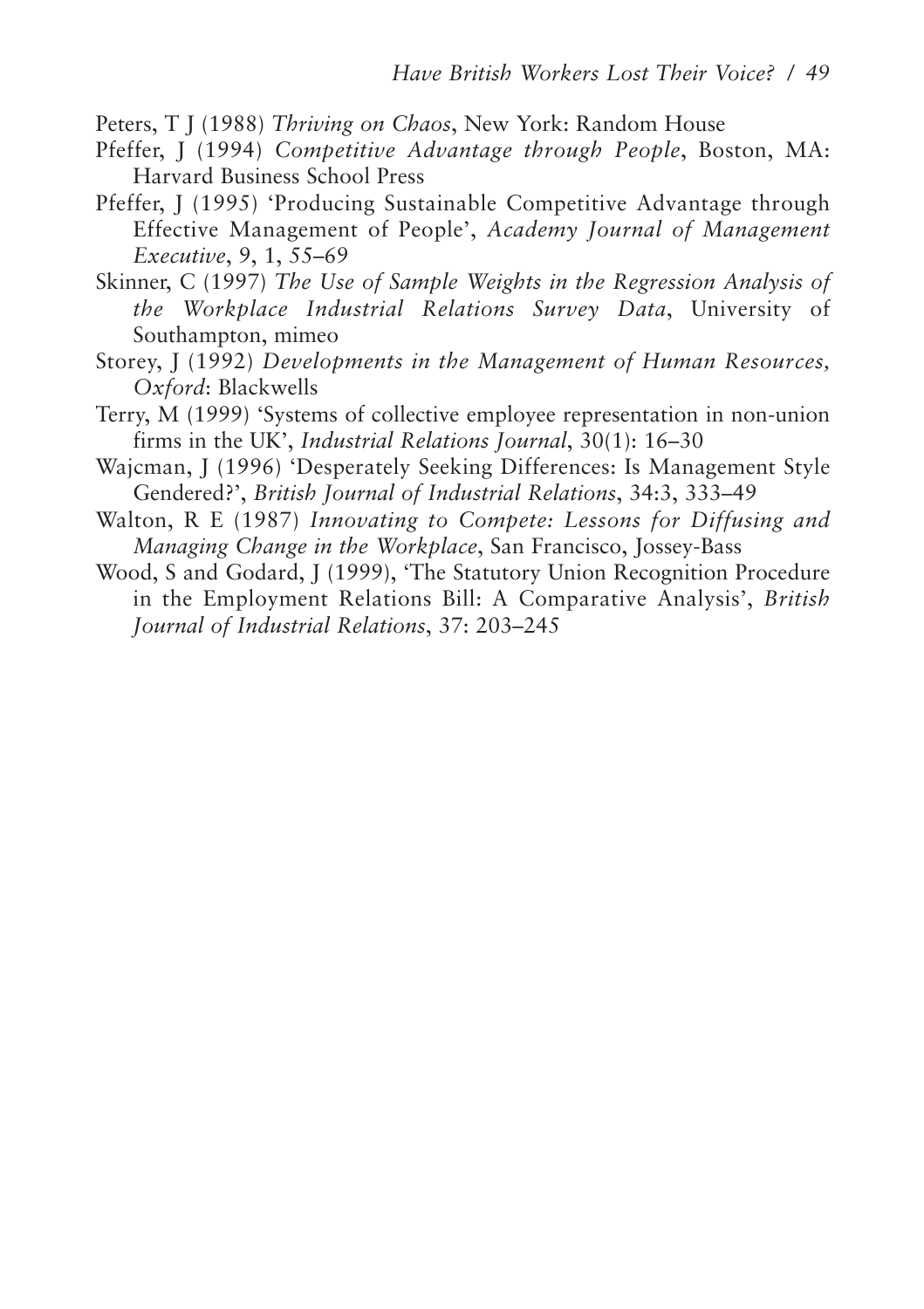- Peters, T J (1988) *Thriving on Chaos*, New York: Random House
- Pfeffer, J (1994) *Competitive Advantage through People*, Boston, MA: Harvard Business School Press
- Pfeffer, J (1995) 'Producing Sustainable Competitive Advantage through Effective Management of People', *Academy Journal of Management Executive*, 9, 1, 55–69
- Skinner, C (1997) *The Use of Sample Weights in the Regression Analysis of the Workplace Industrial Relations Survey Data*, University of Southampton, mimeo
- Storey, J (1992) *Developments in the Management of Human Resources, Oxford*: Blackwells
- Terry, M (1999) 'Systems of collective employee representation in non-union firms in the UK', *Industrial Relations Journal*, 30(1): 16–30
- Wajcman, J (1996) 'Desperately Seeking Differences: Is Management Style Gendered?', *British Journal of Industrial Relations*, 34:3, 333–49
- Walton, R E (1987) *Innovating to Compete: Lessons for Diffusing and Managing Change in the Workplace*, San Francisco, Jossey-Bass
- Wood, S and Godard, J (1999), 'The Statutory Union Recognition Procedure in the Employment Relations Bill: A Comparative Analysis', *British Journal of Industrial Relations*, 37: 203–245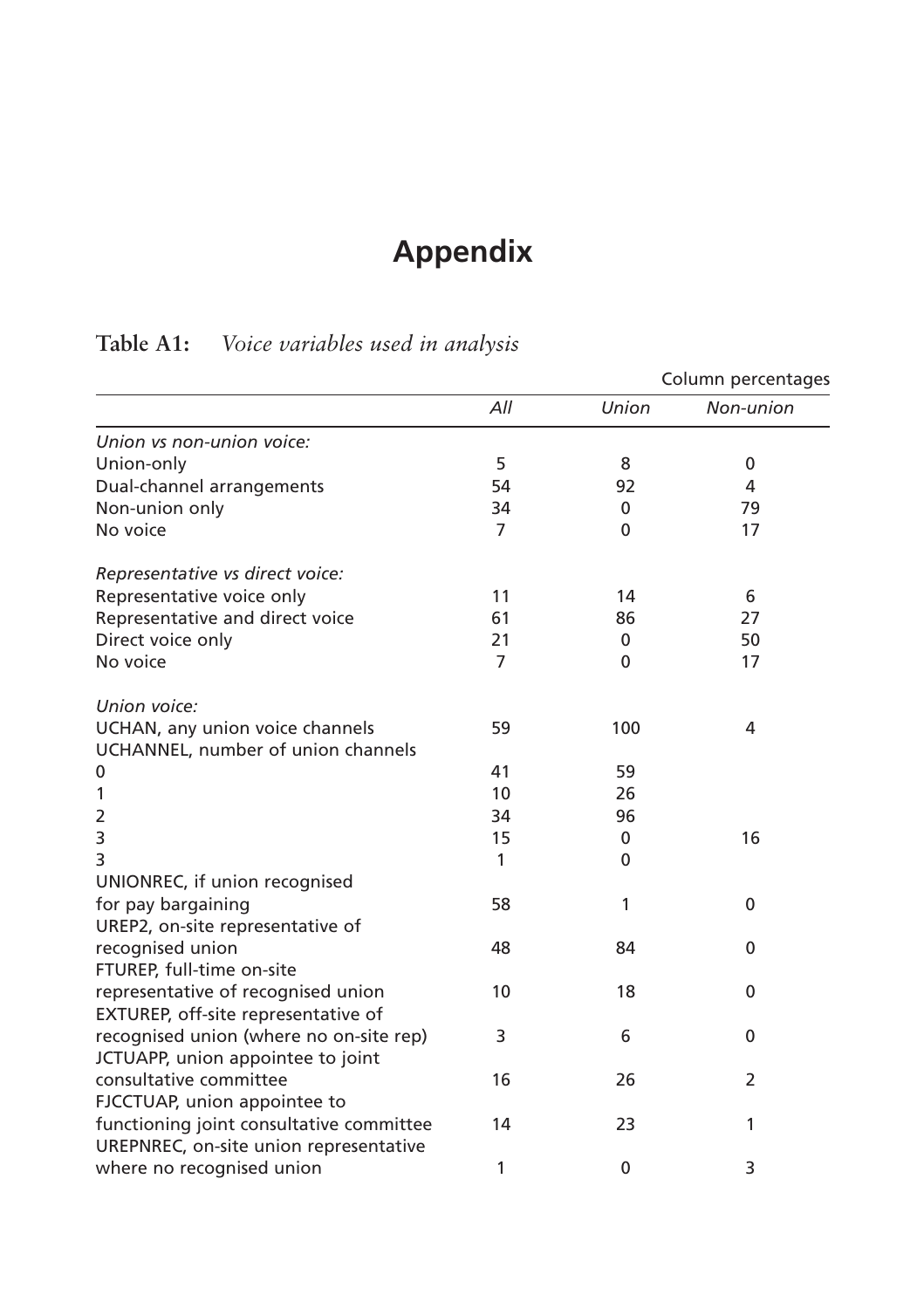# **Appendix**

# **Table A1:** *Voice variables used in analysis*

|                                          |                |              | Column percentages |
|------------------------------------------|----------------|--------------|--------------------|
|                                          | All            | Union        | Non-union          |
| Union vs non-union voice:                |                |              |                    |
| Union-only                               | 5              | 8            | 0                  |
| Dual-channel arrangements                | 54             | 92           | 4                  |
| Non-union only                           | 34             | $\mathbf{0}$ | 79                 |
| No voice                                 | 7              | 0            | 17                 |
| Representative vs direct voice:          |                |              |                    |
| Representative voice only                | 11             | 14           | 6                  |
| Representative and direct voice          | 61             | 86           | 27                 |
| Direct voice only                        | 21             | 0            | 50                 |
| No voice                                 | $\overline{7}$ | $\mathbf{0}$ | 17                 |
| Union voice:                             |                |              |                    |
| UCHAN, any union voice channels          | 59             | 100          | 4                  |
| UCHANNEL, number of union channels       |                |              |                    |
| 0                                        | 41             | 59           |                    |
| 1                                        | 10             | 26           |                    |
| 2                                        | 34             | 96           |                    |
| 3                                        | 15             | 0            | 16                 |
| 3                                        | 1              | 0            |                    |
| UNIONREC, if union recognised            |                |              |                    |
| for pay bargaining                       | 58             | 1            | $\mathbf{0}$       |
| UREP2, on-site representative of         |                |              |                    |
| recognised union                         | 48             | 84           | 0                  |
| FTUREP, full-time on-site                |                |              |                    |
| representative of recognised union       | 10             | 18           | 0                  |
| EXTUREP, off-site representative of      |                |              |                    |
| recognised union (where no on-site rep)  | 3              | 6            | 0                  |
| JCTUAPP, union appointee to joint        |                |              |                    |
| consultative committee                   | 16             | 26           | $\overline{2}$     |
| FJCCTUAP, union appointee to             |                |              |                    |
| functioning joint consultative committee | 14             | 23           | 1                  |
| UREPNREC, on-site union representative   |                |              |                    |
| where no recognised union                | 1              | 0            | 3                  |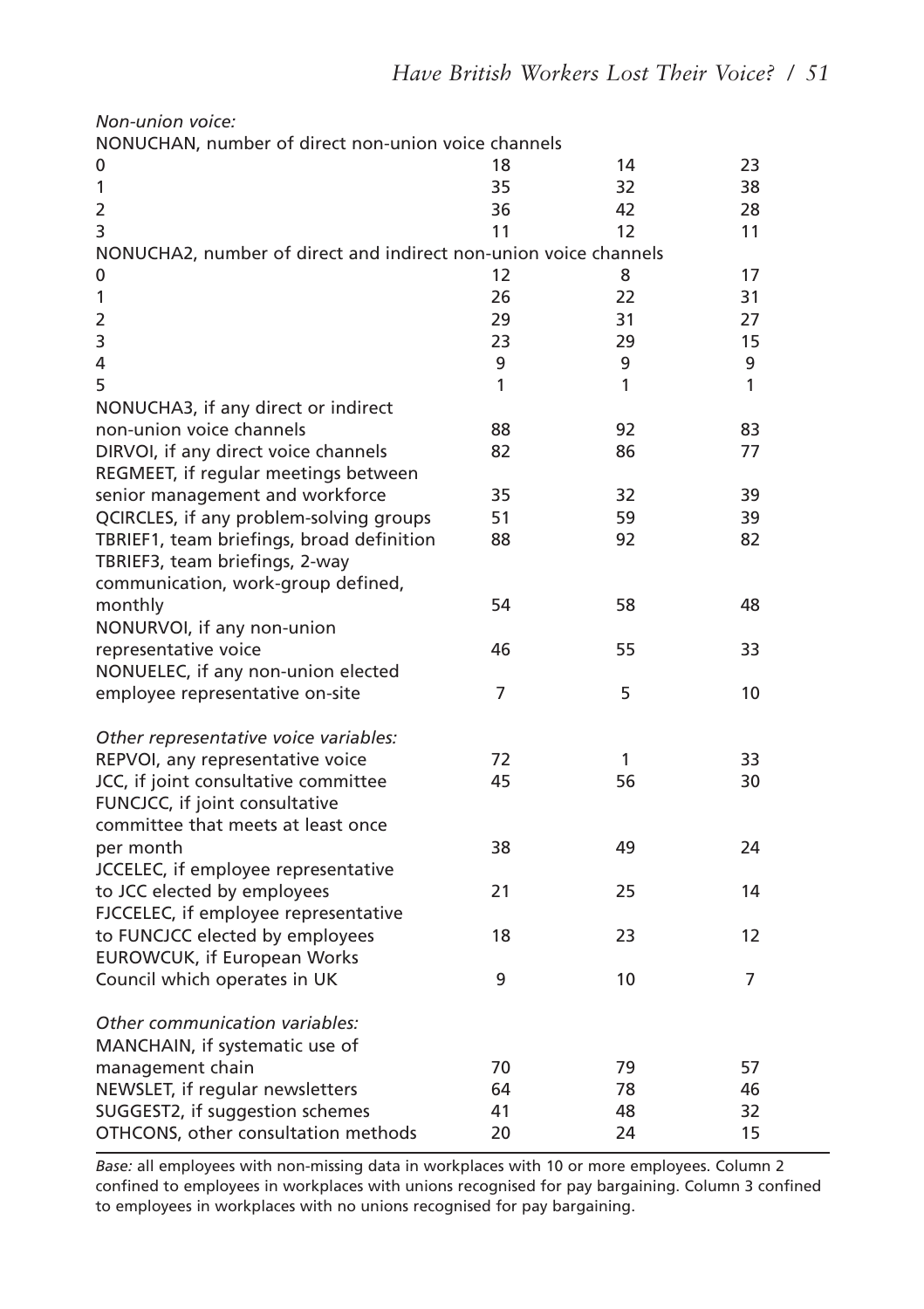| Non-union voice:                                                 |    |    |    |
|------------------------------------------------------------------|----|----|----|
| NONUCHAN, number of direct non-union voice channels<br>0         | 18 | 14 | 23 |
| 1                                                                | 35 | 32 | 38 |
| $\overline{2}$                                                   | 36 | 42 | 28 |
| 3                                                                | 11 | 12 | 11 |
| NONUCHA2, number of direct and indirect non-union voice channels |    |    |    |
| 0                                                                | 12 | 8  | 17 |
| 1                                                                | 26 | 22 | 31 |
| 2                                                                | 29 | 31 | 27 |
| 3                                                                | 23 | 29 | 15 |
| 4                                                                | 9  | 9  | 9  |
| 5                                                                | 1  | 1  | 1  |
| NONUCHA3, if any direct or indirect                              |    |    |    |
| non-union voice channels                                         | 88 | 92 | 83 |
| DIRVOI, if any direct voice channels                             | 82 | 86 | 77 |
| REGMEET, if regular meetings between                             |    |    |    |
| senior management and workforce                                  | 35 | 32 | 39 |
| QCIRCLES, if any problem-solving groups                          | 51 | 59 | 39 |
| TBRIEF1, team briefings, broad definition                        | 88 | 92 | 82 |
| TBRIEF3, team briefings, 2-way                                   |    |    |    |
| communication, work-group defined,                               |    |    |    |
| monthly                                                          | 54 | 58 | 48 |
| NONURVOI, if any non-union                                       |    |    |    |
| representative voice                                             | 46 | 55 | 33 |
| NONUELEC, if any non-union elected                               | 7  | 5  | 10 |
| employee representative on-site                                  |    |    |    |
| Other representative voice variables:                            |    |    |    |
| REPVOI, any representative voice                                 | 72 | 1  | 33 |
| JCC, if joint consultative committee                             | 45 | 56 | 30 |
| FUNCJCC, if joint consultative                                   |    |    |    |
| committee that meets at least once                               |    |    |    |
| per month                                                        | 38 | 49 | 24 |
| JCCELEC, if employee representative                              |    |    |    |
| to JCC elected by employees                                      | 21 | 25 | 14 |
| FJCCELEC, if employee representative                             |    |    |    |
| to FUNCJCC elected by employees                                  | 18 | 23 | 12 |
| <b>EUROWCUK, if European Works</b>                               |    |    |    |
| Council which operates in UK                                     | 9  | 10 | 7  |
| Other communication variables:                                   |    |    |    |
| MANCHAIN, if systematic use of                                   |    |    |    |
| management chain                                                 | 70 | 79 | 57 |
| NEWSLET, if regular newsletters                                  | 64 | 78 | 46 |
| SUGGEST2, if suggestion schemes                                  | 41 | 48 | 32 |
| OTHCONS, other consultation methods                              | 20 | 24 | 15 |

*Base:* all employees with non-missing data in workplaces with 10 or more employees. Column 2 confined to employees in workplaces with unions recognised for pay bargaining. Column 3 confined to employees in workplaces with no unions recognised for pay bargaining.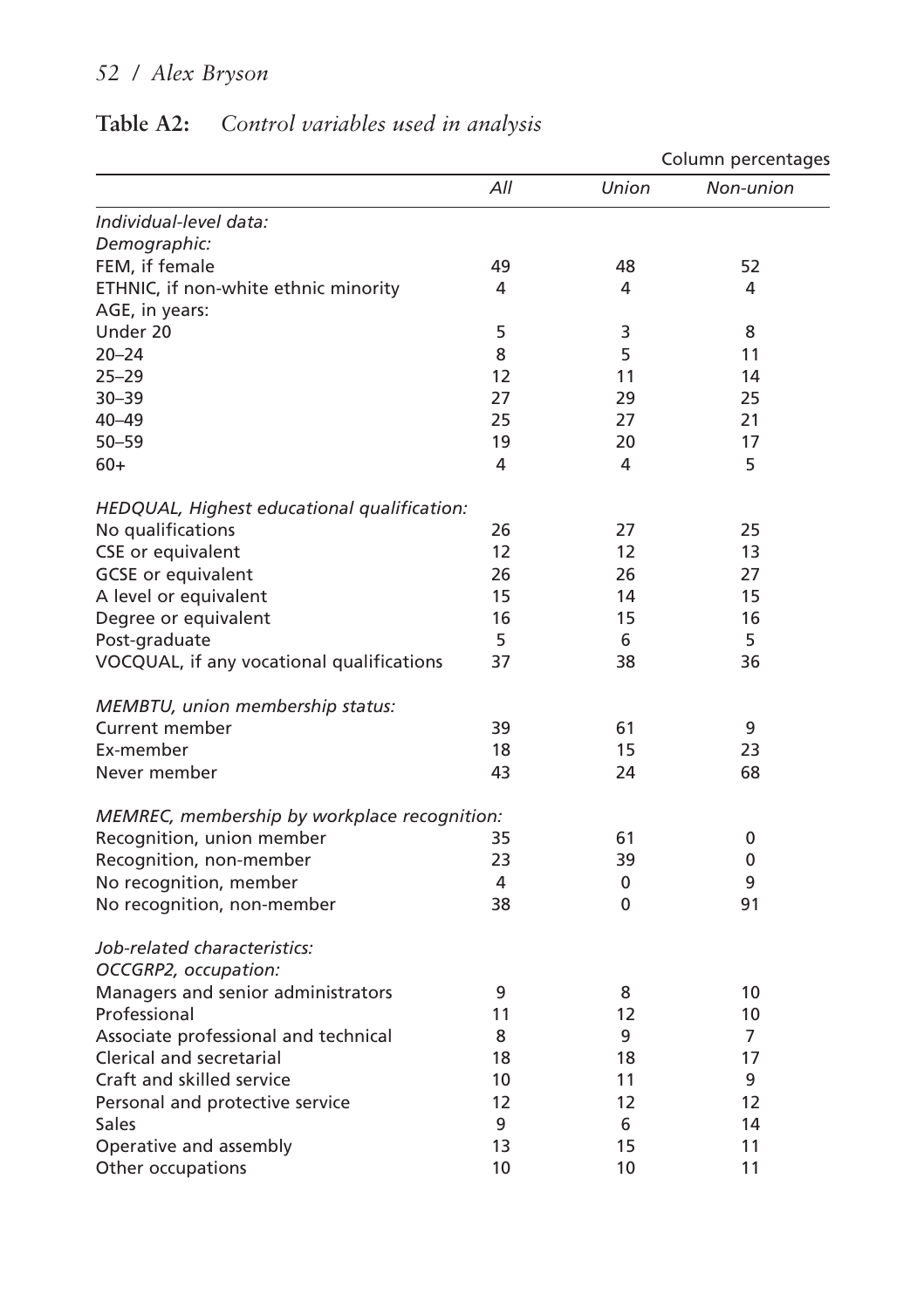|                                              |     |       | Column percentages |
|----------------------------------------------|-----|-------|--------------------|
|                                              | All | Union | Non-union          |
| Individual-level data:                       |     |       |                    |
| Demographic:                                 |     |       |                    |
| FEM, if female                               | 49  | 48    | 52                 |
| ETHNIC, if non-white ethnic minority         | 4   | 4     | 4                  |
| AGE, in years:                               |     |       |                    |
| Under 20                                     | 5   | 3     | 8                  |
| $20 - 24$                                    | 8   | 5     | 11                 |
| $25 - 29$                                    | 12  | 11    | 14                 |
| $30 - 39$                                    | 27  | 29    | 25                 |
| $40 - 49$                                    | 25  | 27    | 21                 |
| $50 - 59$                                    | 19  | 20    | 17                 |
| 60+                                          | 4   | 4     | 5                  |
| HEDQUAL, Highest educational qualification:  |     |       |                    |
| No qualifications                            | 26  | 27    | 25                 |
| CSE or equivalent                            | 12  | 12    | 13                 |
| <b>GCSE</b> or equivalent                    | 26  | 26    | 27                 |
| A level or equivalent                        | 15  | 14    | 15                 |
| Degree or equivalent                         | 16  | 15    | 16                 |
| Post-graduate                                | 5   | 6     | 5                  |
| VOCQUAL, if any vocational qualifications    | 37  | 38    | 36                 |
| MEMBTU, union membership status:             |     |       |                    |
| <b>Current member</b>                        | 39  | 61    | 9                  |
| Ex-member                                    | 18  | 15    | 23                 |
| Never member                                 | 43  | 24    | 68                 |
| MEMREC, membership by workplace recognition: |     |       |                    |
| Recognition, union member                    | 35  | 61    | 0                  |
| Recognition, non-member                      | 23  | 39    | 0                  |
| No recognition, member                       | 4   | 0     | 9                  |
| No recognition, non-member                   | 38  | 0     | 91                 |
| Job-related characteristics:                 |     |       |                    |
| OCCGRP2, occupation:                         |     |       |                    |
| Managers and senior administrators           | 9   | 8     | 10                 |
| Professional                                 | 11  | 12    | 10                 |
| Associate professional and technical         | 8   | 9     | 7                  |
| Clerical and secretarial                     | 18  | 18    | 17                 |
| Craft and skilled service                    | 10  | 11    | 9                  |
| Personal and protective service              | 12  | 12    | 12                 |
| Sales                                        | 9   | 6     | 14                 |
| Operative and assembly                       | 13  | 15    | 11                 |
| Other occupations                            | 10  | 10    | 11                 |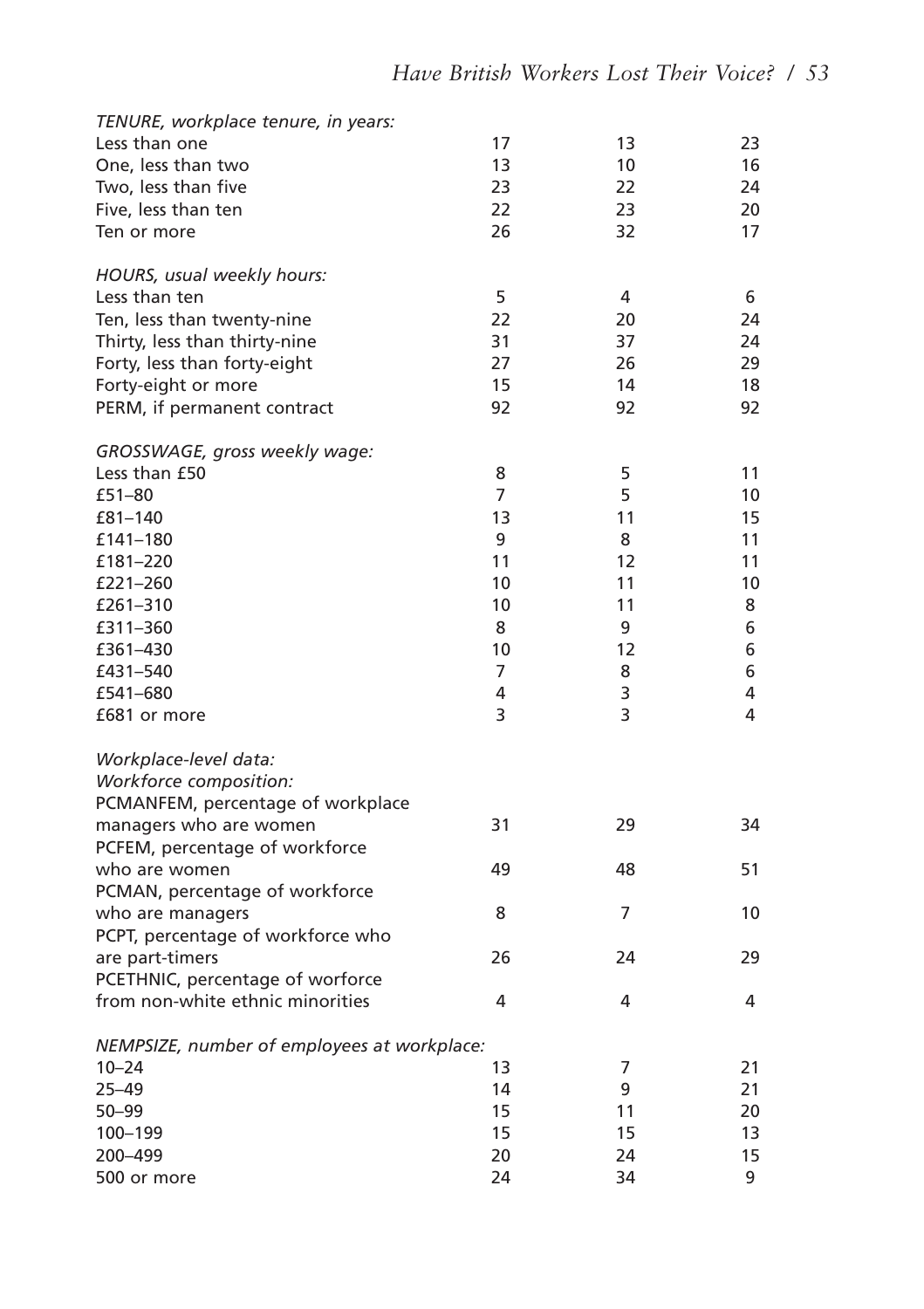| TENURE, workplace tenure, in years:         |    |    |    |
|---------------------------------------------|----|----|----|
| Less than one                               | 17 | 13 | 23 |
| One, less than two                          | 13 | 10 | 16 |
| Two, less than five                         | 23 | 22 | 24 |
| Five, less than ten                         | 22 | 23 | 20 |
| Ten or more                                 | 26 | 32 | 17 |
| HOURS, usual weekly hours:                  |    |    |    |
| Less than ten                               | 5  | 4  | 6  |
| Ten, less than twenty-nine                  | 22 | 20 | 24 |
| Thirty, less than thirty-nine               | 31 | 37 | 24 |
| Forty, less than forty-eight                | 27 | 26 | 29 |
| Forty-eight or more                         | 15 | 14 | 18 |
| PERM, if permanent contract                 | 92 | 92 | 92 |
| GROSSWAGE, gross weekly wage:               |    |    |    |
| Less than £50                               | 8  | 5  | 11 |
| £51-80                                      | 7  | 5  | 10 |
| £81-140                                     | 13 | 11 | 15 |
| £141-180                                    | 9  | 8  | 11 |
| £181-220                                    | 11 | 12 | 11 |
| £221-260                                    | 10 | 11 | 10 |
| £261-310                                    | 10 | 11 | 8  |
| £311-360                                    | 8  | 9  | 6  |
| £361-430                                    | 10 | 12 | 6  |
| £431-540                                    | 7  | 8  | 6  |
| £541-680                                    | 4  | 3  | 4  |
| £681 or more                                | 3  | 3  | 4  |
| Workplace-level data:                       |    |    |    |
| Workforce composition:                      |    |    |    |
| PCMANFEM, percentage of workplace           |    |    |    |
| managers who are women                      | 31 | 29 | 34 |
| PCFEM, percentage of workforce              |    |    |    |
| who are women                               | 49 | 48 | 51 |
| PCMAN, percentage of workforce              |    |    |    |
| who are managers                            | 8  | 7  | 10 |
| PCPT, percentage of workforce who           |    |    |    |
| are part-timers                             | 26 | 24 | 29 |
| PCETHNIC, percentage of worforce            |    |    |    |
| from non-white ethnic minorities            | 4  | 4  | 4  |
| NEMPSIZE, number of employees at workplace: |    |    |    |
| $10 - 24$                                   | 13 | 7  | 21 |
| 25–49                                       | 14 | 9  | 21 |
| $50 - 99$                                   | 15 | 11 | 20 |
| 100-199                                     | 15 | 15 | 13 |
| 200-499                                     | 20 | 24 | 15 |
| 500 or more                                 | 24 | 34 | 9  |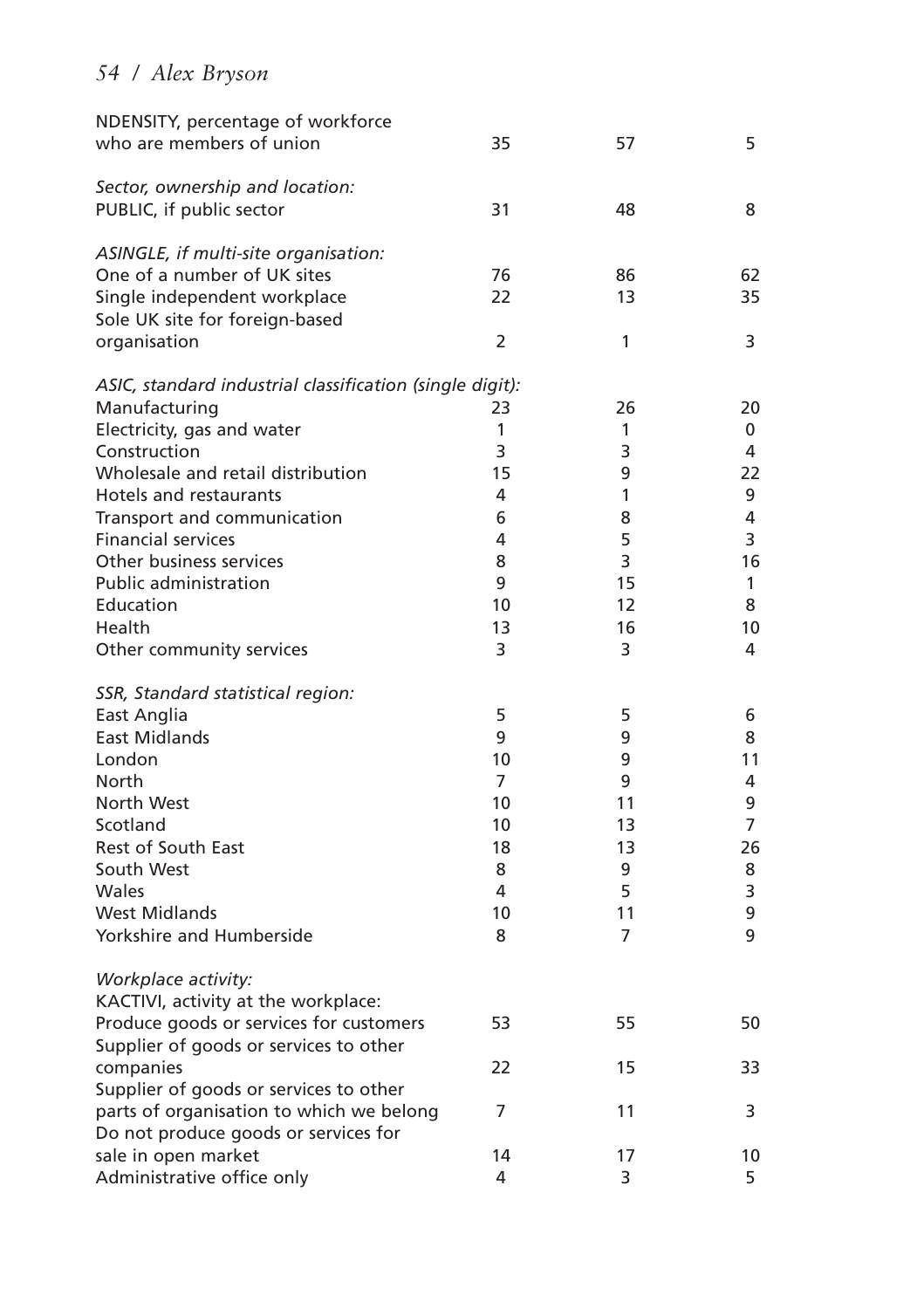| NDENSITY, percentage of workforce<br>who are members of union | 35             | 57 | 5  |
|---------------------------------------------------------------|----------------|----|----|
| Sector, ownership and location:                               |                |    |    |
| PUBLIC, if public sector                                      | 31             | 48 | 8  |
| ASINGLE, if multi-site organisation:                          |                |    |    |
| One of a number of UK sites                                   | 76             | 86 | 62 |
| Single independent workplace                                  | 22             | 13 | 35 |
| Sole UK site for foreign-based                                |                |    |    |
| organisation                                                  | $\overline{2}$ | 1  | 3  |
| ASIC, standard industrial classification (single digit):      |                |    |    |
| Manufacturing                                                 | 23             | 26 | 20 |
| Electricity, gas and water                                    | 1              | 1  | 0  |
| Construction                                                  | 3              | 3  | 4  |
| Wholesale and retail distribution                             | 15             | 9  | 22 |
| Hotels and restaurants                                        | 4              | 1  | 9  |
| Transport and communication                                   | 6              | 8  | 4  |
| <b>Financial services</b>                                     | 4              | 5  | 3  |
| Other business services                                       | 8              | 3  | 16 |
| <b>Public administration</b>                                  | 9              | 15 | 1  |
| Education                                                     | 10             | 12 | 8  |
| Health                                                        | 13             | 16 | 10 |
| Other community services                                      | 3              | 3  | 4  |
| SSR, Standard statistical region:                             |                |    |    |
| East Anglia                                                   | 5              | 5  | 6  |
| East Midlands                                                 | 9              | 9  | 8  |
| London                                                        | 10             | 9  | 11 |
| North                                                         | 7              | 9  | 4  |
| North West                                                    | 10             | 11 | 9  |
| Scotland                                                      | 10             | 13 | 7  |
| Rest of South East                                            | 18             | 13 | 26 |
| South West                                                    | 8              | 9  | 8  |
| Wales                                                         | 4              | 5  | 3  |
| <b>West Midlands</b>                                          | 10             | 11 | 9  |
| Yorkshire and Humberside                                      | 8              | 7  | 9  |
| Workplace activity:                                           |                |    |    |
| KACTIVI, activity at the workplace:                           |                |    |    |
| Produce goods or services for customers                       | 53             | 55 | 50 |
| Supplier of goods or services to other                        |                |    |    |
| companies                                                     | 22             | 15 | 33 |
| Supplier of goods or services to other                        |                |    |    |
| parts of organisation to which we belong                      | 7              | 11 | 3  |
| Do not produce goods or services for                          |                |    |    |
| sale in open market                                           | 14             | 17 | 10 |
| Administrative office only                                    | 4              | 3  | 5  |
|                                                               |                |    |    |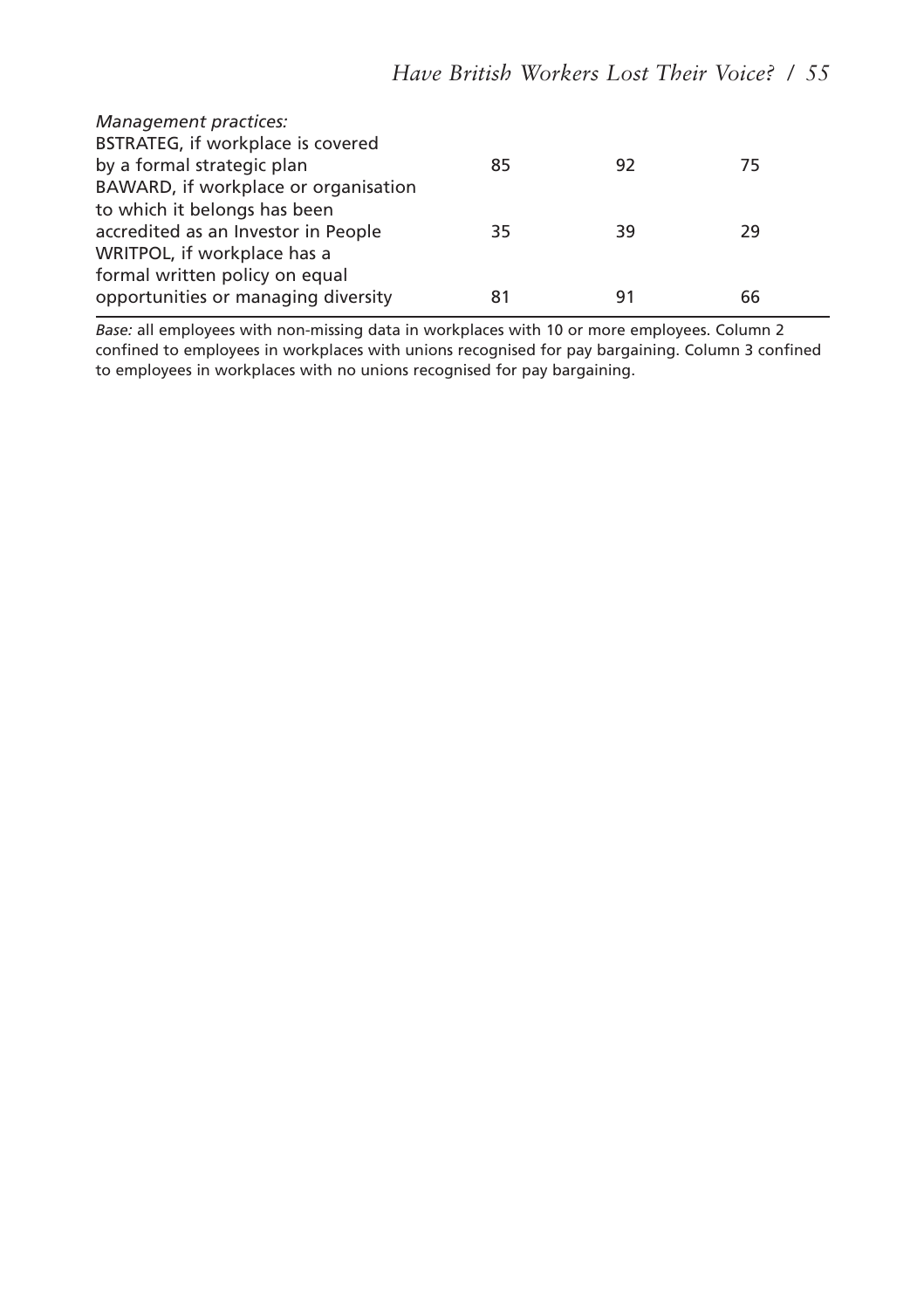| Management practices:<br>BSTRATEG, if workplace is covered |    |    |    |  |
|------------------------------------------------------------|----|----|----|--|
| by a formal strategic plan                                 | 85 | 92 | 75 |  |
| BAWARD, if workplace or organisation                       |    |    |    |  |
| to which it belongs has been                               |    |    |    |  |
| accredited as an Investor in People                        | 35 | 39 | 29 |  |
| WRITPOL, if workplace has a                                |    |    |    |  |
| formal written policy on equal                             |    |    |    |  |
| opportunities or managing diversity                        | 81 | 91 | 66 |  |

*Base:* all employees with non-missing data in workplaces with 10 or more employees. Column 2 confined to employees in workplaces with unions recognised for pay bargaining. Column 3 confined to employees in workplaces with no unions recognised for pay bargaining.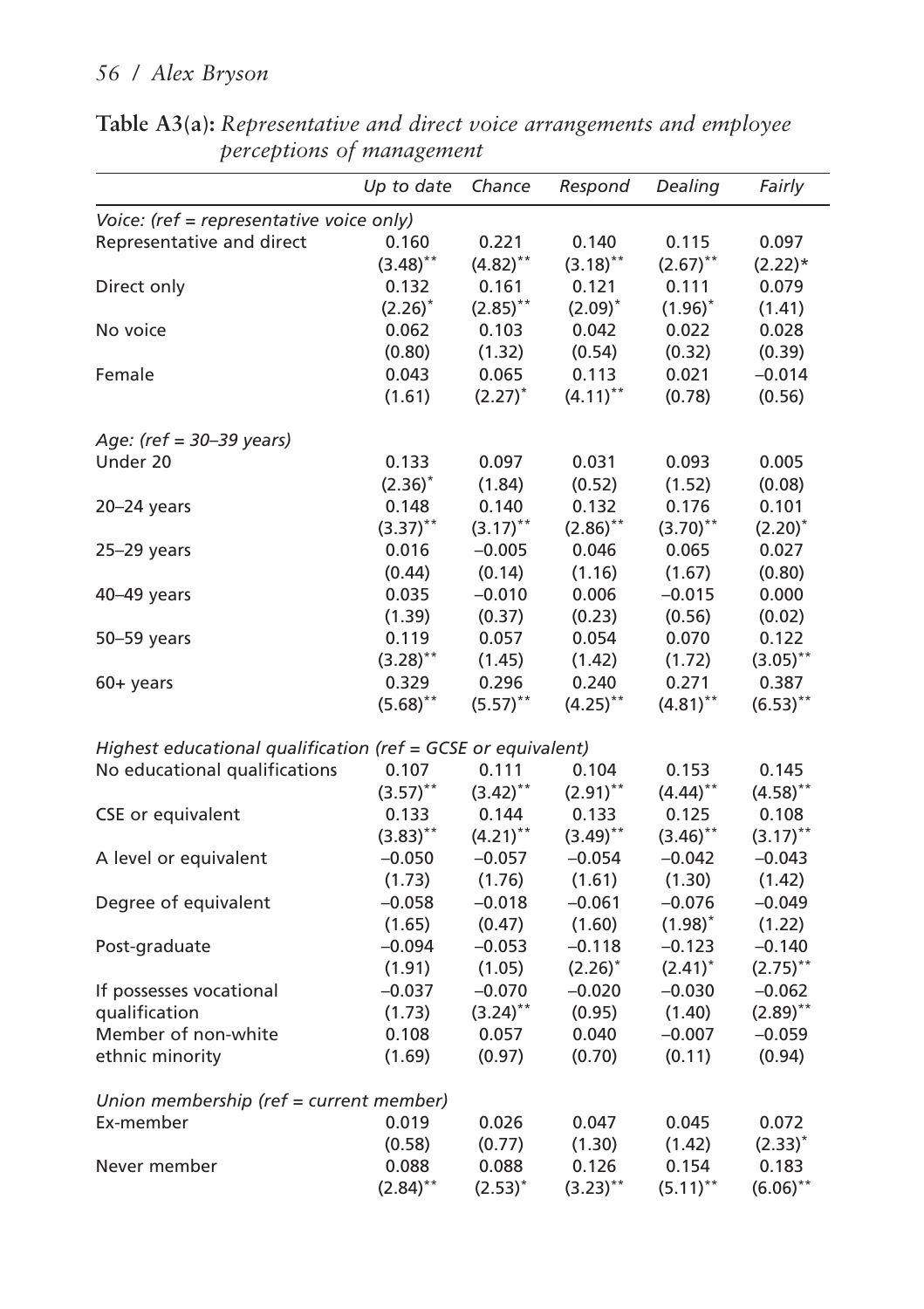|                                                              | Up to date  | Chance       | Respond     | Dealing      | Fairly       |
|--------------------------------------------------------------|-------------|--------------|-------------|--------------|--------------|
| Voice: (ref = representative voice only)                     |             |              |             |              |              |
| Representative and direct                                    | 0.160       | 0.221        | 0.140       | 0.115        | 0.097        |
|                                                              | $(3.48)$ ** | $(4.82)$ **  | $(3.18)$ ** | $(2.67)$ **  | $(2.22)*$    |
| Direct only                                                  | 0.132       | 0.161        | 0.121       | 0.111        | 0.079        |
|                                                              | $(2.26)^*$  | $(2.85)$ **  | $(2.09)^*$  | $(1.96)^{*}$ | (1.41)       |
| No voice                                                     | 0.062       | 0.103        | 0.042       | 0.022        | 0.028        |
|                                                              | (0.80)      | (1.32)       | (0.54)      | (0.32)       | (0.39)       |
| Female                                                       | 0.043       | 0.065        | 0.113       | 0.021        | $-0.014$     |
|                                                              | (1.61)      | $(2.27)^*$   | $(4.11)$ ** | (0.78)       | (0.56)       |
| Age: (ref = $30-39$ years)                                   |             |              |             |              |              |
| Under 20                                                     | 0.133       | 0.097        | 0.031       | 0.093        | 0.005        |
|                                                              | $(2.36)^*$  | (1.84)       | (0.52)      | (1.52)       | (0.08)       |
| 20-24 years                                                  | 0.148       | 0.140        | 0.132       | 0.176        | 0.101        |
|                                                              | $(3.37)$ ** | $(3.17)$ **  | $(2.86)$ ** | $(3.70)$ **  | $(2.20)^{*}$ |
| $25-29$ years                                                | 0.016       | $-0.005$     | 0.046       | 0.065        | 0.027        |
|                                                              | (0.44)      | (0.14)       | (1.16)      | (1.67)       | (0.80)       |
| 40-49 years                                                  | 0.035       | $-0.010$     | 0.006       | $-0.015$     | 0.000        |
|                                                              | (1.39)      | (0.37)       | (0.23)      | (0.56)       | (0.02)       |
| 50-59 years                                                  | 0.119       | 0.057        | 0.054       | 0.070        | 0.122        |
|                                                              | $(3.28)$ ** | (1.45)       | (1.42)      | (1.72)       | $(3.05)$ **  |
| $60 +$ years                                                 | 0.329       | 0.296        | 0.240       | 0.271        | 0.387        |
|                                                              | $(5.68)$ ** | $(5.57)$ **  | $(4.25)$ ** | $(4.81)$ **  | $(6.53)$ **  |
| Highest educational qualification (ref = GCSE or equivalent) |             |              |             |              |              |
| No educational qualifications                                | 0.107       | 0.111        | 0.104       | 0.153        | 0.145        |
|                                                              | $(3.57)$ ** | $(3.42)$ **  | $(2.91)$ ** | $(4.44)$ **  | $(4.58)$ **  |
| CSE or equivalent                                            | 0.133       | 0.144        | 0.133       | 0.125        | 0.108        |
|                                                              | $(3.83)$ ** | $(4.21)$ **  | $(3.49)$ ** | $(3.46)$ **  | $(3.17)$ **  |
| A level or equivalent                                        | $-0.050$    | $-0.057$     | $-0.054$    | $-0.042$     | $-0.043$     |
|                                                              | (1.73)      | (1.76)       | (1.61)      | (1.30)       | (1.42)       |
| Degree of equivalent                                         | $-0.058$    | $-0.018$     | $-0.061$    | $-0.076$     | $-0.049$     |
|                                                              | (1.65)      | (0.47)       | (1.60)      | $(1.98)^{*}$ | (1.22)       |
| Post-graduate                                                | $-0.094$    | $-0.053$     | $-0.118$    | $-0.123$     | $-0.140$     |
|                                                              | (1.91)      | (1.05)       | $(2.26)^*$  | $(2.41)^*$   | $(2.75)$ **  |
| If possesses vocational                                      | $-0.037$    | $-0.070$     | $-0.020$    | $-0.030$     | $-0.062$     |
| qualification                                                | (1.73)      | $(3.24)$ **  | (0.95)      | (1.40)       | $(2.89)$ **  |
| Member of non-white                                          | 0.108       | 0.057        | 0.040       | $-0.007$     | $-0.059$     |
| ethnic minority                                              | (1.69)      | (0.97)       | (0.70)      | (0.11)       | (0.94)       |
| Union membership (ref = current member)                      |             |              |             |              |              |
| Ex-member                                                    | 0.019       | 0.026        | 0.047       | 0.045        | 0.072        |
|                                                              | (0.58)      | (0.77)       | (1.30)      | (1.42)       | $(2.33)^*$   |
| Never member                                                 | 0.088       | 0.088        | 0.126       | 0.154        | 0.183        |
|                                                              | $(2.84)$ ** | $(2.53)^{*}$ | $(3.23)$ ** | $(5.11)$ **  | $(6.06)$ **  |

**Table A3(a):** *Representative and direct voice arrangements and employee perceptions of management*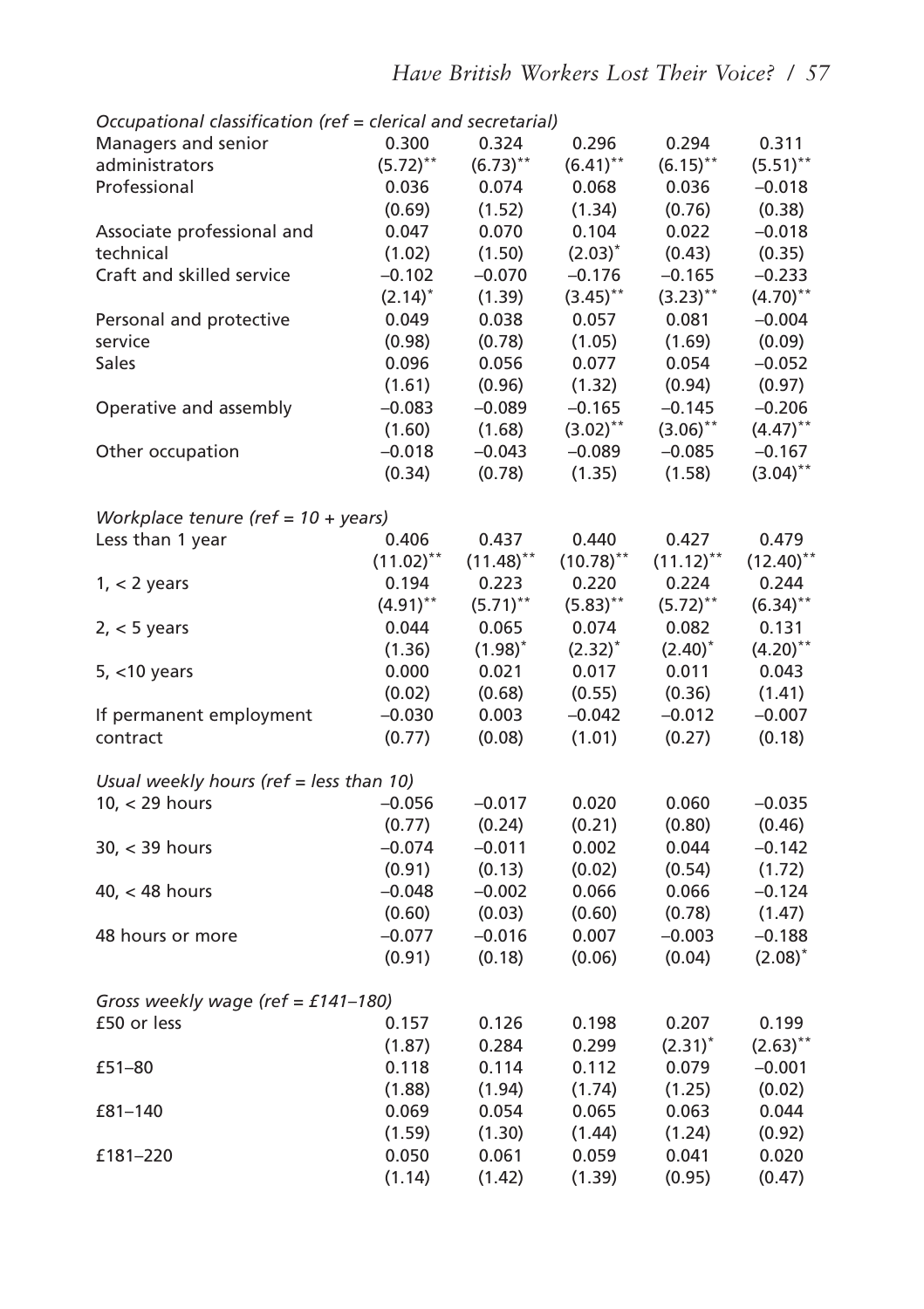| Occupational classification (ref = clerical and secretarial) |                         |              |                        |              |                        |
|--------------------------------------------------------------|-------------------------|--------------|------------------------|--------------|------------------------|
| Managers and senior                                          | 0.300                   | 0.324        | 0.296                  | 0.294        | 0.311                  |
| administrators                                               | $(5.72)$ **             | $(6.73)$ **  | $(6.41)$ **            | $(6.15)$ **  | $(5.51)$ **            |
| Professional                                                 | 0.036                   | 0.074        | 0.068                  | 0.036        | $-0.018$               |
|                                                              | (0.69)                  | (1.52)       | (1.34)                 | (0.76)       | (0.38)                 |
| Associate professional and                                   | 0.047                   | 0.070        | 0.104                  | 0.022        | $-0.018$               |
| technical                                                    | (1.02)                  | (1.50)       | $(2.03)^{*}$           | (0.43)       | (0.35)                 |
| Craft and skilled service                                    | $-0.102$                | $-0.070$     | $-0.176$               | $-0.165$     | $-0.233$               |
|                                                              | $(2.14)^*$              | (1.39)       | $(3.45)$ <sup>**</sup> | $(3.23)$ **  | $(4.70)$ <sup>**</sup> |
| Personal and protective                                      | 0.049                   | 0.038        | 0.057                  | 0.081        | $-0.004$               |
| service                                                      | (0.98)                  | (0.78)       | (1.05)                 | (1.69)       | (0.09)                 |
| Sales                                                        | 0.096                   | 0.056        | 0.077                  | 0.054        | $-0.052$               |
|                                                              | (1.61)                  | (0.96)       | (1.32)                 | (0.94)       | (0.97)                 |
| Operative and assembly                                       | $-0.083$                | $-0.089$     | $-0.165$               | $-0.145$     | $-0.206$               |
|                                                              | (1.60)                  | (1.68)       | $(3.02)$ **            | $(3.06)$ **  | $(4.47)$ **            |
| Other occupation                                             | $-0.018$                | $-0.043$     | $-0.089$               | $-0.085$     | $-0.167$               |
|                                                              | (0.34)                  | (0.78)       | (1.35)                 | (1.58)       | $(3.04)$ **            |
| Workplace tenure (ref = $10 + years$ )                       |                         |              |                        |              |                        |
| Less than 1 year                                             | 0.406                   | 0.437        | 0.440                  | 0.427        | 0.479                  |
|                                                              | $(11.02)$ <sup>**</sup> | $(11.48)$ ** | $(10.78)$ **           | $(11.12)$ ** | $(12.40)$ **           |
| $1, < 2$ years                                               | 0.194                   | 0.223        | 0.220                  | 0.224        | 0.244                  |
|                                                              | $(4.91)$ **             | $(5.71)$ **  | $(5.83)$ **            | $(5.72)$ **  | $(6.34)$ **            |
| $2, < 5$ years                                               | 0.044                   | 0.065        | 0.074                  | 0.082        | 0.131                  |
|                                                              | (1.36)                  | $(1.98)^{*}$ | $(2.32)^{*}$           | $(2.40)^*$   | $(4.20)$ **            |
| $5, < 10$ years                                              | 0.000                   | 0.021        | 0.017                  | 0.011        | 0.043                  |
|                                                              | (0.02)                  | (0.68)       | (0.55)                 | (0.36)       | (1.41)                 |
| If permanent employment                                      | $-0.030$                | 0.003        | $-0.042$               | $-0.012$     | $-0.007$               |
| contract                                                     | (0.77)                  | (0.08)       | (1.01)                 | (0.27)       | (0.18)                 |
|                                                              |                         |              |                        |              |                        |
| Usual weekly hours (ref = less than 10)                      |                         |              |                        |              |                        |
| $10, < 29$ hours                                             | $-0.056$                | $-0.017$     | 0.020                  | 0.060        | $-0.035$               |
|                                                              | (0.77)                  | (0.24)       | (0.21)                 | (0.80)       | (0.46)                 |
| $30$ , $<$ 39 hours                                          | $-0.074$                | $-0.011$     | 0.002                  | 0.044        | $-0.142$               |
|                                                              | (0.91)                  | (0.13)       | (0.02)                 | (0.54)       | (1.72)                 |
| $40, < 48$ hours                                             | $-0.048$                | $-0.002$     | 0.066                  | 0.066        | $-0.124$               |
|                                                              | (0.60)                  | (0.03)       | (0.60)                 | (0.78)       | (1.47)                 |
| 48 hours or more                                             | $-0.077$                | $-0.016$     | 0.007                  | $-0.003$     | $-0.188$               |
|                                                              | (0.91)                  | (0.18)       | (0.06)                 | (0.04)       | $(2.08)^*$             |
| Gross weekly wage (ref = £141-180)                           |                         |              |                        |              |                        |
| £50 or less                                                  | 0.157                   | 0.126        | 0.198                  | 0.207        | 0.199                  |
|                                                              | (1.87)                  | 0.284        | 0.299                  | $(2.31)^*$   | $(2.63)$ **            |
| £51-80                                                       | 0.118                   | 0.114        | 0.112                  | 0.079        | $-0.001$               |
|                                                              | (1.88)                  | (1.94)       | (1.74)                 | (1.25)       | (0.02)                 |
| £81-140                                                      | 0.069                   | 0.054        | 0.065                  | 0.063        | 0.044                  |
|                                                              | (1.59)                  | (1.30)       | (1.44)                 | (1.24)       | (0.92)                 |
| £181-220                                                     | 0.050                   | 0.061        | 0.059                  | 0.041        | 0.020                  |
|                                                              | (1.14)                  | (1.42)       | (1.39)                 | (0.95)       | (0.47)                 |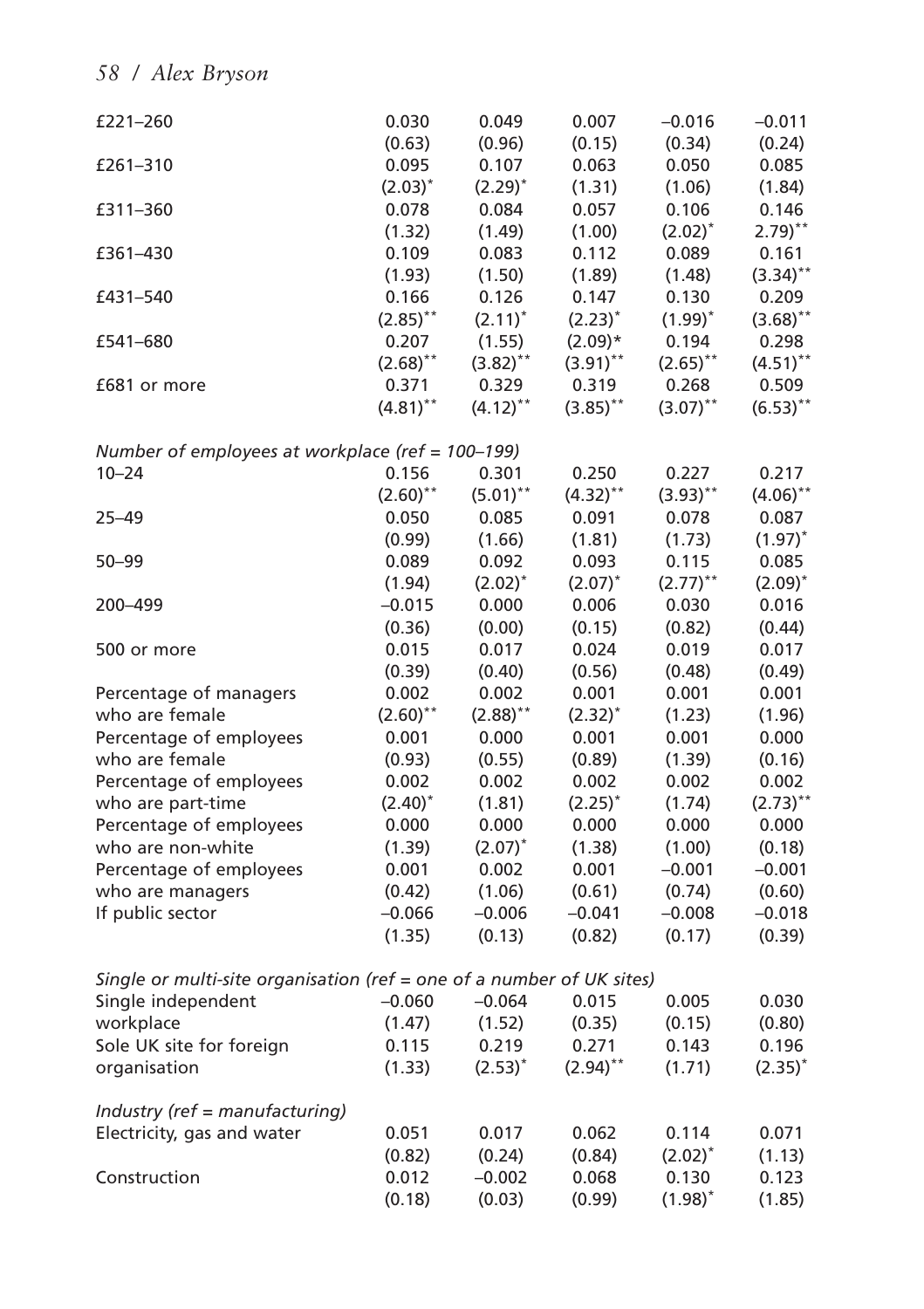| £221-260                                                              | 0.030                  | 0.049        | 0.007        | $-0.016$               | $-0.011$               |
|-----------------------------------------------------------------------|------------------------|--------------|--------------|------------------------|------------------------|
|                                                                       | (0.63)                 | (0.96)       | (0.15)       | (0.34)                 | (0.24)                 |
| £261-310                                                              | 0.095                  | 0.107        | 0.063        | 0.050                  | 0.085                  |
|                                                                       | $(2.03)^{*}$           | $(2.29)^*$   | (1.31)       | (1.06)                 | (1.84)                 |
| £311-360                                                              | 0.078                  | 0.084        | 0.057        | 0.106                  | 0.146                  |
|                                                                       | (1.32)                 | (1.49)       | (1.00)       | $(2.02)^*$             | $2.79$ <sup>**</sup>   |
| £361-430                                                              | 0.109                  | 0.083        | 0.112        | 0.089                  | 0.161                  |
|                                                                       | (1.93)                 | (1.50)       | (1.89)       | (1.48)                 | $(3.34)$ **            |
| £431-540                                                              | 0.166                  | 0.126        | 0.147        | 0.130                  | 0.209                  |
|                                                                       | $(2.85)$ <sup>**</sup> | $(2.11)^*$   | $(2.23)^*$   | $(1.99)^*$             | $(3.68)$ **            |
| £541-680                                                              | 0.207                  | (1.55)       | $(2.09)*$    | 0.194                  | 0.298                  |
|                                                                       | $(2.68)$ **            | $(3.82)$ **  | $(3.91)$ **  | $(2.65)$ **            | $(4.51)$ **            |
| £681 or more                                                          | 0.371                  | 0.329        | 0.319        | 0.268                  | 0.509                  |
|                                                                       | $(4.81)$ **            | $(4.12)$ **  | $(3.85)$ **  | $(3.07)$ **            | $(6.53)$ **            |
| Number of employees at workplace (ref = 100-199)                      |                        |              |              |                        |                        |
| $10 - 24$                                                             | 0.156                  | 0.301        | 0.250        | 0.227                  | 0.217                  |
|                                                                       | $(2.60)$ **            | $(5.01)$ **  | $(4.32)$ **  | $(3.93)$ **            | $(4.06)$ **            |
| $25 - 49$                                                             | 0.050                  | 0.085        | 0.091        | 0.078                  | 0.087                  |
|                                                                       | (0.99)                 | (1.66)       | (1.81)       | (1.73)                 | $(1.97)^*$             |
| $50 - 99$                                                             | 0.089                  | 0.092        | 0.093        | 0.115                  | 0.085                  |
|                                                                       | (1.94)                 | $(2.02)^*$   | $(2.07)^*$   | $(2.77)$ <sup>**</sup> | $(2.09)^*$             |
| 200-499                                                               | $-0.015$               | 0.000        | 0.006        | 0.030                  | 0.016                  |
|                                                                       | (0.36)                 | (0.00)       | (0.15)       | (0.82)                 | (0.44)                 |
| 500 or more                                                           | 0.015                  | 0.017        | 0.024        | 0.019                  | 0.017                  |
|                                                                       | (0.39)                 | (0.40)       | (0.56)       | (0.48)                 | (0.49)                 |
| Percentage of managers                                                | 0.002                  | 0.002        | 0.001        | 0.001                  | 0.001                  |
| who are female                                                        | $(2.60)$ **            | $(2.88)$ **  | $(2.32)^{*}$ | (1.23)                 | (1.96)                 |
| Percentage of employees                                               | 0.001                  | 0.000        | 0.001        | 0.001                  | 0.000                  |
| who are female                                                        | (0.93)                 | (0.55)       | (0.89)       | (1.39)                 | (0.16)                 |
| Percentage of employees                                               | 0.002                  | 0.002        | 0.002        | 0.002                  | 0.002                  |
| who are part-time                                                     | $(2.40)^*$             | (1.81)       | $(2.25)^*$   | (1.74)                 | $(2.73)$ <sup>**</sup> |
| Percentage of employees                                               | 0.000                  | 0.000        | 0.000        | 0.000                  | 0.000                  |
| who are non-white                                                     | (1.39)                 | $(2.07)^{*}$ | (1.38)       | (1.00)                 | (0.18)                 |
| Percentage of employees                                               | 0.001                  | 0.002        | 0.001        | $-0.001$               | $-0.001$               |
| who are managers                                                      | (0.42)                 | (1.06)       | (0.61)       | (0.74)                 | (0.60)                 |
| If public sector                                                      | $-0.066$               | $-0.006$     | $-0.041$     | $-0.008$               | $-0.018$               |
|                                                                       | (1.35)                 | (0.13)       | (0.82)       | (0.17)                 | (0.39)                 |
| Single or multi-site organisation (ref = one of a number of UK sites) |                        |              |              |                        |                        |
| Single independent                                                    | $-0.060$               | $-0.064$     | 0.015        | 0.005                  | 0.030                  |
| workplace                                                             | (1.47)                 | (1.52)       | (0.35)       | (0.15)                 | (0.80)                 |
| Sole UK site for foreign                                              | 0.115                  | 0.219        | 0.271        | 0.143                  | 0.196                  |
| organisation                                                          | (1.33)                 | $(2.53)^*$   | $(2.94)$ **  | (1.71)                 | $(2.35)^*$             |
| Industry (ref = manufacturing)                                        |                        |              |              |                        |                        |
| Electricity, gas and water                                            | 0.051                  | 0.017        | 0.062        | 0.114                  | 0.071                  |
|                                                                       | (0.82)                 | (0.24)       | (0.84)       | $(2.02)^{*}$           | (1.13)                 |
| Construction                                                          | 0.012                  | $-0.002$     | 0.068        | 0.130                  | 0.123                  |
|                                                                       | (0.18)                 | (0.03)       | (0.99)       | $(1.98)^{*}$           | (1.85)                 |
|                                                                       |                        |              |              |                        |                        |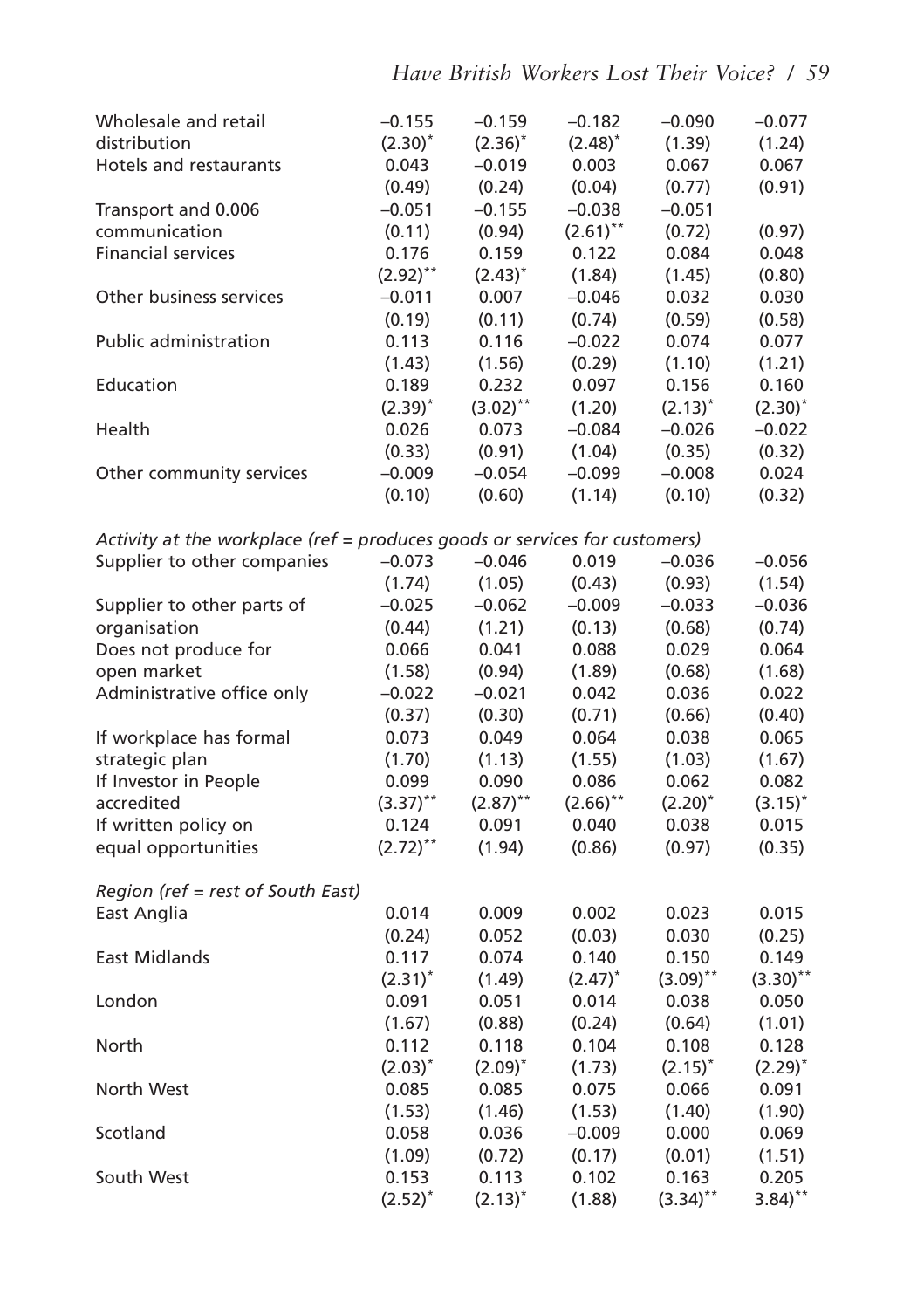| Wholesale and retail                                                       | $-0.155$     | $-0.159$     | $-0.182$               | $-0.090$    | $-0.077$             |
|----------------------------------------------------------------------------|--------------|--------------|------------------------|-------------|----------------------|
| distribution                                                               | $(2.30)^{*}$ | $(2.36)^{*}$ | $(2.48)^*$             | (1.39)      | (1.24)               |
| Hotels and restaurants                                                     | 0.043        | $-0.019$     | 0.003                  | 0.067       | 0.067                |
|                                                                            | (0.49)       | (0.24)       | (0.04)                 | (0.77)      | (0.91)               |
| Transport and 0.006                                                        | $-0.051$     | $-0.155$     | $-0.038$               | $-0.051$    |                      |
| communication                                                              | (0.11)       | (0.94)       | $(2.61)$ **            | (0.72)      | (0.97)               |
| <b>Financial services</b>                                                  | 0.176        | 0.159        | 0.122                  | 0.084       | 0.048                |
|                                                                            | $(2.92)$ **  | $(2.43)^{*}$ | (1.84)                 | (1.45)      | (0.80)               |
| Other business services                                                    | $-0.011$     | 0.007        | $-0.046$               | 0.032       | 0.030                |
|                                                                            | (0.19)       | (0.11)       | (0.74)                 | (0.59)      | (0.58)               |
| Public administration                                                      | 0.113        | 0.116        | $-0.022$               | 0.074       | 0.077                |
|                                                                            | (1.43)       | (1.56)       | (0.29)                 | (1.10)      | (1.21)               |
| Education                                                                  | 0.189        | 0.232        | 0.097                  | 0.156       | 0.160                |
|                                                                            | $(2.39)^*$   | $(3.02)$ **  | (1.20)                 | $(2.13)^*$  | $(2.30)^*$           |
| Health                                                                     | 0.026        | 0.073        | $-0.084$               | $-0.026$    | $-0.022$             |
|                                                                            | (0.33)       | (0.91)       | (1.04)                 | (0.35)      | (0.32)               |
| Other community services                                                   | $-0.009$     | $-0.054$     | $-0.099$               | $-0.008$    | 0.024                |
|                                                                            | (0.10)       | (0.60)       | (1.14)                 | (0.10)      | (0.32)               |
|                                                                            |              |              |                        |             |                      |
| Activity at the workplace (ref = produces goods or services for customers) |              |              |                        |             |                      |
| Supplier to other companies                                                | $-0.073$     | $-0.046$     | 0.019                  | $-0.036$    | $-0.056$             |
|                                                                            | (1.74)       | (1.05)       | (0.43)                 | (0.93)      | (1.54)               |
| Supplier to other parts of                                                 | $-0.025$     | $-0.062$     | $-0.009$               | $-0.033$    | $-0.036$             |
| organisation                                                               | (0.44)       | (1.21)       | (0.13)                 | (0.68)      | (0.74)               |
| Does not produce for                                                       | 0.066        | 0.041        | 0.088                  | 0.029       | 0.064                |
| open market                                                                | (1.58)       | (0.94)       | (1.89)                 | (0.68)      | (1.68)               |
| Administrative office only                                                 | $-0.022$     | $-0.021$     | 0.042                  | 0.036       | 0.022                |
|                                                                            | (0.37)       | (0.30)       | (0.71)                 | (0.66)      | (0.40)               |
| If workplace has formal                                                    | 0.073        | 0.049        | 0.064                  | 0.038       | 0.065                |
| strategic plan                                                             | (1.70)       | (1.13)       | (1.55)                 | (1.03)      | (1.67)               |
| If Investor in People                                                      | 0.099        | 0.090        | 0.086                  | 0.062       | 0.082                |
| accredited                                                                 | $(3.37)$ **  | $(2.87)$ **  | $(2.66)$ <sup>**</sup> | $(2.20)^*$  | $(3.15)^*$           |
| If written policy on                                                       | 0.124        | 0.091        | 0.040                  | 0.038       | 0.015                |
| equal opportunities                                                        | $(2.72)$ **  | (1.94)       | (0.86)                 | (0.97)      | (0.35)               |
|                                                                            |              |              |                        |             |                      |
| Region (ref = rest of South East)                                          |              |              |                        |             |                      |
| East Anglia                                                                | 0.014        | 0.009        | 0.002                  | 0.023       | 0.015                |
|                                                                            | (0.24)       | 0.052        | (0.03)                 | 0.030       | (0.25)               |
| <b>East Midlands</b>                                                       | 0.117        | 0.074        | 0.140                  | 0.150       | 0.149                |
|                                                                            | $(2.31)^*$   | (1.49)       | $(2.47)^*$             | $(3.09)$ ** | $(3.30)$ **          |
| London                                                                     | 0.091        | 0.051        | 0.014                  | 0.038       | 0.050                |
|                                                                            | (1.67)       | (0.88)       | (0.24)                 | (0.64)      | (1.01)               |
| North                                                                      | 0.112        | 0.118        | 0.104                  | 0.108       | 0.128                |
|                                                                            | $(2.03)^{*}$ | $(2.09)^*$   | (1.73)                 | $(2.15)^*$  | $(2.29)^{*}$         |
| North West                                                                 | 0.085        | 0.085        | 0.075                  | 0.066       | 0.091                |
|                                                                            | (1.53)       | (1.46)       | (1.53)                 | (1.40)      | (1.90)               |
| Scotland                                                                   | 0.058        | 0.036        | $-0.009$               | 0.000       | 0.069                |
|                                                                            | (1.09)       | (0.72)       | (0.17)                 | (0.01)      | (1.51)               |
| South West                                                                 | 0.153        | 0.113        | 0.102                  | 0.163       | 0.205                |
|                                                                            | $(2.52)^{*}$ | $(2.13)^*$   | (1.88)                 | $(3.34)$ ** | $3.84$ <sup>**</sup> |
|                                                                            |              |              |                        |             |                      |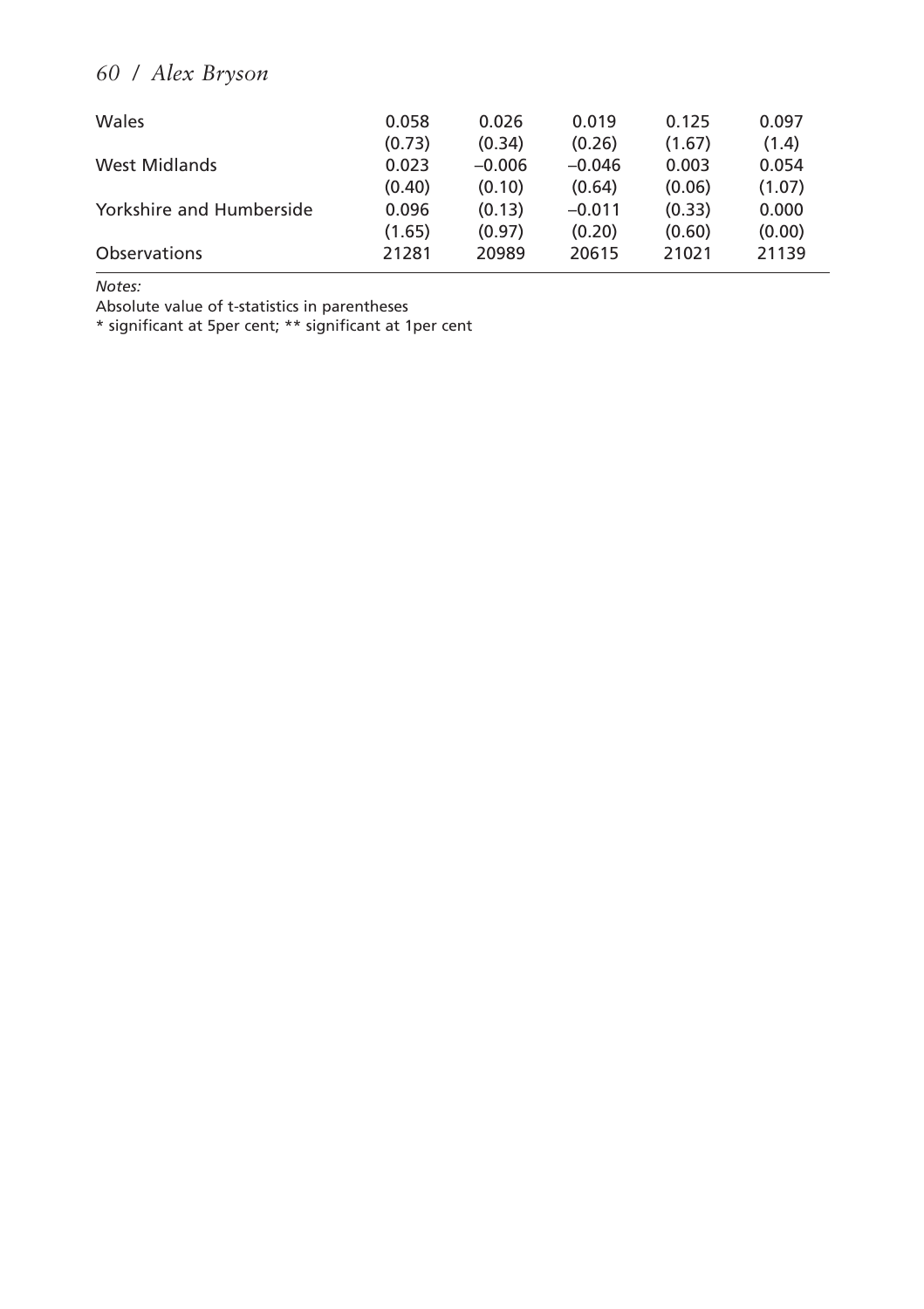| Wales                    | 0.058<br>(0.73) | 0.026<br>(0.34) | 0.019<br>(0.26) | 0.125<br>(1.67) | 0.097<br>(1.4) |
|--------------------------|-----------------|-----------------|-----------------|-----------------|----------------|
| West Midlands            | 0.023           | $-0.006$        | $-0.046$        | 0.003           | 0.054          |
|                          | (0.40)          | (0.10)          | (0.64)          | (0.06)          | (1.07)         |
| Yorkshire and Humberside | 0.096           | (0.13)          | $-0.011$        | (0.33)          | 0.000          |
|                          | (1.65)          | (0.97)          | (0.20)          | (0.60)          | (0.00)         |
| <b>Observations</b>      | 21281           | 20989           | 20615           | 21021           | 21139          |

*Notes:*

Absolute value of t-statistics in parentheses

\* significant at 5per cent; \*\* significant at 1per cent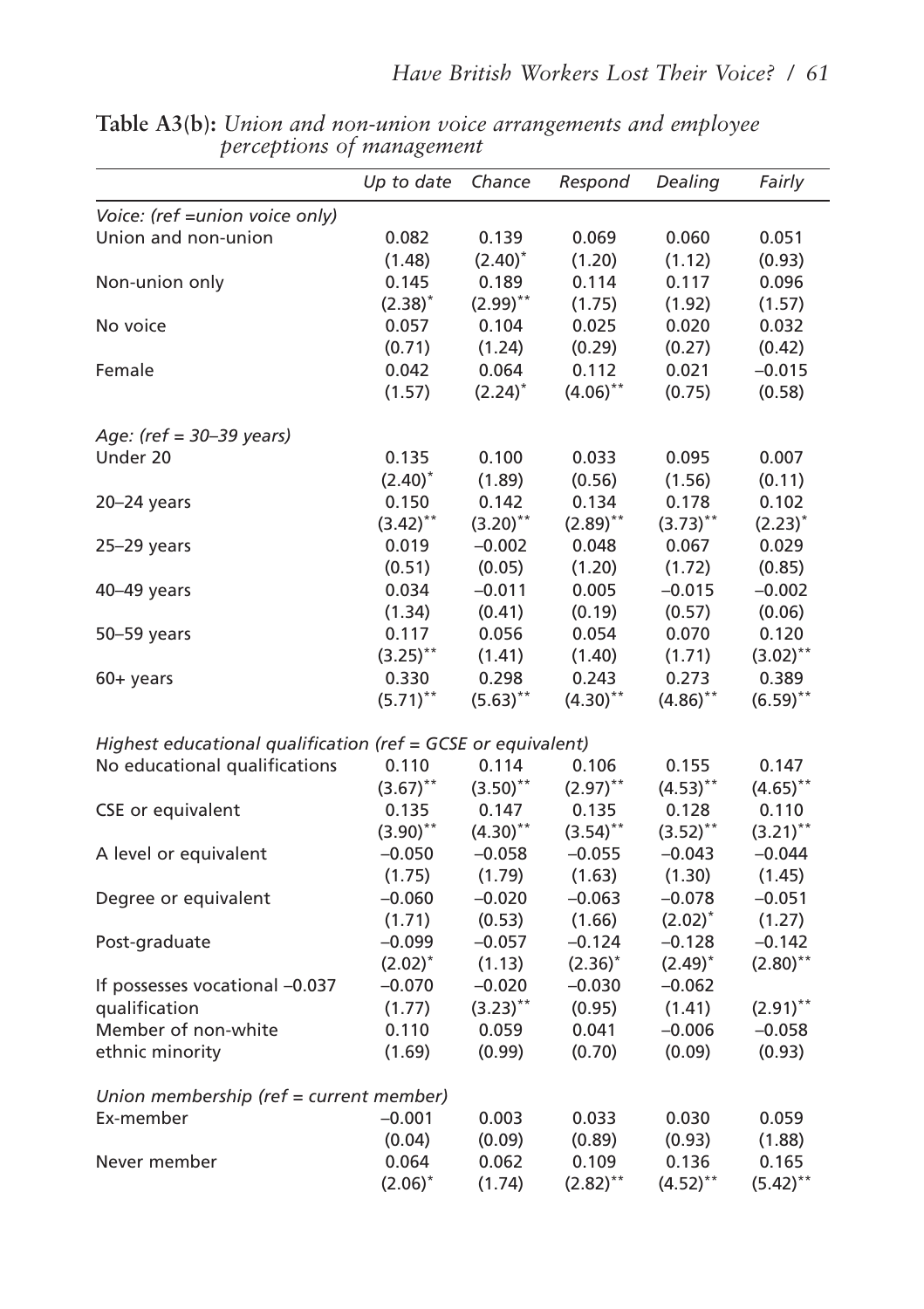|                                                              | Up to date   | Chance      | Respond     | Dealing     | Fairly       |
|--------------------------------------------------------------|--------------|-------------|-------------|-------------|--------------|
| Voice: (ref = union voice only)                              |              |             |             |             |              |
| Union and non-union                                          | 0.082        | 0.139       | 0.069       | 0.060       | 0.051        |
|                                                              | (1.48)       | $(2.40)^*$  | (1.20)      | (1.12)      | (0.93)       |
| Non-union only                                               | 0.145        | 0.189       | 0.114       | 0.117       | 0.096        |
|                                                              | $(2.38)^*$   | $(2.99)$ ** | (1.75)      | (1.92)      | (1.57)       |
| No voice                                                     | 0.057        | 0.104       | 0.025       | 0.020       | 0.032        |
|                                                              | (0.71)       | (1.24)      | (0.29)      | (0.27)      | (0.42)       |
| Female                                                       | 0.042        | 0.064       | 0.112       | 0.021       | $-0.015$     |
|                                                              | (1.57)       | $(2.24)^*$  | $(4.06)$ ** | (0.75)      | (0.58)       |
| Age: (ref = 30-39 years)                                     |              |             |             |             |              |
| Under 20                                                     | 0.135        | 0.100       | 0.033       | 0.095       | 0.007        |
|                                                              | $(2.40)^*$   | (1.89)      | (0.56)      | (1.56)      | (0.11)       |
| $20 - 24$ years                                              | 0.150        | 0.142       | 0.134       | 0.178       | 0.102        |
|                                                              | $(3.42)$ **  | $(3.20)$ ** | $(2.89)$ ** | $(3.73)$ ** | $(2.23)^{*}$ |
| $25 - 29$ years                                              | 0.019        | $-0.002$    | 0.048       | 0.067       | 0.029        |
|                                                              | (0.51)       | (0.05)      | (1.20)      | (1.72)      | (0.85)       |
| 40-49 years                                                  | 0.034        | $-0.011$    | 0.005       | $-0.015$    | $-0.002$     |
|                                                              | (1.34)       | (0.41)      | (0.19)      | (0.57)      | (0.06)       |
| 50-59 years                                                  | 0.117        | 0.056       | 0.054       | 0.070       | 0.120        |
|                                                              | $(3.25)$ **  | (1.41)      | (1.40)      | (1.71)      | $(3.02)$ **  |
| 60+ years                                                    | 0.330        | 0.298       | 0.243       | 0.273       | 0.389        |
|                                                              | $(5.71)$ **  | $(5.63)$ ** | $(4.30)$ ** | $(4.86)$ ** | $(6.59)$ **  |
| Highest educational qualification (ref = GCSE or equivalent) |              |             |             |             |              |
| No educational qualifications                                | 0.110        | 0.114       | 0.106       | 0.155       | 0.147        |
|                                                              | $(3.67)$ **  | $(3.50)$ ** | $(2.97)$ ** | $(4.53)$ ** | $(4.65)$ **  |
| CSE or equivalent                                            | 0.135        | 0.147       | 0.135       | 0.128       | 0.110        |
|                                                              | $(3.90)$ **  | $(4.30)$ ** | $(3.54)$ ** | $(3.52)$ ** | $(3.21)$ **  |
| A level or equivalent                                        | $-0.050$     | $-0.058$    | $-0.055$    | $-0.043$    | $-0.044$     |
|                                                              | (1.75)       | (1.79)      | (1.63)      | (1.30)      | (1.45)       |
| Degree or equivalent                                         | $-0.060$     | $-0.020$    | $-0.063$    | $-0.078$    | $-0.051$     |
|                                                              | (1.71)       | (0.53)      | (1.66)      | $(2.02)^*$  | (1.27)       |
| Post-graduate                                                | $-0.099$     | $-0.057$    | $-0.124$    | $-0.128$    | $-0.142$     |
|                                                              | $(2.02)^{*}$ | (1.13)      | $(2.36)^*$  | $(2.49)^*$  | $(2.80)$ **  |
| If possesses vocational -0.037                               | $-0.070$     | $-0.020$    | $-0.030$    | $-0.062$    |              |
| qualification                                                | (1.77)       | $(3.23)$ ** | (0.95)      | (1.41)      | $(2.91)$ **  |
| Member of non-white                                          | 0.110        | 0.059       | 0.041       | $-0.006$    | $-0.058$     |
| ethnic minority                                              | (1.69)       | (0.99)      | (0.70)      | (0.09)      | (0.93)       |
| Union membership (ref = current member)                      |              |             |             |             |              |
| Ex-member                                                    | $-0.001$     | 0.003       | 0.033       | 0.030       | 0.059        |
|                                                              | (0.04)       | (0.09)      | (0.89)      | (0.93)      | (1.88)       |
| Never member                                                 | 0.064        | 0.062       | 0.109       | 0.136       | 0.165        |
|                                                              | $(2.06)^*$   | (1.74)      | $(2.82)$ ** | $(4.52)$ ** | $(5.42)$ **  |

**Table A3(b):** *Union and non-union voice arrangements and employee perceptions of management*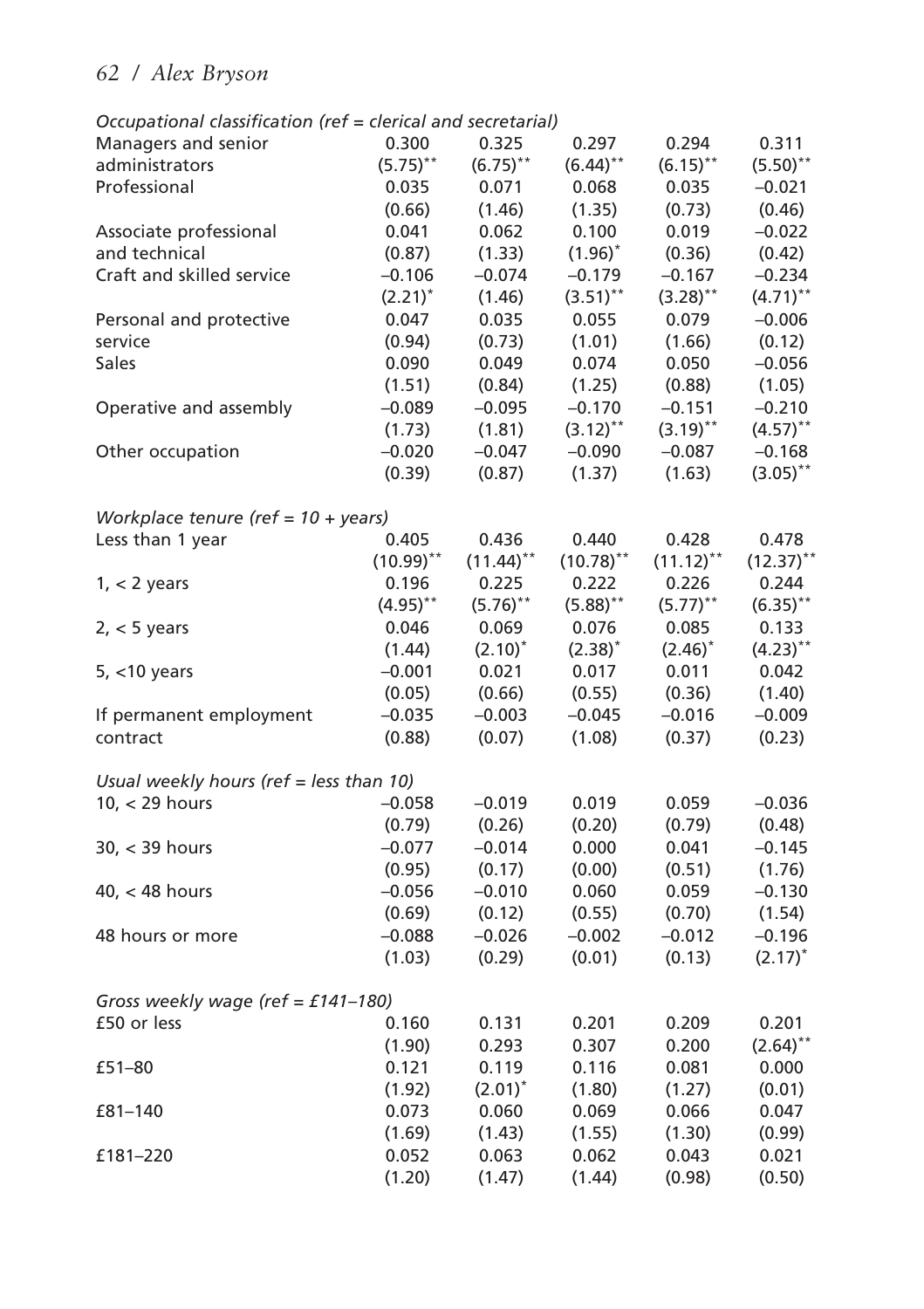| Managers and senior                           | 0.300        | 0.325        | 0.297                  | 0.294                  | 0.311                  |
|-----------------------------------------------|--------------|--------------|------------------------|------------------------|------------------------|
| administrators                                | $(5.75)$ **  | $(6.75)$ **  | $(6.44)$ **            | $(6.15)$ **            | $(5.50)$ **            |
| Professional                                  | 0.035        | 0.071        | 0.068                  | 0.035                  | $-0.021$               |
|                                               | (0.66)       | (1.46)       | (1.35)                 | (0.73)                 | (0.46)                 |
| Associate professional                        | 0.041        | 0.062        | 0.100                  | 0.019                  | $-0.022$               |
| and technical                                 | (0.87)       | (1.33)       | $(1.96)^{*}$           | (0.36)                 | (0.42)                 |
| Craft and skilled service                     | $-0.106$     | $-0.074$     | $-0.179$               | $-0.167$               | $-0.234$               |
|                                               | $(2.21)^*$   | (1.46)       | $(3.51)$ <sup>**</sup> | $(3.28)$ <sup>**</sup> | $(4.71)$ <sup>**</sup> |
|                                               | 0.047        | 0.035        | 0.055                  | 0.079                  | $-0.006$               |
| Personal and protective<br>service            |              | (0.73)       |                        |                        | (0.12)                 |
|                                               | (0.94)       |              | (1.01)                 | (1.66)                 |                        |
| <b>Sales</b>                                  | 0.090        | 0.049        | 0.074                  | 0.050                  | $-0.056$               |
|                                               | (1.51)       | (0.84)       | (1.25)                 | (0.88)                 | (1.05)                 |
| Operative and assembly                        | $-0.089$     | $-0.095$     | $-0.170$               | $-0.151$               | $-0.210$               |
|                                               | (1.73)       | (1.81)       | $(3.12)$ **            | $(3.19)$ **            | $(4.57)$ **            |
| Other occupation                              | $-0.020$     | $-0.047$     | $-0.090$               | $-0.087$               | $-0.168$               |
|                                               | (0.39)       | (0.87)       | (1.37)                 | (1.63)                 | $(3.05)$ **            |
| Workplace tenure (ref = $10 + \text{years}$ ) |              |              |                        |                        |                        |
| Less than 1 year                              | 0.405        | 0.436        | 0.440                  | 0.428                  | 0.478                  |
|                                               | $(10.99)$ ** | $(11.44)$ ** | $(10.78)$ **           | $(11.12)$ **           | $(12.37)$ **           |
| $1, < 2$ years                                | 0.196        | 0.225        | 0.222                  | 0.226                  | 0.244                  |
|                                               | $(4.95)$ **  | $(5.76)$ **  | $(5.88)$ **            | $(5.77)$ **            | $(6.35)$ **            |
| $2, < 5$ years                                | 0.046        | 0.069        | 0.076                  | 0.085                  | 0.133                  |
|                                               | (1.44)       | $(2.10)^{*}$ | $(2.38)^*$             | $(2.46)^*$             | $(4.23)$ **            |
| $5, < 10$ years                               | $-0.001$     | 0.021        | 0.017                  | 0.011                  | 0.042                  |
|                                               |              |              |                        |                        |                        |
|                                               | (0.05)       | (0.66)       | (0.55)                 | (0.36)                 | (1.40)                 |
| If permanent employment                       | $-0.035$     | $-0.003$     | $-0.045$               | $-0.016$               | $-0.009$               |
| contract                                      | (0.88)       | (0.07)       | (1.08)                 | (0.37)                 | (0.23)                 |
| Usual weekly hours (ref = less than 10)       |              |              |                        |                        |                        |
| $10, < 29$ hours                              | $-0.058$     | $-0.019$     | 0.019                  | 0.059                  | $-0.036$               |
|                                               | (0.79)       | (0.26)       | (0.20)                 | (0.79)                 | (0.48)                 |
| $30, < 39$ hours                              | $-0.077$     | $-0.014$     | 0.000                  | 0.041                  | $-0.145$               |
|                                               | (0.95)       | (0.17)       | (0.00)                 | (0.51)                 | (1.76)                 |
| $40$ , < 48 hours                             | $-0.056$     | $-0.010$     | 0.060                  | 0.059                  | $-0.130$               |
|                                               | (0.69)       | (0.12)       | (0.55)                 | (0.70)                 | (1.54)                 |
| 48 hours or more                              | $-0.088$     | $-0.026$     | $-0.002$               | $-0.012$               | $-0.196$               |
|                                               | (1.03)       | (0.29)       | (0.01)                 | (0.13)                 | $(2.17)^*$             |
|                                               |              |              |                        |                        |                        |
| Gross weekly wage (ref = £141-180)            |              |              |                        |                        |                        |
| £50 or less                                   | 0.160        | 0.131        | 0.201                  | 0.209                  | 0.201                  |
|                                               | (1.90)       | 0.293        | 0.307                  | 0.200                  | $(2.64)$ **            |
| £51-80                                        | 0.121        | 0.119        | 0.116                  | 0.081                  | 0.000                  |
|                                               | (1.92)       | $(2.01)^*$   | (1.80)                 | (1.27)                 | (0.01)                 |
| £81-140                                       | 0.073        | 0.060        | 0.069                  | 0.066                  | 0.047                  |
|                                               | (1.69)       | (1.43)       | (1.55)                 | (1.30)                 | (0.99)                 |
| £181-220                                      | 0.052        | 0.063        | 0.062                  | 0.043                  | 0.021                  |
|                                               | (1.20)       | (1.47)       | (1.44)                 | (0.98)                 | (0.50)                 |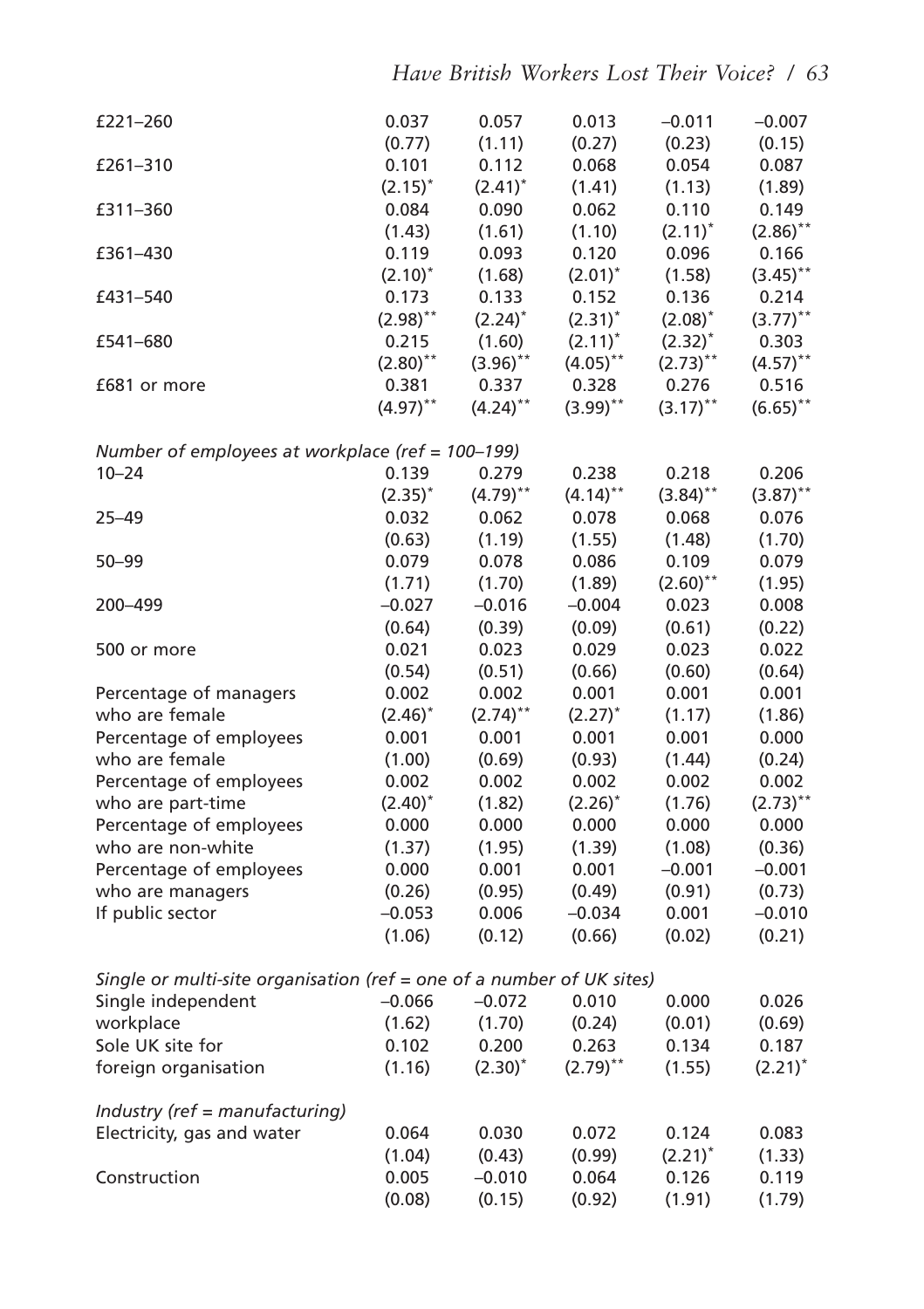| £221-260                                                              |                        | 0.057                  |                        |                        |                        |
|-----------------------------------------------------------------------|------------------------|------------------------|------------------------|------------------------|------------------------|
|                                                                       | 0.037<br>(0.77)        | (1.11)                 | 0.013<br>(0.27)        | $-0.011$<br>(0.23)     | $-0.007$<br>(0.15)     |
| £261-310                                                              | 0.101                  | 0.112                  | 0.068                  |                        |                        |
|                                                                       |                        |                        |                        | 0.054                  | 0.087                  |
|                                                                       | $(2.15)^*$<br>0.084    | $(2.41)^*$<br>0.090    | (1.41)<br>0.062        | (1.13)<br>0.110        | (1.89)                 |
| £311–360                                                              |                        |                        |                        |                        | 0.149                  |
|                                                                       | (1.43)                 | (1.61)                 | (1.10)                 | $(2.11)^*$             | $(2.86)$ <sup>**</sup> |
| £361-430                                                              | 0.119                  | 0.093                  | 0.120                  | 0.096                  | 0.166                  |
|                                                                       | $(2.10)^{*}$           | (1.68)                 | $(2.01)^*$             | (1.58)                 | $(3.45)$ **            |
| £431-540                                                              | 0.173                  | 0.133                  | 0.152                  | 0.136                  | 0.214                  |
|                                                                       | $(2.98)$ <sup>**</sup> | $(2.24)^*$             | $(2.31)^*$             | $(2.08)^*$             | $(3.77)^{**}$          |
| £541-680                                                              | 0.215                  | (1.60)                 | $(2.11)^*$             | $(2.32)^*$             | 0.303                  |
|                                                                       | $(2.80)$ <sup>**</sup> | $(3.96)$ **            | $(4.05)$ **            | $(2.73)$ <sup>**</sup> | $(4.57)$ **            |
| £681 or more                                                          | 0.381<br>$(4.97)$ **   | 0.337<br>$(4.24)$ **   | 0.328<br>$(3.99)$ **   | 0.276<br>$(3.17)$ **   | 0.516                  |
|                                                                       |                        |                        |                        |                        | $(6.65)$ **            |
| Number of employees at workplace (ref = 100-199)                      |                        |                        |                        |                        |                        |
| $10 - 24$                                                             | 0.139                  | 0.279                  | 0.238                  | 0.218                  | 0.206                  |
|                                                                       | $(2.35)^*$             | $(4.79)$ <sup>**</sup> | $(4.14)$ <sup>**</sup> | $(3.84)$ **            | $(3.87)$ **            |
| 25-49                                                                 | 0.032                  | 0.062                  | 0.078                  | 0.068                  | 0.076                  |
|                                                                       | (0.63)                 | (1.19)                 | (1.55)                 | (1.48)                 | (1.70)                 |
| $50 - 99$                                                             | 0.079                  | 0.078                  | 0.086                  | 0.109                  | 0.079                  |
|                                                                       | (1.71)                 | (1.70)                 | (1.89)                 | $(2.60)$ **            | (1.95)                 |
| 200-499                                                               | $-0.027$               | $-0.016$               | $-0.004$               | 0.023                  | 0.008                  |
|                                                                       | (0.64)                 | (0.39)                 | (0.09)                 | (0.61)                 | (0.22)                 |
| 500 or more                                                           | 0.021                  | 0.023                  | 0.029                  | 0.023                  | 0.022                  |
|                                                                       | (0.54)                 | (0.51)                 | (0.66)                 | (0.60)                 | (0.64)                 |
| Percentage of managers                                                | 0.002                  | 0.002                  | 0.001                  | 0.001                  | 0.001                  |
| who are female                                                        | $(2.46)^*$             | $(2.74)$ <sup>**</sup> | $(2.27)^*$             | (1.17)                 | (1.86)                 |
| Percentage of employees                                               | 0.001                  | 0.001                  | 0.001                  | 0.001                  | 0.000                  |
| who are female                                                        | (1.00)                 | (0.69)                 | (0.93)                 | (1.44)                 | (0.24)                 |
| Percentage of employees                                               | 0.002                  | 0.002                  | 0.002                  | 0.002                  | 0.002                  |
| who are part-time                                                     | $(2.40)^*$             | (1.82)                 | $(2.26)^*$             | (1.76)                 | $(2.73)$ **            |
| Percentage of employees                                               | 0.000                  | 0.000                  | 0.000                  | 0.000                  | 0.000                  |
| who are non-white                                                     | (1.37)                 | (1.95)                 | (1.39)                 | (1.08)                 | (0.36)                 |
| Percentage of employees                                               | 0.000                  | 0.001                  | 0.001                  | $-0.001$               | $-0.001$               |
| who are managers                                                      | (0.26)                 | (0.95)                 | (0.49)                 | (0.91)                 | (0.73)                 |
| If public sector                                                      | $-0.053$               | 0.006                  | $-0.034$               | 0.001                  | $-0.010$               |
|                                                                       | (1.06)                 | (0.12)                 | (0.66)                 | (0.02)                 | (0.21)                 |
|                                                                       |                        |                        |                        |                        |                        |
| Single or multi-site organisation (ref = one of a number of UK sites) | $-0.066$               | $-0.072$               | 0.010                  | 0.000                  | 0.026                  |
| Single independent<br>workplace                                       |                        |                        | (0.24)                 |                        |                        |
| Sole UK site for                                                      | (1.62)                 | (1.70)                 | 0.263                  | (0.01)                 | (0.69)                 |
|                                                                       | 0.102                  | 0.200                  |                        | 0.134                  | 0.187                  |
| foreign organisation                                                  | (1.16)                 | $(2.30)^*$             | $(2.79)$ <sup>**</sup> | (1.55)                 | $(2.21)^*$             |
| Industry (ref = manufacturing)                                        |                        |                        |                        |                        |                        |
| Electricity, gas and water                                            | 0.064                  | 0.030                  | 0.072                  | 0.124                  | 0.083                  |
|                                                                       | (1.04)                 | (0.43)                 | (0.99)                 | $(2.21)^*$             | (1.33)                 |
| Construction                                                          | 0.005                  | $-0.010$               | 0.064                  | 0.126                  | 0.119                  |
|                                                                       | (0.08)                 | (0.15)                 | (0.92)                 | (1.91)                 | (1.79)                 |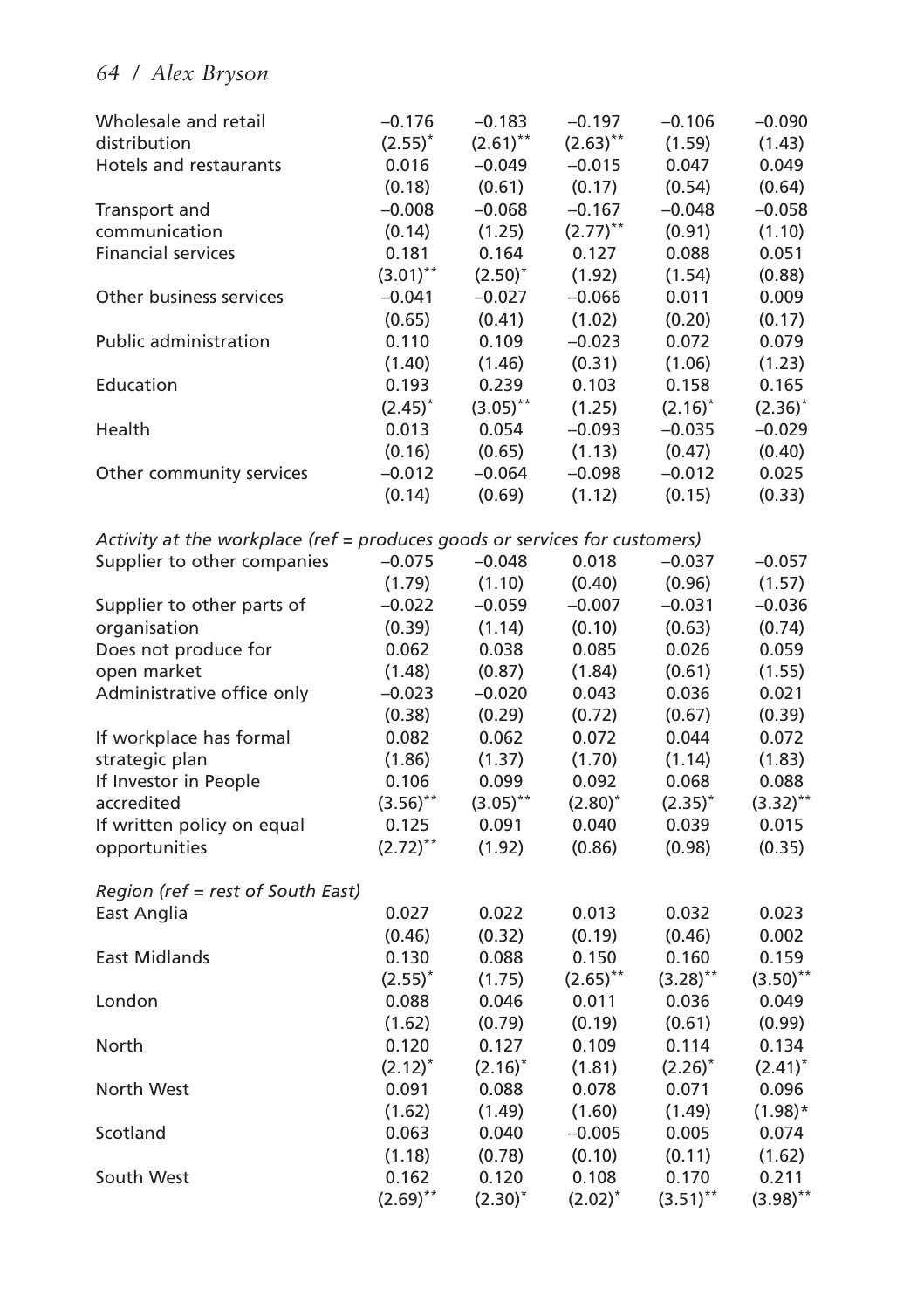| Wholesale and retail                                                       | $-0.176$    | $-0.183$     | $-0.197$               | $-0.106$        | $-0.090$               |
|----------------------------------------------------------------------------|-------------|--------------|------------------------|-----------------|------------------------|
| distribution                                                               | $(2.55)^*$  | $(2.61)$ **  | $(2.63)$ **            | (1.59)          | (1.43)                 |
| Hotels and restaurants                                                     | 0.016       | $-0.049$     | $-0.015$               | 0.047           | 0.049                  |
|                                                                            | (0.18)      | (0.61)       | (0.17)                 | (0.54)          | (0.64)                 |
| Transport and                                                              | $-0.008$    | $-0.068$     | $-0.167$               | $-0.048$        | $-0.058$               |
| communication                                                              | (0.14)      | (1.25)       | $(2.77)$ <sup>**</sup> | (0.91)          | (1.10)                 |
| <b>Financial services</b>                                                  | 0.181       | 0.164        | 0.127                  | 0.088           | 0.051                  |
|                                                                            | $(3.01)$ ** | $(2.50)^{*}$ | (1.92)                 | (1.54)          | (0.88)                 |
| Other business services                                                    | $-0.041$    | $-0.027$     | $-0.066$               | 0.011           | 0.009                  |
|                                                                            | (0.65)      | (0.41)       | (1.02)                 | (0.20)          | (0.17)                 |
| <b>Public administration</b>                                               | 0.110       | 0.109        | $-0.023$               | 0.072           | 0.079                  |
|                                                                            | (1.40)      | (1.46)       | (0.31)                 | (1.06)          | (1.23)                 |
| Education                                                                  | 0.193       | 0.239        | 0.103                  | 0.158           | 0.165                  |
|                                                                            | $(2.45)^*$  | $(3.05)$ **  | (1.25)                 | $(2.16)^*$      | $(2.36)^{*}$           |
| Health                                                                     | 0.013       | 0.054        | $-0.093$               | $-0.035$        | $-0.029$               |
|                                                                            | (0.16)      | (0.65)       | (1.13)                 | (0.47)          | (0.40)                 |
| Other community services                                                   | $-0.012$    | $-0.064$     | $-0.098$               | $-0.012$        | 0.025                  |
|                                                                            | (0.14)      | (0.69)       | (1.12)                 | (0.15)          | (0.33)                 |
| Activity at the workplace (ref = produces goods or services for customers) |             |              |                        |                 |                        |
| Supplier to other companies                                                | $-0.075$    | $-0.048$     | 0.018                  | $-0.037$        | $-0.057$               |
|                                                                            | (1.79)      | (1.10)       | (0.40)                 | (0.96)          | (1.57)                 |
| Supplier to other parts of                                                 | $-0.022$    | $-0.059$     | $-0.007$               | $-0.031$        | $-0.036$               |
| organisation                                                               | (0.39)      | (1.14)       | (0.10)                 | (0.63)          | (0.74)                 |
| Does not produce for                                                       | 0.062       | 0.038        | 0.085                  | 0.026           | 0.059                  |
| open market                                                                | (1.48)      | (0.87)       | (1.84)                 | (0.61)          | (1.55)                 |
| Administrative office only                                                 | $-0.023$    | $-0.020$     | 0.043                  | 0.036           | 0.021                  |
|                                                                            | (0.38)      | (0.29)       | (0.72)                 | (0.67)          | (0.39)                 |
| If workplace has formal                                                    | 0.082       | 0.062        | 0.072                  |                 | 0.072                  |
| strategic plan                                                             | (1.86)      | (1.37)       | (1.70)                 | 0.044<br>(1.14) |                        |
|                                                                            |             |              |                        |                 | (1.83)                 |
| If Investor in People                                                      | 0.106       | 0.099        | 0.092                  | 0.068           | 0.088                  |
| accredited                                                                 | $(3.56)$ ** | $(3.05)$ **  | $(2.80)^{*}$           | $(2.35)^{*}$    | $(3.32)$ <sup>**</sup> |
| If written policy on equal                                                 | 0.125       | 0.091        | 0.040                  | 0.039           | 0.015                  |
| opportunities                                                              | $(2.72)$ ** | (1.92)       | (0.86)                 | (0.98)          | (0.35)                 |
| Region (ref = rest of South East)                                          |             |              |                        |                 |                        |
| East Anglia                                                                | 0.027       | 0.022        | 0.013                  | 0.032           | 0.023                  |
|                                                                            | (0.46)      | (0.32)       | (0.19)                 | (0.46)          | 0.002                  |
| <b>East Midlands</b>                                                       | 0.130       | 0.088        | 0.150                  | 0.160           | 0.159                  |
|                                                                            | $(2.55)^*$  | (1.75)       | $(2.65)$ **            | $(3.28)$ **     | $(3.50)$ **            |
| London                                                                     | 0.088       | 0.046        | 0.011                  | 0.036           | 0.049                  |
|                                                                            | (1.62)      | (0.79)       | (0.19)                 | (0.61)          | (0.99)                 |
| North                                                                      | 0.120       | 0.127        | 0.109                  | 0.114           | 0.134                  |
|                                                                            | $(2.12)^*$  | $(2.16)^*$   | (1.81)                 | $(2.26)^*$      | $(2.41)^*$             |
| North West                                                                 | 0.091       | 0.088        | 0.078                  | 0.071           | 0.096                  |
|                                                                            | (1.62)      | (1.49)       | (1.60)                 | (1.49)          | $(1.98)*$              |
| Scotland                                                                   | 0.063       | 0.040        | $-0.005$               | 0.005           | 0.074                  |
|                                                                            | (1.18)      | (0.78)       | (0.10)                 | (0.11)          | (1.62)                 |
| South West                                                                 | 0.162       | 0.120        | 0.108                  | 0.170           | 0.211                  |
|                                                                            | $(2.69)$ ** | $(2.30)^*$   | $(2.02)^{*}$           | $(3.51)$ **     | $(3.98)$ **            |